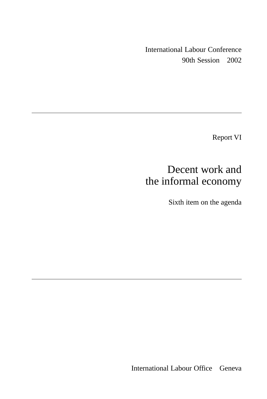International Labour Conference 90th Session 2002

Report VI

# Decent work and the informal economy

Sixth item on the agenda

International Labour Office Geneva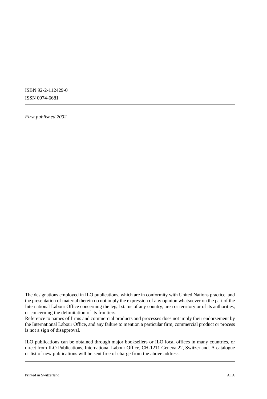ISBN 92-2-112429-0 ISSN 0074-6681

*First published 2002*

ILO publications can be obtained through major booksellers or ILO local offices in many countries, or direct from ILO Publications, International Labour Office, CH-1211 Geneva 22, Switzerland. A catalogue or list of new publications will be sent free of charge from the above address.

The designations employed in ILO publications, which are in conformity with United Nations practice, and the presentation of material therein do not imply the expression of any opinion whatsoever on the part of the International Labour Office concerning the legal status of any country, area or territory or of its authorities, or concerning the delimitation of its frontiers.

Reference to names of firms and commercial products and processes does not imply their endorsement by the International Labour Office, and any failure to mention a particular firm, commercial product or process is not a sign of disapproval.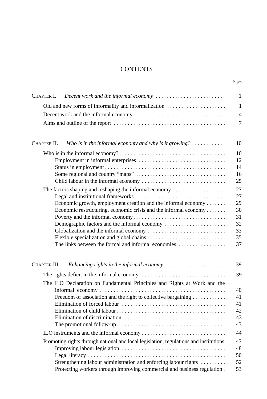# **CONTENTS**

Pages

| Decent work and the informal economy<br>CHAPTER I.                                                                                          | $\mathbf{1}$ |  |  |  |  |  |  |  |
|---------------------------------------------------------------------------------------------------------------------------------------------|--------------|--|--|--|--|--|--|--|
| Old and new forms of informality and informalization                                                                                        | $\mathbf{1}$ |  |  |  |  |  |  |  |
|                                                                                                                                             |              |  |  |  |  |  |  |  |
|                                                                                                                                             |              |  |  |  |  |  |  |  |
|                                                                                                                                             | 7            |  |  |  |  |  |  |  |
| Who is in the informal economy and why is it growing? $\dots\dots\dots\dots$<br>CHAPTER II.                                                 | 10           |  |  |  |  |  |  |  |
|                                                                                                                                             | 10           |  |  |  |  |  |  |  |
|                                                                                                                                             | 12           |  |  |  |  |  |  |  |
|                                                                                                                                             | 14           |  |  |  |  |  |  |  |
|                                                                                                                                             | 16           |  |  |  |  |  |  |  |
|                                                                                                                                             | 25           |  |  |  |  |  |  |  |
| The factors shaping and reshaping the informal economy                                                                                      | 27           |  |  |  |  |  |  |  |
|                                                                                                                                             | 27           |  |  |  |  |  |  |  |
| Economic growth, employment creation and the informal economy<br>Economic restructuring, economic crisis and the informal economy           | 29<br>30     |  |  |  |  |  |  |  |
|                                                                                                                                             | 31           |  |  |  |  |  |  |  |
| Demographic factors and the informal economy                                                                                                | 32           |  |  |  |  |  |  |  |
|                                                                                                                                             | 33           |  |  |  |  |  |  |  |
|                                                                                                                                             | 35           |  |  |  |  |  |  |  |
| The links between the formal and informal economies                                                                                         | 37           |  |  |  |  |  |  |  |
| CHAPTER III.<br>Enhancing rights in the informal economy                                                                                    | 39           |  |  |  |  |  |  |  |
|                                                                                                                                             | 39           |  |  |  |  |  |  |  |
| The ILO Declaration on Fundamental Principles and Rights at Work and the                                                                    |              |  |  |  |  |  |  |  |
|                                                                                                                                             | 40           |  |  |  |  |  |  |  |
| Freedom of association and the right to collective bargaining                                                                               | 41           |  |  |  |  |  |  |  |
|                                                                                                                                             | 41           |  |  |  |  |  |  |  |
|                                                                                                                                             | 42           |  |  |  |  |  |  |  |
|                                                                                                                                             | 43           |  |  |  |  |  |  |  |
|                                                                                                                                             | 43           |  |  |  |  |  |  |  |
|                                                                                                                                             | 44           |  |  |  |  |  |  |  |
| Promoting rights through national and local legislation, regulations and institutions                                                       | 47           |  |  |  |  |  |  |  |
|                                                                                                                                             | 48           |  |  |  |  |  |  |  |
|                                                                                                                                             | 50           |  |  |  |  |  |  |  |
| Strengthening labour administration and enforcing labour rights<br>Protecting workers through improving commercial and business regulation. | 52<br>53     |  |  |  |  |  |  |  |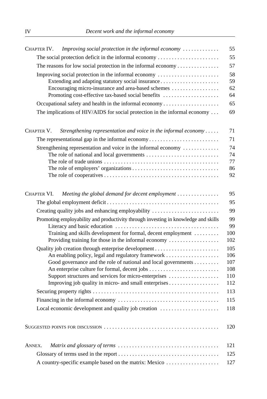| Improving social protection in the informal economy $\ldots \ldots \ldots$<br>CHAPTER IV.                                                           | 55                       |  |  |  |  |  |  |                                                    |
|-----------------------------------------------------------------------------------------------------------------------------------------------------|--------------------------|--|--|--|--|--|--|----------------------------------------------------|
| The social protection deficit in the informal economy                                                                                               | 55                       |  |  |  |  |  |  |                                                    |
| The reasons for low social protection in the informal economy                                                                                       |                          |  |  |  |  |  |  |                                                    |
| Improving social protection in the informal economy                                                                                                 | 58                       |  |  |  |  |  |  |                                                    |
| Extending and adapting statutory social insurance<br>Encouraging micro-insurance and area-based schemes                                             |                          |  |  |  |  |  |  |                                                    |
|                                                                                                                                                     |                          |  |  |  |  |  |  | Promoting cost-effective tax-based social benefits |
| Occupational safety and health in the informal economy                                                                                              | 65                       |  |  |  |  |  |  |                                                    |
| The implications of HIV/AIDS for social protection in the informal economy                                                                          | 69                       |  |  |  |  |  |  |                                                    |
| CHAPTER V.<br>Strengthening representation and voice in the informal economy                                                                        | 71                       |  |  |  |  |  |  |                                                    |
|                                                                                                                                                     | 71                       |  |  |  |  |  |  |                                                    |
| Strengthening representation and voice in the informal economy                                                                                      | 74                       |  |  |  |  |  |  |                                                    |
|                                                                                                                                                     | 74                       |  |  |  |  |  |  |                                                    |
|                                                                                                                                                     | 77                       |  |  |  |  |  |  |                                                    |
|                                                                                                                                                     | 86                       |  |  |  |  |  |  |                                                    |
|                                                                                                                                                     | 92                       |  |  |  |  |  |  |                                                    |
| CHAPTER VI.<br>Meeting the global demand for decent employment                                                                                      | 95                       |  |  |  |  |  |  |                                                    |
|                                                                                                                                                     | 95                       |  |  |  |  |  |  |                                                    |
| Creating quality jobs and enhancing employability                                                                                                   | 99                       |  |  |  |  |  |  |                                                    |
| Promoting employability and productivity through investing in knowledge and skills<br>Training and skills development for formal, decent employment | 99<br>99<br>100          |  |  |  |  |  |  |                                                    |
| Providing training for those in the informal economy                                                                                                | 102                      |  |  |  |  |  |  |                                                    |
| An enabling policy, legal and regulatory framework<br>Good governance and the role of national and local governments                                | 105<br>106<br>107<br>108 |  |  |  |  |  |  |                                                    |
| Support structures and services for micro-enterprises                                                                                               | 110                      |  |  |  |  |  |  |                                                    |
| Improving job quality in micro- and small enterprises                                                                                               | 112                      |  |  |  |  |  |  |                                                    |
|                                                                                                                                                     | 113                      |  |  |  |  |  |  |                                                    |
|                                                                                                                                                     | 115                      |  |  |  |  |  |  |                                                    |
| Local economic development and quality job creation                                                                                                 | 118                      |  |  |  |  |  |  |                                                    |
|                                                                                                                                                     | 120                      |  |  |  |  |  |  |                                                    |
| ANNEX.                                                                                                                                              | 121                      |  |  |  |  |  |  |                                                    |
| 125                                                                                                                                                 |                          |  |  |  |  |  |  |                                                    |
| A country-specific example based on the matrix: Mexico                                                                                              | 127                      |  |  |  |  |  |  |                                                    |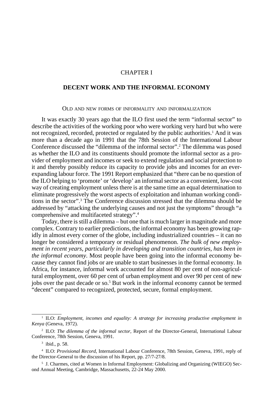# CHAPTER I

# <span id="page-4-0"></span>**DECENT WORK AND THE INFORMAL ECONOMY**

#### OLD AND NEW FORMS OF INFORMALITY AND INFORMALIZATION

It was exactly 30 years ago that the ILO first used the term "informal sector" to describe the activities of the working poor who were working very hard but who were not recognized, recorded, protected or regulated by the public authorities.<sup>1</sup> And it was more than a decade ago in 1991 that the 78th Session of the International Labour Conference discussed the "dilemma of the informal sector".2 The dilemma was posed as whether the ILO and its constituents should promote the informal sector as a provider of employment and incomes or seek to extend regulation and social protection to it and thereby possibly reduce its capacity to provide jobs and incomes for an everexpanding labour force. The 1991 Report emphasized that "there can be no question of the ILO helping to 'promote' or 'develop' an informal sector as a convenient, low-cost way of creating employment unless there is at the same time an equal determination to eliminate progressively the worst aspects of exploitation and inhuman working conditions in the sector".3 The Conference discussion stressed that the dilemma should be addressed by "attacking the underlying causes and not just the symptoms" through "a comprehensive and multifaceted strategy".4

Today, there is still a dilemma – but one that is much larger in magnitude and more complex. Contrary to earlier predictions, the informal economy has been growing rapidly in almost every corner of the globe, including industrialized countries – it can no longer be considered a temporary or residual phenomenon. *The bulk of new employment in recent years, particularly in developing and transition countries, has been in the informal economy*. Most people have been going into the informal economy because they cannot find jobs or are unable to start businesses in the formal economy. In Africa, for instance, informal work accounted for almost 80 per cent of non-agricultural employment, over 60 per cent of urban employment and over 90 per cent of new jobs over the past decade or so.<sup>5</sup> But work in the informal economy cannot be termed "decent" compared to recognized, protected, secure, formal employment.

<sup>1</sup> ILO: *Employment, incomes and equality: A strategy for increasing productive employment in Kenya* (Geneva, 1972).

<sup>2</sup> ILO: *The dilemma of the informal sector,* Report of the Director-General, International Labour Conference, 78th Session, Geneva, 1991.

<sup>3</sup> ibid., p. 58.

<sup>4</sup> ILO: *Provisional Record,* International Labour Conference, 78th Session, Geneva, 1991, reply of the Director-General to the discussion of his Report, pp. 27/7-27/8.

<sup>5</sup> J. Charmes, cited at Women in Informal Employment: Globalizing and Organizing (WIEGO) Second Annual Meeting, Cambridge, Massachusetts, 22-24 May 2000.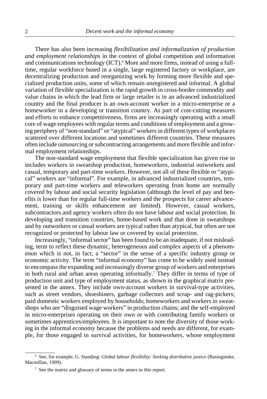There has also been increasing *flexibilization and informalization of production and employment relationships* in the context of global competition and information and communications technology (ICT).<sup>6</sup> More and more firms, instead of using a fulltime, regular workforce based in a single, large registered factory or workplace, are decentralizing production and reorganizing work by forming more flexible and specialized production units, some of which remain unregistered and informal. A global variation of flexible specialization is the rapid growth in cross-border commodity and value chains in which the lead firm or large retailer is in an advanced industrialized country and the final producer is an own-account worker in a micro-enterprise or a homeworker in a developing or transition country. As part of cost-cutting measures and efforts to enhance competitiveness, firms are increasingly operating with a small core of wage employees with regular terms and conditions of employment and a growing periphery of "non-standard" or "atypical" workers in different types of workplaces scattered over different locations and sometimes different countries. These measures often include outsourcing or subcontracting arrangements and more flexible and informal employment relationships.

The non-standard wage employment that flexible specialization has given rise to includes workers in sweatshop production, homeworkers, industrial outworkers and casual, temporary and part-time workers. However, not all of these flexible or "atypical" workers are "informal". For example, in advanced industrialized countries, temporary and part-time workers and teleworkers operating from home are normally covered by labour and social security legislation (although the level of pay and benefits is lower than for regular full-time workers and the prospects for career advancement, training or skills enhancement are limited). However, casual workers, subcontractors and agency workers often do not have labour and social protection. In developing and transition countries, home-based work and that done in sweatshops and by outworkers or casual workers are typical rather than atypical, but often are not recognized or protected by labour law or covered by social protection.

Increasingly, "informal sector" has been found to be an inadequate, if not misleading, term to reflect these dynamic, heterogeneous and complex aspects of a phenomenon which is not, in fact, a "sector" in the sense of a specific industry group or economic activity. The term "informal economy" has come to be widely used instead to encompass the expanding and increasingly diverse group of workers and enterprises in both rural and urban areas operating informally.<sup>7</sup> They differ in terms of type of production unit and type of employment status, as shown in the graphical matrix presented in the annex. They include own-account workers in survival-type activities, such as street vendors, shoeshiners, garbage collectors and scrap- and rag-pickers; paid domestic workers employed by households; homeworkers and workers in sweatshops who are "disguised wage workers" in production chains; and the self-employed in micro-enterprises operating on their own or with contributing family workers or sometimes apprentices/employees. It is important to note the diversity of those working in the informal economy because the problems and needs are different, for example, for those engaged in survival activities, for homeworkers, whose employment

<sup>6</sup> See, for example, G. Standing: *Global labour flexibility: Seeking distributive justice* (Basingstoke, Macmillan, 1999).

<sup>7</sup> See the matrix and glossary of terms in the annex to this report.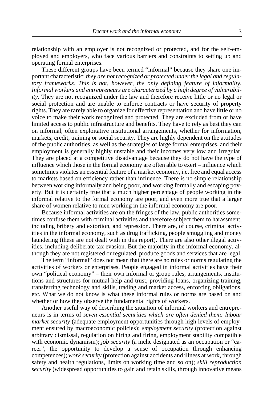relationship with an employer is not recognized or protected, and for the self-employed and employers, who face various barriers and constraints to setting up and operating formal enterprises.

These different groups have been termed "informal" because they share one important characteristic: *they are not recognized or protected under the legal and regulatory frameworks. This is not, however, the only defining feature of informality. Informal workers and entrepreneurs are characterized by a high degree of vulnerability*. They are not recognized under the law and therefore receive little or no legal or social protection and are unable to enforce contracts or have security of property rights. They are rarely able to organize for effective representation and have little or no voice to make their work recognized and protected. They are excluded from or have limited access to public infrastructure and benefits. They have to rely as best they can on informal, often exploitative institutional arrangements, whether for information, markets, credit, training or social security. They are highly dependent on the attitudes of the public authorities, as well as the strategies of large formal enterprises, and their employment is generally highly unstable and their incomes very low and irregular. They are placed at a competitive disadvantage because they do not have the type of influence which those in the formal economy are often able to exert – influence which sometimes violates an essential feature of a market economy, i.e. free and equal access to markets based on efficiency rather than influence. There is no simple relationship between working informally and being poor, and working formally and escaping poverty. But it is certainly true that a much higher percentage of people working in the informal relative to the formal economy are poor, and even more true that a larger share of women relative to men working in the informal economy are poor.

Because informal activities are on the fringes of the law, public authorities sometimes confuse them with criminal activities and therefore subject them to harassment, including bribery and extortion, and repression. There are, of course, criminal activities in the informal economy, such as drug trafficking, people smuggling and money laundering (these are not dealt with in this report). There are also other illegal activities, including deliberate tax evasion. But the majority in the informal economy, although they are not registered or regulated, produce goods and services that are legal.

The term "informal" does not mean that there are no rules or norms regulating the activities of workers or enterprises. People engaged in informal activities have their own "political economy" – their own informal or group rules, arrangements, institutions and structures for mutual help and trust, providing loans, organizing training, transferring technology and skills, trading and market access, enforcing obligations, etc. What we do not know is what these informal rules or norms are based on and whether or how they observe the fundamental rights of workers.

Another useful way of describing the situation of informal workers and entrepreneurs is in terms of *seven essential securities which are often denied them: labour market security* (adequate employment opportunities through high levels of employment ensured by macroeconomic policies); *employment security* (protection against arbitrary dismissal, regulation on hiring and firing, employment stability compatible with economic dynamism); *job security* (a niche designated as an occupation or "career", the opportunity to develop a sense of occupation through enhancing competences); *work security* (protection against accidents and illness at work, through safety and health regulations, limits on working time and so on); *skill reproduction security* (widespread opportunities to gain and retain skills, through innovative means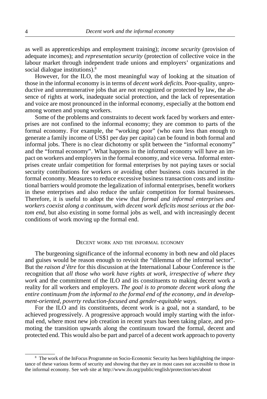<span id="page-7-0"></span>as well as apprenticeships and employment training); *income security* (provision of adequate incomes); and *representation security* (protection of collective voice in the labour market through independent trade unions and employers' organizations and social dialogue institutions).<sup>8</sup>

However, for the ILO, the most meaningful way of looking at the situation of those in the informal economy is in terms of *decent work deficits*. Poor-quality, unproductive and unremunerative jobs that are not recognized or protected by law, the absence of rights at work, inadequate social protection, and the lack of representation and voice are most pronounced in the informal economy, especially at the bottom end among women and young workers.

Some of the problems and constraints to decent work faced by workers and enterprises are not confined to the informal economy; they are common to parts of the formal economy. For example, the "working poor" (who earn less than enough to generate a family income of US\$1 per day per capita) can be found in both formal and informal jobs. There is no clear dichotomy or split between the "informal economy" and the "formal economy". What happens in the informal economy will have an impact on workers and employers in the formal economy, and vice versa. Informal enterprises create unfair competition for formal enterprises by not paying taxes or social security contributions for workers or avoiding other business costs incurred in the formal economy. Measures to reduce excessive business transaction costs and institutional barriers would promote the legalization of informal enterprises, benefit workers in these enterprises and also reduce the unfair competition for formal businesses. Therefore, it is useful to adopt the view that *formal and informal enterprises and workers coexist along a continuum, with decent work deficits most serious at the bottom end*, but also existing in some formal jobs as well, and with increasingly decent conditions of work moving up the formal end.

#### DECENT WORK AND THE INFORMAL ECONOMY

The burgeoning significance of the informal economy in both new and old places and guises would be reason enough to revisit the "dilemma of the informal sector". But the *raison d'être* for this discussion at the International Labour Conference is the recognition that *all those who work have rights at work, irrespective of where they work* and the commitment of the ILO and its constituents to making decent work a reality for all workers and employers. *The goal is to promote decent work along the entire continuum from the informal to the formal end of the economy, and in development-oriented, poverty reduction-focused and gender-equitable ways.*

For the ILO and its constituents, decent work is a goal, not a standard, to be achieved progressively. A progressive approach would imply starting with the informal end, where most new job creation in recent years has been taking place, and promoting the transition upwards along the continuum toward the formal, decent and protected end. This would also be part and parcel of a decent work approach to poverty

<sup>&</sup>lt;sup>8</sup> The work of the InFocus Programme on Socio-Economic Security has been highlighting the importance of these various forms of security and showing that they are in most cases not accessible to those in the informal economy. See web site at http://www.ilo.org/public/english/protection/ses/about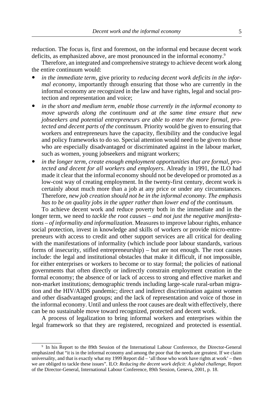reduction. The focus is, first and foremost, on the informal end because decent work deficits, as emphasized above, are most pronounced in the informal economy.<sup>9</sup>

Therefore, an integrated and comprehensive strategy to achieve decent work along the entire continuum would:

- ! *in the immediate term,* give priority to *reducing decent work deficits in the informal economy*, importantly through ensuring that those who are currently in the informal economy are recognized in the law and have rights, legal and social protection and representation and voice;
- in the short and medium term, enable those currently in the informal economy to *move upwards along the continuum and at the same time ensure that new jobseekers and potential entrepreneurs are able to enter the more formal, protected and decent parts of the continuum.* Priority would be given to ensuring that workers and entrepreneurs have the capacity, flexibility and the conducive legal and policy frameworks to do so. Special attention would need to be given to those who are especially disadvantaged or discriminated against in the labour market, such as women, young jobseekers and migrant workers;
- in the longer term, create enough employment opportunities that are formal, pro*tected and decent for all workers and employers*. Already in 1991, the ILO had made it clear that the informal economy should not be developed or promoted as a low-cost way of creating employment. In the twenty-first century, decent work is certainly about much more than a job at any price or under any circumstances. Therefore, *new job creation should not be in the informal economy. The emphasis has to be on quality jobs in the upper rather than lower end of the continuum.*

To achieve decent work and reduce poverty both in the immediate and in the longer term, we need to *tackle the root causes – and not just the negative manifestations – of informality and informalization*. Measures to improve labour rights, enhance social protection, invest in knowledge and skills of workers or provide micro-entrepreneurs with access to credit and other support services are all critical for dealing with the manifestations of informality (which include poor labour standards, various forms of insecurity, stifled entrepreneurship) – but are not enough. The root causes include: the legal and institutional obstacles that make it difficult, if not impossible, for either enterprises or workers to become or to stay formal; the policies of national governments that often directly or indirectly constrain employment creation in the formal economy; the absence of or lack of access to strong and effective market and non-market institutions; demographic trends including large-scale rural-urban migration and the HIV/AIDS pandemic; direct and indirect discrimination against women and other disadvantaged groups; and the lack of representation and voice of those in the informal economy. Until and unless the root causes are dealt with effectively, there can be no sustainable move toward recognized, protected and decent work.

A process of legalization to bring informal workers and enterprises within the legal framework so that they are registered, recognized and protected is essential.

<sup>9</sup> In his Report to the 89th Session of the International Labour Conference, the Director-General emphasized that "it is in the informal economy and among the poor that the needs are greatest. If we claim universality, and that is exactly what my 1999 Report did – 'all those who work have rights at work' – then we are obliged to tackle these issues". ILO: *Reducing the decent work deficit: A global challenge,* Report of the Director-General, International Labour Conference, 89th Session, Geneva, 2001, p. 18.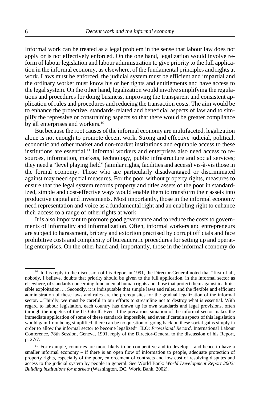Informal work can be treated as a legal problem in the sense that labour law does not apply or is not effectively enforced. On the one hand, legalization would involve reform of labour legislation and labour administration to give priority to the full application in the informal economy, as elsewhere, of the fundamental principles and rights at work. Laws must be enforced, the judicial system must be efficient and impartial and the ordinary worker must know his or her rights and entitlements and have access to the legal system. On the other hand, legalization would involve simplifying the regulations and procedures for doing business, improving the transparent and consistent application of rules and procedures and reducing the transaction costs. The aim would be to enhance the protective, standards-related and beneficial aspects of law and to simplify the repressive or constraining aspects so that there would be greater compliance by all enterprises and workers.<sup>10</sup>

But because the root causes of the informal economy are multifaceted, legalization alone is not enough to promote decent work. Strong and effective judicial, political, economic and other market and non-market institutions and equitable access to these institutions are essential.11 Informal workers and enterprises also need access to resources, information, markets, technology, public infrastructure and social services; they need a "level playing field" (similar rights, facilities and access) vis-à-vis those in the formal economy. Those who are particularly disadvantaged or discriminated against may need special measures. For the poor without property rights, measures to ensure that the legal system records property and titles assets of the poor in standardized, simple and cost-effective ways would enable them to transform their assets into productive capital and investments. Most importantly, those in the informal economy need representation and voice as a fundamental right and an enabling right to enhance their access to a range of other rights at work.

It is also important to promote good governance and to reduce the costs to governments of informality and informalization. Often, informal workers and entrepreneurs are subject to harassment, bribery and extortion practised by corrupt officials and face prohibitive costs and complexity of bureaucratic procedures for setting up and operating enterprises. On the other hand and, importantly, those in the informal economy do

<sup>&</sup>lt;sup>10</sup> In his reply to the discussion of his Report in 1991, the Director-General noted that "first of all, nobody, I believe, doubts that priority should be given to the full application, in the informal sector as elsewhere, of standards concerning fundamental human rights and those that protect them against inadmissible exploitation. ... Secondly, it is indisputable that simple laws and rules, and the flexible and efficient administration of these laws and rules are the prerequisites for the gradual legalization of the informal sector. ...Thirdly, we must be careful in our efforts to streamline not to destroy what is essential. With regard to labour legislation, each country has drawn up its own standards and legal provisions, often through the impetus of the ILO itself. Even if the precarious situation of the informal sector makes the immediate application of some of these standards impossible, and even if certain aspects of this legislation would gain from being simplified, there can be no question of going back on these social gains simply in order to allow the informal sector to become legalized". ILO: *Provisional Record*, International Labour Conference, 78th Session, Geneva, 1991, reply of the Director-General to the discussion of his Report, p. 27/7.

 $11$  For example, countries are more likely to be competitive and to develop – and hence to have a smaller informal economy – if there is an open flow of information to people, adequate protection of property rights, especially of the poor, enforcement of contracts and low cost of resolving disputes and access to the judicial system by people in general. See World Bank: *World Development Report 2002: Building institutions for markets* (Washington, DC, World Bank, 2002).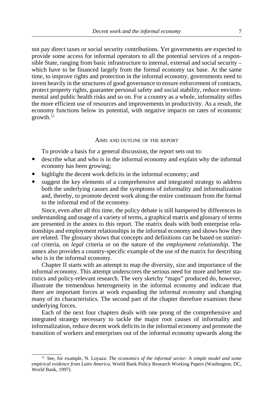<span id="page-10-0"></span>not pay direct taxes or social security contributions. Yet governments are expected to provide some access for informal operators to all the potential services of a responsible State, ranging from basic infrastructure to internal, external and social security – which have to be financed largely from the formal economy tax base. At the same time, to improve rights and protection in the informal economy, governments need to invest heavily in the structures of good governance to ensure enforcement of contracts, protect property rights, guarantee personal safety and social stability, reduce environmental and public health risks and so on. For a country as a whole, informality stifles the more efficient use of resources and improvements in productivity. As a result, the economy functions below its potential, with negative impacts on rates of economic growth.12

#### AIMS AND OUTLINE OF THE REPORT

To provide a basis for a general discussion, the report sets out to:

- ! describe what and who is in the informal economy and explain why the informal economy has been growing;
- highlight the decent work deficits in the informal economy; and
- suggest the key elements of a comprehensive and integrated strategy to address both the underlying causes and the symptoms of informality and informalization and, thereby, to promote decent work along the entire continuum from the formal to the informal end of the economy.

Since, even after all this time, the policy debate is still hampered by differences in understanding and usage of a variety of terms, a graphical matrix and glossary of terms are presented in the annex to this report. The matrix deals with both enterprise relationships and employment relationships in the informal economy and shows how they are related. The glossary shows that concepts and definitions can be based on *statistical* criteria, on *legal* criteria or on the nature of the *employment relationship*. The annex also provides a country-specific example of the use of the matrix for describing who is in the informal economy.

Chapter II starts with an attempt to map the diversity, size and importance of the informal economy. This attempt underscores the serious need for more and better statistics and policy-relevant research. The very sketchy "maps" produced do, however, illustrate the tremendous heterogeneity in the informal economy and indicate that there are important forces at work expanding the informal economy and changing many of its characteristics. The second part of the chapter therefore examines these underlying forces.

Each of the next four chapters deals with one prong of the comprehensive and integrated strategy necessary to tackle the major root causes of informality and informalization, reduce decent work deficits in the informal economy and promote the transition of workers and enterprises out of the informal economy upwards along the

<sup>&</sup>lt;sup>12</sup> See, for example, N. Loyaza: *The economics of the informal sector: A simple model and some empirical evidence from Latin America*, World Bank Policy Research Working Papers (Washington, DC, World Bank, 1997).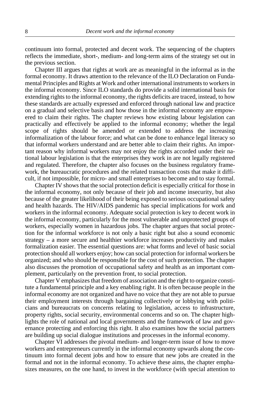continuum into formal, protected and decent work. The sequencing of the chapters reflects the immediate, short-, medium- and long-term aims of the strategy set out in the previous section.

Chapter III argues that rights at work are as meaningful in the informal as in the formal economy. It draws attention to the relevance of the ILO Declaration on Fundamental Principles and Rights at Work and other international instruments to workers in the informal economy. Since ILO standards do provide a solid international basis for extending rights to the informal economy, the rights deficits are traced, instead, to how these standards are actually expressed and enforced through national law and practice on a gradual and selective basis and how those in the informal economy are empowered to claim their rights. The chapter reviews how existing labour legislation can practically and effectively be applied to the informal economy; whether the legal scope of rights should be amended or extended to address the increasing informalization of the labour force; and what can be done to enhance legal literacy so that informal workers understand and are better able to claim their rights. An important reason why informal workers may not enjoy the rights accorded under their national labour legislation is that the enterprises they work in are not legally registered and regulated. Therefore, the chapter also focuses on the business regulatory framework, the bureaucratic procedures and the related transaction costs that make it difficult, if not impossible, for micro- and small enterprises to become and to stay formal.

Chapter IV shows that the social protection deficit is especially critical for those in the informal economy, not only because of their job and income insecurity, but also because of the greater likelihood of their being exposed to serious occupational safety and health hazards. The HIV/AIDS pandemic has special implications for work and workers in the informal economy. Adequate social protection is key to decent work in the informal economy, particularly for the most vulnerable and unprotected groups of workers, especially women in hazardous jobs. The chapter argues that social protection for the informal workforce is not only a basic right but also a sound economic strategy – a more secure and healthier workforce increases productivity and makes formalization easier. The essential questions are: what forms and level of basic social protection should all workers enjoy; how can social protection for informal workers be organized; and who should be responsible for the cost of such protection. The chapter also discusses the promotion of occupational safety and health as an important complement, particularly on the prevention front, to social protection.

Chapter V emphasizes that freedom of association and the right to organize constitute a fundamental principle and a key enabling right. It is often because people in the informal economy are not organized and have no voice that they are not able to pursue their employment interests through bargaining collectively or lobbying with politicians and bureaucrats on concerns relating to legislation, access to infrastructure, property rights, social security, environmental concerns and so on. The chapter highlights the role of national and local governments and the framework of law and governance protecting and enforcing this right. It also examines how the social partners are building up social dialogue institutions and processes in the informal economy.

Chapter VI addresses the pivotal medium- and longer-term issue of how to move workers and entrepreneurs currently in the informal economy upwards along the continuum into formal decent jobs and how to ensure that new jobs are created in the formal and not in the informal economy. To achieve these aims, the chapter emphasizes measures, on the one hand, to invest in the workforce (with special attention to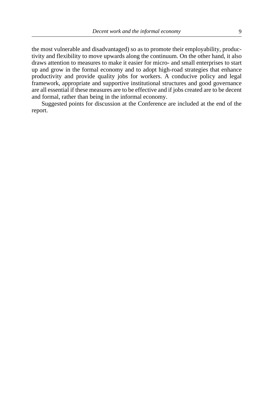the most vulnerable and disadvantaged) so as to promote their employability, productivity and flexibility to move upwards along the continuum. On the other hand, it also draws attention to measures to make it easier for micro- and small enterprises to start up and grow in the formal economy and to adopt high-road strategies that enhance productivity and provide quality jobs for workers. A conducive policy and legal framework, appropriate and supportive institutional structures and good governance are all essential if these measures are to be effective and if jobs created are to be decent and formal, rather than being in the informal economy.

Suggested points for discussion at the Conference are included at the end of the report.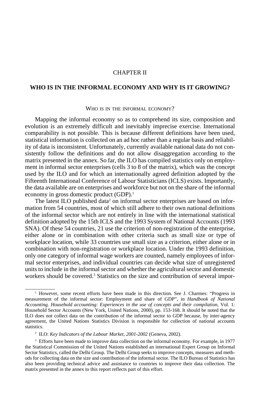## CHAPTER II

# <span id="page-13-0"></span>**WHO IS IN THE INFORMAL ECONOMY AND WHY IS IT GROWING?**

#### WHO IS IN THE INFORMAL ECONOMY?

Mapping the informal economy so as to comprehend its size, composition and evolution is an extremely difficult and inevitably imprecise exercise. International comparability is not possible. This is because different definitions have been used, statistical information is collected on an ad hoc rather than a regular basis and reliability of data is inconsistent. Unfortunately, currently available national data do not consistently follow the definitions and do not allow disaggregation according to the matrix presented in the annex. So far, the ILO has compiled statistics only on employment in informal sector enterprises (cells 3 to 8 of the matrix), which was the concept used by the ILO and for which an internationally agreed definition adopted by the Fifteenth International Conference of Labour Statisticians (ICLS) exists. Importantly, the data available are on enterprises and workforce but not on the share of the informal economy in gross domestic product (GDP).1

The latest ILO published data<sup>2</sup> on informal sector enterprises are based on information from 54 countries, most of which still adhere to their own national definitions of the informal sector which are not entirely in line with the international statistical definition adopted by the 15th ICLS and the 1993 System of National Accounts (1993 SNA). Of these 54 countries, 21 use the criterion of non-registration of the enterprise, either alone or in combination with other criteria such as small size or type of workplace location, while 33 countries use small size as a criterion, either alone or in combination with non-registration or workplace location. Under the 1993 definition, only one category of informal wage workers are counted, namely employees of informal sector enterprises, and individual countries can decide what size of unregistered units to include in the informal sector and whether the agricultural sector and domestic workers should be covered.<sup>3</sup> Statistics on the size and contribution of several impor-

<sup>1</sup> However, some recent efforts have been made in this direction. See J. Charmes: "Progress in measurement of the informal sector: Employment and share of GDP", in *Handbook of National Accounting. Household accounting: Experiences in the use of concepts and their compilation,* Vol. 1: Household Sector Accounts (New York, United Nations, 2000), pp. 153-168. It should be noted that the ILO does not collect data on the contribution of the informal sector to GDP because, by inter-agency agreement, the United Nations Statistics Division is responsible for collection of national accounts statistics.

<sup>2</sup> ILO: *Key Indicators of the Labour Market, 2001-2002* (Geneva, 2002).

<sup>&</sup>lt;sup>3</sup> Efforts have been made to improve data collection on the informal economy. For example, in 1977 the Statistical Commission of the United Nations established an international Expert Group on Informal Sector Statistics, called the Delhi Group. The Delhi Group seeks to improve concepts, measures and methods for collecting data on the size and contribution of the informal sector. The ILO Bureau of Statistics has also been providing technical advice and assistance to countries to improve their data collection. The matrix presented in the annex to this report reflects part of this effort.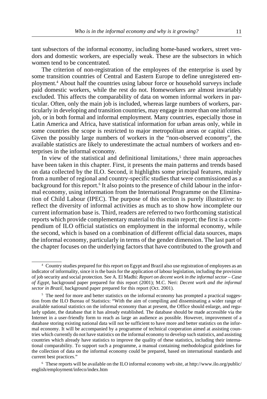tant subsectors of the informal economy, including home-based workers, street vendors and domestic workers, are especially weak. These are the subsectors in which women tend to be concentrated.

The criterion of non-registration of the employees of the enterprise is used by some transition countries of Central and Eastern Europe to define unregistered employment.4 About half the countries using labour force or household surveys include paid domestic workers, while the rest do not. Homeworkers are almost invariably excluded. This affects the comparability of data on women informal workers in particular. Often, only the main job is included, whereas large numbers of workers, particularly in developing and transition countries, may engage in more than one informal job, or in both formal and informal employment. Many countries, especially those in Latin America and Africa, have statistical information for urban areas only, while in some countries the scope is restricted to major metropolitan areas or capital cities. Given the possibly large numbers of workers in the "non-observed economy", the available statistics are likely to underestimate the actual numbers of workers and enterprises in the informal economy.

In view of the statistical and definitional limitations,<sup>5</sup> three main approaches have been taken in this chapter. First, it presents the main patterns and trends based on data collected by the ILO. Second, it highlights some principal features, mainly from a number of regional and country-specific studies that were commissioned as a background for this report.<sup>6</sup> It also points to the presence of child labour in the informal economy, using information from the International Programme on the Elimination of Child Labour (IPEC). The purpose of this section is purely illustrative: to reflect the diversity of informal activities as much as to show how incomplete our current information base is. Third, readers are referred to two forthcoming statistical reports which provide complementary material to this main report; the first is a compendium of ILO official statistics on employment in the informal economy, while the second, which is based on a combination of different official data sources, maps the informal economy, particularly in terms of the gender dimension. The last part of the chapter focuses on the underlying factors that have contributed to the growth and

<sup>4</sup> Country studies prepared for this report on Egypt and Brazil also use registration of employees as an indicator of informality, since it is the basis for the application of labour legislation, including the provision of job security and social protection. See A. El Madhi: *Report on decent work in the informal sector – Case of Egypt,* background paper prepared for this report (2001); M.C. Neri: *Decent work and the informal sector in Brazil,* background paper prepared for this report (Oct. 2001).

 $5$  The need for more and better statistics on the informal economy has prompted a practical suggestion from the ILO Bureau of Statistics: "With the aim of compiling and disseminating a wider range of available national statistics on the informal economy than at present, the Office should enlarge, and regularly update, the database that it has already established. The database should be made accessible via the Internet in a user-friendly form to reach as large an audience as possible. However, improvement of a database storing existing national data will not be sufficient to have more and better statistics on the informal economy. It will be accompanied by a programme of technical cooperation aimed at assisting countries which currently do not have statistics on the informal economy to develop such statistics, and assisting countries which already have statistics to improve the quality of these statistics, including their international comparability. To support such a programme, a manual containing methodological guidelines for the collection of data on the informal economy could be prepared, based on international standards and current best practices."

<sup>6</sup> These reports will be available on the ILO informal economy web site, at http://www.ilo.org/public/ english/employment/infeco/index.htm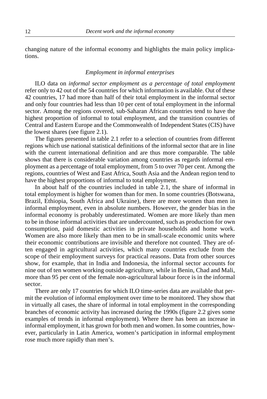<span id="page-15-0"></span>changing nature of the informal economy and highlights the main policy implications.

#### *Employment in informal enterprises*

ILO data on *informal sector employment as a percentage of total employment* refer only to 42 out of the 54 countries for which information is available. Out of these 42 countries, 17 had more than half of their total employment in the informal sector and only four countries had less than 10 per cent of total employment in the informal sector. Among the regions covered, sub-Saharan African countries tend to have the highest proportion of informal to total employment, and the transition countries of Central and Eastern Europe and the Commonwealth of Independent States (CIS) have the lowest shares (see figure 2.1).

The figures presented in table 2.1 refer to a selection of countries from different regions which use national statistical definitions of the informal sector that are in line with the current international definition and are thus more comparable. The table shows that there is considerable variation among countries as regards informal employment as a percentage of total employment, from 5 to over 70 per cent. Among the regions, countries of West and East Africa, South Asia and the Andean region tend to have the highest proportions of informal to total employment.

In about half of the countries included in table 2.1, the share of informal in total employment is higher for women than for men. In some countries (Botswana, Brazil, Ethiopia, South Africa and Ukraine), there are more women than men in informal employment, even in absolute numbers. However, the gender bias in the informal economy is probably underestimated. Women are more likely than men to be in those informal activities that are undercounted, such as production for own consumption, paid domestic activities in private households and home work. Women are also more likely than men to be in small-scale economic units where their economic contributions are invisible and therefore not counted. They are often engaged in agricultural activities, which many countries exclude from the scope of their employment surveys for practical reasons. Data from other sources show, for example, that in India and Indonesia, the informal sector accounts for nine out of ten women working outside agriculture, while in Benin, Chad and Mali, more than 95 per cent of the female non-agricultural labour force is in the informal sector.

There are only 17 countries for which ILO time-series data are available that permit the evolution of informal employment over time to be monitored. They show that in virtually all cases, the share of informal in total employment in the corresponding branches of economic activity has increased during the 1990s (figure 2.2 gives some examples of trends in informal employment). Where there has been an increase in informal employment, it has grown for both men and women. In some countries, however, particularly in Latin America, women's participation in informal employment rose much more rapidly than men's.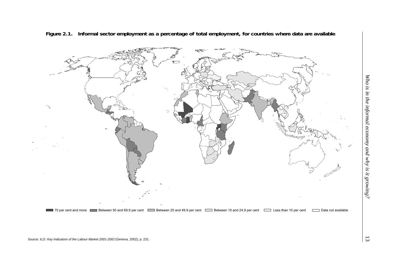

**Figure 2.1. Informal sector employment as a percentage of total employment, for countries where data are available**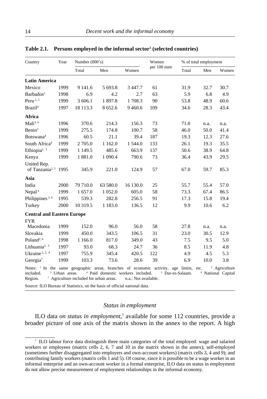| Country                                                                                                                   | Year                      | Number $(000's)$                                   |                                              |                      | Women       |                             | % of total employment |                                                           |  |
|---------------------------------------------------------------------------------------------------------------------------|---------------------------|----------------------------------------------------|----------------------------------------------|----------------------|-------------|-----------------------------|-----------------------|-----------------------------------------------------------|--|
|                                                                                                                           |                           | Total                                              | Men                                          | Women                | per 100 men | Total                       | Men                   | Women                                                     |  |
| <b>Latin America</b>                                                                                                      |                           |                                                    |                                              |                      |             |                             |                       |                                                           |  |
| Mexico                                                                                                                    | 1999                      | 9 141.6                                            | 5 693.8                                      | 3447.7               | 61          | 31.9                        | 32.7                  | 30.7                                                      |  |
| Barbados <sup>2</sup>                                                                                                     | 1998                      | 6.9                                                | 4.2                                          | 2.7                  | 63          | 5.9                         | 6.8                   | 4.9                                                       |  |
| Peru <sup>2, 3</sup>                                                                                                      | 1999                      | 3 606.1                                            | 1897.8                                       | 1708.3               | 90          | 53.8                        | 48.9                  | 60.6                                                      |  |
| Brazil <sup>4</sup>                                                                                                       | 1997                      | 18 113.3                                           | 8 652.6                                      | 9460.6               | 109         | 34.6                        | 28.3                  | 43.4                                                      |  |
| Africa                                                                                                                    |                           |                                                    |                                              |                      |             |                             |                       |                                                           |  |
| Mali <sup>3, 4</sup>                                                                                                      | 1996                      | 370.6                                              | 214.3                                        | 156.3                | 73          | 71.0                        | n.a.                  | n.a.                                                      |  |
| Benin <sup>3</sup>                                                                                                        | 1999                      | 275.5                                              | 174.8                                        | 100.7                | 58          | 46.0                        | 50.0                  | 41.4                                                      |  |
| Botswana <sup>4</sup>                                                                                                     | 1996                      | 60.5                                               | 21.1                                         | 39.4                 | 187         | 19.3                        | 12.3                  | 27.6                                                      |  |
| South Africa <sup>4</sup>                                                                                                 | 1999                      | 2 705.0                                            | 1 1 6 2 .0                                   | 1 544.0              | 133         | 26.1                        | 19.3                  | 35.5                                                      |  |
| Ethiopia <sup>2, <math>3</math></sup>                                                                                     | 1999                      | 1 1 4 9 .5                                         | 485.6                                        | 663.9                | 137         | 50.6                        | 38.9                  | 64.8                                                      |  |
| Kenya                                                                                                                     | 1999                      | 1881.0                                             | 1 0 9 0.4                                    | 790.6                | 73          | 36.4                        | 43.9                  | 29.5                                                      |  |
| United Rep.<br>of Tanzania <sup>2, 5</sup> 1995                                                                           |                           | 345.9                                              | 221.0                                        | 124.9                | 57          | 67.0                        | 59.7                  | 85.3                                                      |  |
| Asia                                                                                                                      |                           |                                                    |                                              |                      |             |                             |                       |                                                           |  |
| India                                                                                                                     | 2000                      | 79 710.0                                           | 63 580.0                                     | 16 130.0             | 25          | 55.7                        | 55.4                  | 57.0                                                      |  |
| Nepal <sup>4</sup>                                                                                                        | 1999                      | 1657.0                                             | 1 0 5 2.0                                    | 605.0                | 58          | 73.3                        | 67.4                  | 86.5                                                      |  |
| Philippines <sup>2,6</sup>                                                                                                | 1995                      | 539.3                                              | 282.8                                        | 256.5                | 91          | 17.3                        | 15.8                  | 19.4                                                      |  |
| Turkey                                                                                                                    | 2000                      | 10 319.5                                           | 1 1 8 3 .0                                   | 136.5                | 12          | 9.9                         | 10.6                  | 6.2                                                       |  |
| <b>Central and Eastern Europe</b>                                                                                         |                           |                                                    |                                              |                      |             |                             |                       |                                                           |  |
| <b>FYR</b>                                                                                                                |                           |                                                    |                                              |                      |             |                             |                       |                                                           |  |
| Macedonia                                                                                                                 | 1999                      | 152.0                                              | 96.0                                         | 56.0                 | 58          | 27.8                        | n.a.                  | n.a.                                                      |  |
| Slovakia                                                                                                                  | 1999                      | 450.0                                              | 343.5                                        | 106.5                | 31          | 23.0                        | 30.5                  | 12.9                                                      |  |
| Poland <sup>2, 4</sup>                                                                                                    | 1998                      | 1 1 6 6 .0                                         | 817.0                                        | 349.0                | 43          | 7.5                         | 9.5                   | 5.0                                                       |  |
| Lithuania <sup>2, 3</sup>                                                                                                 | 1997                      | 93.0                                               | 68.3                                         | 24.7                 | 36          | 8.5                         | 11.9                  | 4.8                                                       |  |
| Ukraine <sup>2, 3, 4</sup>                                                                                                | 1997                      | 755.9                                              | 345.4                                        | 420.5                | 122         | 4.9                         | 4.5                   | 5.3                                                       |  |
| Georgia <sup>7</sup>                                                                                                      | 1999                      | 103.3                                              | 73.6                                         | 28.6                 | 39          | 6.9                         | 10.0                  | 3.8                                                       |  |
| Notes: <sup>1</sup> In the same geographic areas, branches of economic activity, age limits, etc.<br>included.<br>Region. | <sup>3</sup> Urban areas. | <sup>7</sup> Agriculture included for urban areas. | <sup>4</sup> Paid domestic workers included. | n.a.: Not available. |             | <sup>5</sup> Dar-es-Salaam. |                       | <sup>2</sup> Agriculture<br><sup>6</sup> National Capital |  |

#### <span id="page-17-0"></span>Table 2.1. Persons employed in the informal sector<sup>1</sup> (selected countries)

Source: ILO Bureau of Statistics, on the basis of official national data.

## *Status in employment*

ILO data *on status in employment*,<sup>7</sup> available for some 112 countries, provide a broader picture of one axis of the matrix shown in the annex to the report. A high

<sup>7</sup> ILO labour force data distinguish three main categories of the total employed: wage and salaried workers or employees (matrix cells 2, 6, 7 and 10 in the matrix shown in the annex); self-employed (sometimes further disaggregated into employers and own-account workers) (matrix cells 3, 4 and 9); and contributing family workers (matrix cells 1 and 5). Of course, since it is possible to be a wage worker in an informal enterprise and an own-account worker in a formal enterprise, ILO data on status in employment do not allow precise measurement of employment relationships in the informal economy.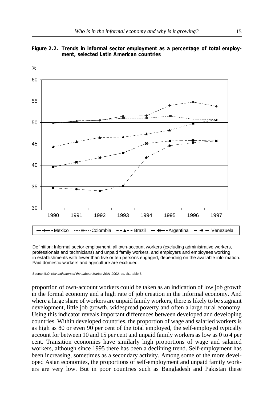



Definition: Informal sector employment: all own-account workers (excluding administrative workers, professionals and technicians) and unpaid family workers, and employers and employees working in establishments with fewer than five or ten persons engaged, depending on the available information. Paid domestic workers and agriculture are excluded.

Source: ILO: *Key Indicators of the Labour Market 2001-2002*, op. cit., table 7.

proportion of own-account workers could be taken as an indication of low job growth in the formal economy and a high rate of job creation in the informal economy. And where a large share of workers are unpaid family workers, there is likely to be stagnant development, little job growth, widespread poverty and often a large rural economy. Using this indicator reveals important differences between developed and developing countries. Within developed countries, the proportion of wage and salaried workers is as high as 80 or even 90 per cent of the total employed, the self-employed typically account for between 10 and 15 per cent and unpaid family workers as low as 0 to 4 per cent. Transition economies have similarly high proportions of wage and salaried workers, although since 1995 there has been a declining trend. Self-employment has been increasing, sometimes as a secondary activity. Among some of the more developed Asian economies, the proportions of self-employment and unpaid family workers are very low. But in poor countries such as Bangladesh and Pakistan these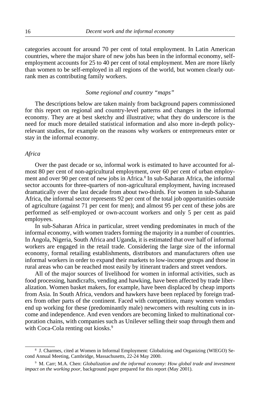<span id="page-19-0"></span>categories account for around 70 per cent of total employment. In Latin American countries, where the major share of new jobs has been in the informal economy, selfemployment accounts for 25 to 40 per cent of total employment. Men are more likely than women to be self-employed in all regions of the world, but women clearly outrank men as contributing family workers.

#### *Some regional and country "maps"*

The descriptions below are taken mainly from background papers commissioned for this report on regional and country-level patterns and changes in the informal economy. They are at best sketchy and illustrative; what they do underscore is the need for much more detailed statistical information and also more in-depth policyrelevant studies, for example on the reasons why workers or entrepreneurs enter or stay in the informal economy.

#### *Africa*

Over the past decade or so, informal work is estimated to have accounted for almost 80 per cent of non-agricultural employment, over 60 per cent of urban employment and over 90 per cent of new jobs in Africa.<sup>8</sup> In sub-Saharan Africa, the informal sector accounts for three-quarters of non-agricultural employment, having increased dramatically over the last decade from about two-thirds. For women in sub-Saharan Africa, the informal sector represents 92 per cent of the total job opportunities outside of agriculture (against 71 per cent for men); and almost 95 per cent of these jobs are performed as self-employed or own-account workers and only 5 per cent as paid employees.

In sub-Saharan Africa in particular, street vending predominates in much of the informal economy, with women traders forming the majority in a number of countries. In Angola, Nigeria, South Africa and Uganda, it is estimated that over half of informal workers are engaged in the retail trade. Considering the large size of the informal economy, formal retailing establishments, distributors and manufacturers often use informal workers in order to expand their markets to low-income groups and those in rural areas who can be reached most easily by itinerant traders and street vendors.

All of the major sources of livelihood for women in informal activities, such as food processing, handicrafts, vending and hawking, have been affected by trade liberalization. Women basket makers, for example, have been displaced by cheap imports from Asia. In South Africa, vendors and hawkers have been replaced by foreign traders from other parts of the continent. Faced with competition, many women vendors end up working for these (predominantly male) newcomers with resulting cuts in income and independence. And even vendors are becoming linked to multinational corporation chains, with companies such as Unilever selling their soap through them and with Coca-Cola renting out kiosks.<sup>9</sup>

<sup>8</sup> J. Charmes, cited at Women in Informal Employment: Globalizing and Organizing (WIEGO) Second Annual Meeting, Cambridge, Massachusetts, 22-24 May 2000.

<sup>9</sup> M. Carr; M.A. Chen: *Globalization and the informal economy: How global trade and investment impact on the working poor,* background paper prepared for this report (May 2001)*.*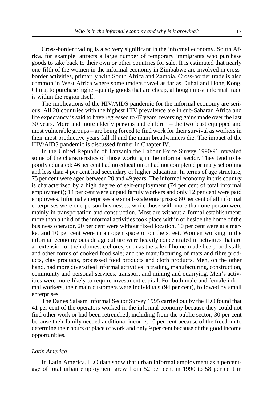Cross-border trading is also very significant in the informal economy. South Africa, for example, attracts a large number of temporary immigrants who purchase goods to take back to their own or other countries for sale. It is estimated that nearly one-fifth of the women in the informal economy in Zimbabwe are involved in crossborder activities, primarily with South Africa and Zambia. Cross-border trade is also common in West Africa where some traders travel as far as Dubai and Hong Kong, China, to purchase higher-quality goods that are cheap, although most informal trade is within the region itself.

The implications of the HIV/AIDS pandemic for the informal economy are serious. All 20 countries with the highest HIV prevalence are in sub-Saharan Africa and life expectancy is said to have regressed to 47 years, reversing gains made over the last 30 years. More and more elderly persons and children – the two least equipped and most vulnerable groups – are being forced to find work for their survival as workers in their most productive years fall ill and the main breadwinners die. The impact of the HIV/AIDS pandemic is discussed further in Chapter IV.

In the United Republic of Tanzania the Labour Force Survey 1990/91 revealed some of the characteristics of those working in the informal sector. They tend to be poorly educated: 46 per cent had no education or had not completed primary schooling and less than 4 per cent had secondary or higher education. In terms of age structure, 75 per cent were aged between 20 and 49 years. The informal economy in this country is characterized by a high degree of self-employment (74 per cent of total informal employment); 14 per cent were unpaid family workers and only 12 per cent were paid employees. Informal enterprises are small-scale enterprises: 80 per cent of all informal enterprises were one-person businesses, while those with more than one person were mainly in transportation and construction. Most are without a formal establishment: more than a third of the informal activities took place within or beside the home of the business operator, 20 per cent were without fixed location, 10 per cent were at a market and 10 per cent were in an open space or on the street. Women working in the informal economy outside agriculture were heavily concentrated in activities that are an extension of their domestic chores, such as the sale of home-made beer, food stalls and other forms of cooked food sale; and the manufacturing of mats and fibre products, clay products, processed food products and cloth products. Men, on the other hand, had more diversified informal activities in trading, manufacturing, construction, community and personal services, transport and mining and quarrying. Men's activities were more likely to require investment capital. For both male and female informal workers, their main customers were individuals (94 per cent), followed by small enterprises.

The Dar es Salaam Informal Sector Survey 1995 carried out by the ILO found that 41 per cent of the operators worked in the informal economy because they could not find other work or had been retrenched, including from the public sector, 30 per cent because their family needed additional income, 10 per cent because of the freedom to determine their hours or place of work and only 9 per cent because of the good income opportunities.

## *Latin America*

In Latin America, ILO data show that urban informal employment as a percentage of total urban employment grew from 52 per cent in 1990 to 58 per cent in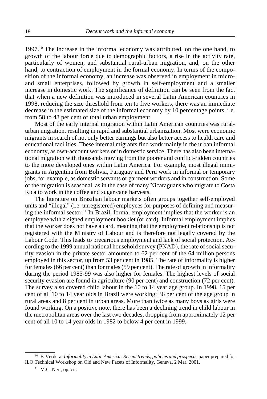$1997<sup>10</sup>$  The increase in the informal economy was attributed, on the one hand, to growth of the labour force due to demographic factors, a rise in the activity rate, particularly of women, and substantial rural-urban migration, and, on the other hand, to contraction of employment in the formal economy. In terms of the composition of the informal economy, an increase was observed in employment in microand small enterprises, followed by growth in self-employment and a smaller increase in domestic work. The significance of definition can be seen from the fact that when a new definition was introduced in several Latin American countries in 1998, reducing the size threshold from ten to five workers, there was an immediate decrease in the estimated size of the informal economy by 10 percentage points, i.e. from 58 to 48 per cent of total urban employment.

Most of the early internal migration within Latin American countries was ruralurban migration, resulting in rapid and substantial urbanization. Most were economic migrants in search of not only better earnings but also better access to health care and educational facilities. These internal migrants find work mainly in the urban informal economy, as own-account workers or in domestic service. There has also been international migration with thousands moving from the poorer and conflict-ridden countries to the more developed ones within Latin America. For example, most illegal immigrants in Argentina from Bolivia, Paraguay and Peru work in informal or temporary jobs, for example, as domestic servants or garment workers and in construction. Some of the migration is seasonal, as in the case of many Nicaraguans who migrate to Costa Rica to work in the coffee and sugar cane harvests.

The literature on Brazilian labour markets often groups together self-employed units and "illegal" (i.e. unregistered) employees for purposes of defining and measuring the informal sector.11 In Brazil, formal employment implies that the worker is an employee with a signed employment booklet (or card). Informal employment implies that the worker does not have a card, meaning that the employment relationship is not registered with the Ministry of Labour and is therefore not legally covered by the Labour Code. This leads to precarious employment and lack of social protection. According to the 1999 annual national household survey (PNAD), the rate of social security evasion in the private sector amounted to 62 per cent of the 64 million persons employed in this sector, up from 53 per cent in 1985. The rate of informality is higher for females (66 per cent) than for males (59 per cent). The rate of growth in informality during the period 1985-99 was also higher for females. The highest levels of social security evasion are found in agriculture (90 per cent) and construction (72 per cent). The survey also covered child labour in the 10 to 14 year age group. In 1998, 15 per cent of all 10 to 14 year olds in Brazil were working: 36 per cent of the age group in rural areas and 8 per cent in urban areas. More than twice as many boys as girls were found working. On a positive note, there has been a declining trend in child labour in the metropolitan areas over the last two decades, dropping from approximately 12 per cent of all 10 to 14 year olds in 1982 to below 4 per cent in 1999.

<sup>10</sup> F. Verdera: *Informality in Latin America: Recent trends, policies and prospects,* paper prepared for ILO Technical Workshop on Old and New Facets of Informality, Geneva, 2 Mar. 2001.

<sup>&</sup>lt;sup>11</sup> M.C. Neri, op. cit.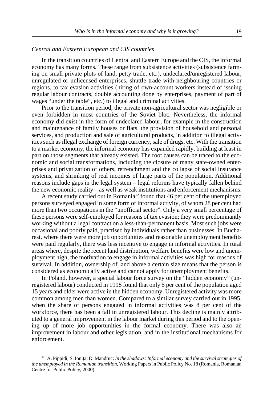#### *Central and Eastern European and CIS countries*

In the transition countries of Central and Eastern Europe and the CIS, the informal economy has many forms. These range from subsistence activities (subsistence farming on small private plots of land, petty trade, etc.), undeclared/unregistered labour, unregulated or unlicensed enterprises, shuttle trade with neighbouring countries or regions, to tax evasion activities (hiring of own-account workers instead of issuing regular labour contracts, double accounting done by enterprises, payment of part of wages "under the table", etc.) to illegal and criminal activities.

Prior to the transition period, the private non-agricultural sector was negligible or even forbidden in most countries of the Soviet bloc. Nevertheless, the informal economy did exist in the form of undeclared labour, for example in the construction and maintenance of family houses or flats, the provision of household and personal services, and production and sale of agricultural products, in addition to illegal activities such as illegal exchange of foreign currency, sale of drugs, etc. With the transition to a market economy, the informal economy has expanded rapidly, building at least in part on those segments that already existed. The root causes can be traced to the economic and social transformations, including the closure of many state-owned enterprises and privatization of others, retrenchment and the collapse of social insurance systems, and shrinking of real incomes of large parts of the population. Additional reasons include gaps in the legal system – legal reforms have typically fallen behind the new economic reality – as well as weak institutions and enforcement mechanisms.

A recent study carried out in Romania<sup>12</sup> found that 46 per cent of the unemployed persons surveyed engaged in some form of informal activity, of whom 28 per cent had more than two occupations in the "unofficial sector". Only a very small percentage of these persons were self-employed for reasons of tax evasion; they were predominantly working without a legal contract on a less-than-permanent basis. Most such jobs were occasional and poorly paid, practised by individuals rather than businesses. In Bucharest, where there were more job opportunities and reasonable unemployment benefits were paid regularly, there was less incentive to engage in informal activities. In rural areas where, despite the recent land distribution, welfare benefits were low and unemployment high, the motivation to engage in informal activities was high for reasons of survival. In addition, ownership of land above a certain size means that the person is considered as economically active and cannot apply for unemployment benefits.

In Poland, however, a special labour force survey on the "hidden economy" (unregistered labour) conducted in 1998 found that only 5 per cent of the population aged 15 years and older were active in the hidden economy. Unregistered activity was more common among men than women. Compared to a similar survey carried out in 1995, when the share of persons engaged in informal activities was 8 per cent of the workforce, there has been a fall in unregistered labour. This decline is mainly attributed to a general improvement in the labour market during this period and to the opening up of more job opportunities in the formal economy. There was also an improvement in labour and other legislation, and in the institutional mechanisms for enforcement.

<sup>&</sup>lt;sup>12</sup> A. Pippidi; S. Ioniță; D. Mandruc: *In the shadows: Informal economy and the survival strategies of the unemployed in the Romanian transition,* Working Papers in Public Policy No. 18 (Romania, Romanian Centre for Public Policy, 2000).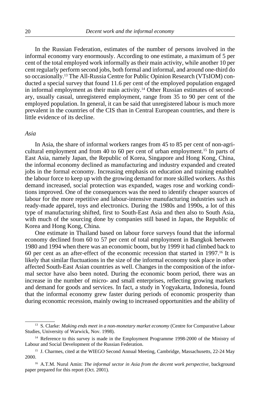In the Russian Federation, estimates of the number of persons involved in the informal economy vary enormously. According to one estimate, a maximum of 5 per cent of the total employed work informally as their main activity, while another 10 per cent regularly perform second jobs, both formal and informal, and around one-third do so occasionally.13 The All-Russia Centre for Public Opinion Research (VTsIOM) conducted a special survey that found 11.6 per cent of the employed population engaged in informal employment as their main activity.14 Other Russian estimates of secondary, usually casual, unregistered employment, range from 35 to 90 per cent of the employed population. In general, it can be said that unregistered labour is much more prevalent in the countries of the CIS than in Central European countries, and there is little evidence of its decline.

## *Asia*

In Asia, the share of informal workers ranges from 45 to 85 per cent of non-agricultural employment and from 40 to 60 per cent of urban employment.<sup>15</sup> In parts of East Asia, namely Japan, the Republic of Korea, Singapore and Hong Kong, China, the informal economy declined as manufacturing and industry expanded and created jobs in the formal economy. Increasing emphasis on education and training enabled the labour force to keep up with the growing demand for more skilled workers. As this demand increased, social protection was expanded, wages rose and working conditions improved. One of the consequences was the need to identify cheaper sources of labour for the more repetitive and labour-intensive manufacturing industries such as ready-made apparel, toys and electronics. During the 1980s and 1990s, a lot of this type of manufacturing shifted, first to South-East Asia and then also to South Asia, with much of the sourcing done by companies still based in Japan, the Republic of Korea and Hong Kong, China.

One estimate in Thailand based on labour force surveys found that the informal economy declined from 60 to 57 per cent of total employment in Bangkok between 1980 and 1994 when there was an economic boom, but by 1999 it had climbed back to 60 per cent as an after-effect of the economic recession that started in 1997.16 It is likely that similar fluctuations in the size of the informal economy took place in other affected South-East Asian countries as well. Changes in the composition of the informal sector have also been noted. During the economic boom period, there was an increase in the number of micro- and small enterprises, reflecting growing markets and demand for goods and services. In fact, a study in Yogyakarta, Indonesia, found that the informal economy grew faster during periods of economic prosperity than during economic recession, mainly owing to increased opportunities and the ability of

<sup>13</sup> S. Clarke: *Making ends meet in a non-monetary market economy* (Centre for Comparative Labour Studies, University of Warwick, Nov. 1998).

<sup>&</sup>lt;sup>14</sup> Reference to this survey is made in the Employment Programme 1998-2000 of the Ministry of Labour and Social Development of the Russian Federation.

<sup>15</sup> J. Charmes, cited at the WIEGO Second Annual Meeting, Cambridge, Massachusetts, 22-24 May 2000.

<sup>16</sup> A.T.M. Nurul Amin: *The informal sector in Asia from the decent work perspective*, background paper prepared for this report (Oct. 2001).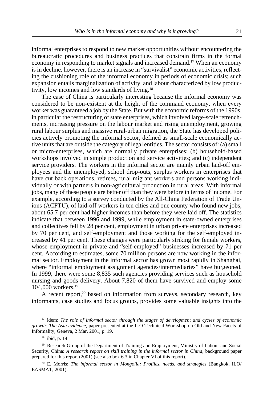informal enterprises to respond to new market opportunities without encountering the bureaucratic procedures and business practices that constrain firms in the formal economy in responding to market signals and increased demand.17 When an economy is in decline, however, there is an increase in "survivalist" economic activities, reflecting the cushioning role of the informal economy in periods of economic crisis; such expansion entails marginalization of activity, and labour characterized by low productivity, low incomes and low standards of living.18

The case of China is particularly interesting because the informal economy was considered to be non-existent at the height of the command economy, when every worker was guaranteed a job by the State. But with the economic reforms of the 1990s, in particular the restructuring of state enterprises, which involved large-scale retrenchments, increasing pressure on the labour market and rising unemployment, growing rural labour surplus and massive rural-urban migration, the State has developed policies actively promoting the informal sector, defined as small-scale economically active units that are outside the category of legal entities. The sector consists of: (a) small or micro-enterprises, which are normally private enterprises; (b) household-based workshops involved in simple production and service activities; and (c) independent service providers. The workers in the informal sector are mainly urban laid-off employees and the unemployed, school drop-outs, surplus workers in enterprises that have cut back operations, retirees, rural migrant workers and persons working individually or with partners in non-agricultural production in rural areas. With informal jobs, many of these people are better off than they were before in terms of income. For example, according to a survey conducted by the All-China Federation of Trade Unions (ACFTU), of laid-off workers in ten cities and one county who found new jobs, about 65.7 per cent had higher incomes than before they were laid off. The statistics indicate that between 1996 and 1999, while employment in state-owned enterprises and collectives fell by 28 per cent, employment in urban private enterprises increased by 70 per cent, and self-employment and those working for the self-employed increased by 41 per cent. These changes were particularly striking for female workers, whose employment in private and "self-employed" businesses increased by 71 per cent. According to estimates, some 70 million persons are now working in the informal sector. Employment in the informal sector has grown most rapidly in Shanghai, where "informal employment assignment agencies/intermediaries" have burgeoned. In 1999, there were some 8,835 such agencies providing services such as household nursing and goods delivery. About 7,820 of them have survived and employ some 104,000 workers.<sup>19</sup>

A recent report, $20$  based on information from surveys, secondary research, key informants, case studies and focus groups, provides some valuable insights into the

<sup>17</sup> idem: *The role of informal sector through the stages of development and cycles of economic growth: The Asia evidence*, paper presented at the ILO Technical Workshop on Old and New Facets of Informality, Geneva, 2 Mar. 2001, p. 19.

<sup>18</sup> ibid, p. 14.

<sup>&</sup>lt;sup>19</sup> Research Group of the Department of Training and Employment, Ministry of Labour and Social Security, China: *A research report on skill training in the informal sector in China*, background paper prepared for this report (2001) (see also box 6.3 in Chapter VI of this report).

<sup>20</sup> E. Morris: *The informal sector in Mongolia: Profiles, needs, and strategies* (Bangkok, ILO/ EASMAT, 2001).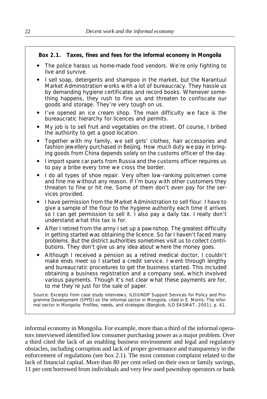# **Box 2.1. Taxes, fines and fees for the informal economy in Mongolia**

- The police harass us home-made food vendors. We're only fighting to live and survive.
- ! I sell soap, detergents and shampoo in the market, but the Narantuul Market Administration works with a lot of bureaucracy. They hassle us by demanding hygiene certificates and record books. Whenever something happens, they rush to fine us and threaten to confiscate our goods and storage. They're very tough on us.
- ! I've opened an ice cream shop. The main difficulty we face is the bureaucratic hierarchy for licences and permits.
- ! My job is to sell fruit and vegetables on the street. Of course, I bribed the authority to get a good location.
- Together with my family, we sell girls' clothes, hair accessories and fashion jewellery purchased in Beijing. How much duty we pay in bringing goods from China depends solely on the customs officer of the day.
- I import spare car parts from Russia and the customs officer requires us to pay a bribe every time we cross the border.
- I do all types of shoe repair. Very often low-ranking policemen come and fine me without any reason. If I'm busy with other customers they threaten to fine or hit me. Some of them don't even pay for the services provided.
- ! I have permission from the Market Administration to sell flour. I have to give a sample of the flour to the hygiene authority each time it arrives so I can get permission to sell it. I also pay a daily tax. I really don't understand what this tax is for.
- ! After I retired from the army I set up a pawnshop. The greatest difficulty in getting started was obtaining the licence. So far I haven't faced many problems. But the district authorities sometimes visit us to collect contributions. They don't give us any idea about where the money goes.
- ! Although I received a pension as a retired medical doctor, I couldn't make ends meet so I started a credit service. I went through lengthy and bureaucratic procedures to get the business started. This included obtaining a business registration and a company seal, which involved various payments. Though it's not clear what these payments are for, to me they're just for the sale of paper.

Source: Excerpts from case study interviews, ILO/UNDP Support Services for Policy and Programme Development (SPPD) on the informal sector in Mongolia, cited in E. Morris: *The informal sector in Mongolia: Profiles, needs, and strategies* (Bangkok, ILO EASMAT, 2001), p. 41.

informal economy in Mongolia. For example, more than a third of the informal operators interviewed identified low consumer purchasing power as a major problem. Over a third cited the lack of an enabling business environment and legal and regulatory obstacles, including corruption and lack of proper governance and transparency in the enforcement of regulations (see box 2.1). The most common complaint related to the lack of financial capital. More than 80 per cent relied on their own or family savings, 11 per cent borrowed from individuals and very few used pawnshop operators or bank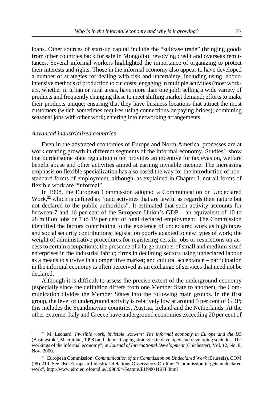loans. Other sources of start-up capital include the "suitcase trade" (bringing goods from other countries back for sale in Mongolia), revolving credit and overseas remittances. Several informal workers highlighted the importance of organizing to protect their interests and rights. Those in the informal economy also appear to have developed a number of strategies for dealing with risk and uncertainty, including using labourintensive methods of production to cut costs; engaging in multiple activities (most workers, whether in urban or rural areas, have more than one job); selling a wide variety of products and frequently changing these to meet shifting market demand; efforts to make their products unique; ensuring that they have business locations that attract the most customers (which sometimes requires using connections or paying bribes); combining seasonal jobs with other work; entering into networking arrangements.

## *Advanced industrialized countries*

Even in the advanced economies of Europe and North America, processes are at work creating growth in different segments of the informal economy. Studies<sup>21</sup> show that burdensome state regulation often provides an incentive for tax evasion, welfare benefit abuse and other activities aimed at earning invisible income. The increasing emphasis on flexible specialization has also eased the way for the introduction of nonstandard forms of employment, although, as explained in Chapter I, not all forms of flexible work are "informal".

In 1998, the European Commission adopted a Communication on Undeclared Work,<sup>22</sup> which is defined as "paid activities that are lawful as regards their nature but not declared to the public authorities". It estimated that such activity accounts for between 7 and 16 per cent of the European Union's GDP – an equivalent of 10 to 28 million jobs or 7 to 19 per cent of total declared employment. The Commission identified the factors contributing to the existence of undeclared work as high taxes and social security contributions; legislation poorly adapted to new types of work; the weight of administrative procedures for registering certain jobs or restrictions on access to certain occupations; the presence of a large number of small and medium-sized enterprises in the industrial fabric; firms in declining sectors using undeclared labour as a means to survive in a competitive market; and cultural acceptance – participation in the informal economy is often perceived as an exchange of services that need not be declared.

Although it is difficult to assess the precise extent of the underground economy (especially since the definition differs from one Member State to another), the Communication divides the Member States into the following main groups. In the first group, the level of underground activity is relatively low at around 5 per cent of GDP; this includes the Scandinavian countries, Austria, Ireland and the Netherlands. At the other extreme, Italy and Greece have underground economies exceeding 20 per cent of

<sup>21</sup> M. Leonard: *Invisible work, invisible workers: The informal economy in Europe and the US* (Basingstoke, Macmillan, 1998) and idem: "Coping strategies in developed and developing societies: The workings of the informal economy", in *Journal of International Development* (Chichester)*,* Vol. 12, No. 8, Nov. 2000.

<sup>22</sup> European Commission: *Communication of the Commission on Undeclared Work* (Brussels), COM (98)-219. See also European Industrial Relations Observatory On-line: "Commission targets undeclared work", http://www.eiro.eurofound.ie/1998/04/Feature/EU9804197F.html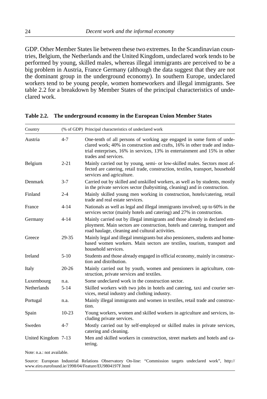GDP. Other Member States lie between these two extremes. In the Scandinavian countries, Belgium, the Netherlands and the United Kingdom, undeclared work tends to be performed by young, skilled males, whereas illegal immigrants are perceived to be a big problem in Austria, France Germany (although the data suggest that they are not the dominant group in the underground economy). In southern Europe, undeclared workers tend to be young people, women homeworkers and illegal immigrants. See table 2.2 for a breakdown by Member States of the principal characteristics of undeclared work.

| Country             |           | (% of GDP) Principal characteristics of undeclared work                                                                                                                                                                                                  |  |  |  |
|---------------------|-----------|----------------------------------------------------------------------------------------------------------------------------------------------------------------------------------------------------------------------------------------------------------|--|--|--|
| Austria             | $4 - 7$   | One-tenth of all persons of working age engaged in some form of unde-<br>clared work; 40% in construction and crafts, 16% in other trade and indus-<br>trial enterprises, 16% in services, 13% in entertainment and 15% in other<br>trades and services. |  |  |  |
| Belgium             | $2 - 21$  | Mainly carried out by young, semi- or low-skilled males. Sectors most af-<br>fected are catering, retail trade, construction, textiles, transport, household<br>services and agriculture.                                                                |  |  |  |
| Denmark             | $3 - 7$   | Carried out by skilled and unskilled workers, as well as by students, mostly<br>in the private services sector (babysitting, cleaning) and in construction.                                                                                              |  |  |  |
| Finland             | $2 - 4$   | Mainly skilled young men working in construction, hotels/catering, retail<br>trade and real estate services.                                                                                                                                             |  |  |  |
| France              | $4 - 14$  | Nationals as well as legal and illegal immigrants involved; up to 60% in the<br>services sector (mainly hotels and catering) and 27% in construction.                                                                                                    |  |  |  |
| Germany             | $4 - 14$  | Mainly carried out by illegal immigrants and those already in declared em-<br>ployment. Main sectors are construction, hotels and catering, transport and<br>road haulage, cleaning and cultural activities.                                             |  |  |  |
| Greece              | 29-35     | Mainly legal and illegal immigrants but also pensioners, students and home-<br>based women workers. Main sectors are textiles, tourism, transport and<br>household services.                                                                             |  |  |  |
| Ireland             | $5-10$    | Students and those already engaged in official economy, mainly in construc-<br>tion and distribution.                                                                                                                                                    |  |  |  |
| Italy               | $20 - 26$ | Mainly carried out by youth, women and pensioners in agriculture, con-<br>struction, private services and textiles.                                                                                                                                      |  |  |  |
| Luxembourg          | n.a.      | Some undeclared work in the construction sector.                                                                                                                                                                                                         |  |  |  |
| <b>Netherlands</b>  | $5 - 14$  | Skilled workers with two jobs in hotels and catering, taxi and courier ser-<br>vices, metal industry and clothing industry.                                                                                                                              |  |  |  |
| Portugal            | n.a.      | Mainly illegal immigrants and women in textiles, retail trade and construc-<br>tion.                                                                                                                                                                     |  |  |  |
| Spain               | $10-23$   | Young workers, women and skilled workers in agriculture and services, in-<br>cluding private services.                                                                                                                                                   |  |  |  |
| Sweden              | $4 - 7$   | Mostly carried out by self-employed or skilled males in private services,<br>catering and cleaning.                                                                                                                                                      |  |  |  |
| United Kingdom 7-13 |           | Men and skilled workers in construction, street markets and hotels and ca-<br>tering.                                                                                                                                                                    |  |  |  |

## **Table 2.2. The underground economy in the European Union Member States**

Note: n.a.: not available.

Source: European Industrial Relations Observatory On-line: "Commission targets undeclared work", http:// www.eiro.eurofound.ie/1998/04/Feature/EU9804197F.html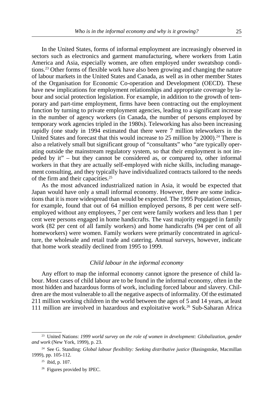<span id="page-28-0"></span>In the United States, forms of informal employment are increasingly observed in sectors such as electronics and garment manufacturing, where workers from Latin America and Asia, especially women, are often employed under sweatshop conditions.23 Other forms of flexible work have also been growing and changing the nature of labour markets in the United States and Canada, as well as in other member States of the Organisation for Economic Co-operation and Development (OECD). These have new implications for employment relationships and appropriate coverage by labour and social protection legislation. For example, in addition to the growth of temporary and part-time employment, firms have been contracting out the employment function by turning to private employment agencies, leading to a significant increase in the number of agency workers (in Canada, the number of persons employed by temporary work agencies tripled in the 1980s). Teleworking has also been increasing rapidly (one study in 1994 estimated that there were 7 million teleworkers in the United States and forecast that this would increase to 25 million by  $2000$ ).<sup>24</sup> There is also a relatively small but significant group of "consultants" who "are typically operating outside the mainstream regulatory system, so that their employment is not impeded by it" – but they cannot be considered as, or compared to, other informal workers in that they are actually self-employed with niche skills, including management consulting, and they typically have individualized contracts tailored to the needs of the firm and their capacities.25

As the most advanced industrialized nation in Asia, it would be expected that Japan would have only a small informal economy. However, there are some indications that it is more widespread than would be expected. The 1995 Population Census, for example, found that out of 64 million employed persons, 8 per cent were selfemployed without any employees, 7 per cent were family workers and less than 1 per cent were persons engaged in home handicrafts. The vast majority engaged in family work (82 per cent of all family workers) and home handicrafts (94 per cent of all homeworkers) were women. Family workers were primarily concentrated in agriculture, the wholesale and retail trade and catering. Annual surveys, however, indicate that home work steadily declined from 1995 to 1999.

## *Child labour in the informal economy*

Any effort to map the informal economy cannot ignore the presence of child labour. Most cases of child labour are to be found in the informal economy, often in the most hidden and hazardous forms of work, including forced labour and slavery. Children are the most vulnerable to all the negative aspects of informality. Of the estimated 211 million working children in the world between the ages of 5 and 14 years, at least 111 million are involved in hazardous and exploitative work.<sup>26</sup> Sub-Saharan Africa

<sup>23</sup> United Nations: *1999 world survey on the role of women in development: Globalization, gender and work* (New York, 1999), p. 23.

<sup>&</sup>lt;sup>24</sup> See G. Standing: *Global labour flexibility: Seeking distributive justice* (Basingstoke, Macmillan 1999), pp. 105-112.

 $25$  ibid, p. 107.

<sup>26</sup> Figures provided by IPEC.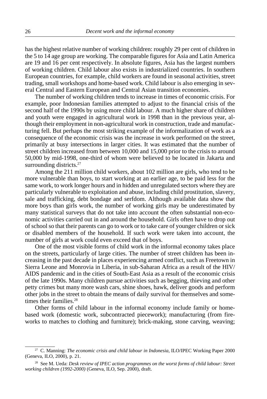has the highest relative number of working children: roughly 29 per cent of children in the 5 to 14 age group are working. The comparable figures for Asia and Latin America are 19 and 16 per cent respectively. In absolute figures, Asia has the largest numbers of working children. Child labour also exists in industrialized countries. In southern European countries, for example, child workers are found in seasonal activities, street trading, small workshops and home-based work. Child labour is also emerging in several Central and Eastern European and Central Asian transition economies.

The number of working children tends to increase in times of economic crisis. For example, poor Indonesian families attempted to adjust to the financial crisis of the second half of the 1990s by using more child labour. A much higher share of children and youth were engaged in agricultural work in 1998 than in the previous year, although their employment in non-agricultural work in construction, trade and manufacturing fell. But perhaps the most striking example of the informalization of work as a consequence of the economic crisis was the increase in work performed on the street, primarily at busy intersections in larger cities. It was estimated that the number of street children increased from between 10,000 and 15,000 prior to the crisis to around 50,000 by mid-1998, one-third of whom were believed to be located in Jakarta and surrounding districts.<sup>27</sup>

Among the 211 million child workers, about 102 million are girls, who tend to be more vulnerable than boys, to start working at an earlier age, to be paid less for the same work, to work longer hours and in hidden and unregulated sectors where they are particularly vulnerable to exploitation and abuse, including child prostitution, slavery, sale and trafficking, debt bondage and serfdom. Although available data show that more boys than girls work, the number of working girls may be underestimated by many statistical surveys that do not take into account the often substantial non-economic activities carried out in and around the household. Girls often have to drop out of school so that their parents can go to work or to take care of younger children or sick or disabled members of the household. If such work were taken into account, the number of girls at work could even exceed that of boys.

One of the most visible forms of child work in the informal economy takes place on the streets, particularly of large cities. The number of street children has been increasing in the past decade in places experiencing armed conflict, such as Freetown in Sierra Leone and Monrovia in Liberia, in sub-Saharan Africa as a result of the HIV/ AIDS pandemic and in the cities of South-East Asia as a result of the economic crisis of the late 1990s. Many children pursue activities such as begging, thieving and other petty crimes but many more wash cars, shine shoes, hawk, deliver goods and perform other jobs in the street to obtain the means of daily survival for themselves and sometimes their families.<sup>28</sup>

Other forms of child labour in the informal economy include family or homebased work (domestic work, subcontracted piecework); manufacturing (from fireworks to matches to clothing and furniture); brick-making, stone carving, weaving;

<sup>&</sup>lt;sup>27</sup> C. Manning: *The economic crisis and child labour in Indonesia*, ILO/IPEC Working Paper 2000 (Geneva, ILO, 2000), p. 21.

<sup>28</sup> See M. Ueda: *Desk review of IPEC action programmes on the worst forms of child labour: Street working children (1992-2000)* (Geneva, ILO, Sep. 2000), draft.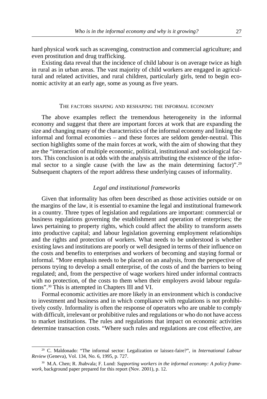<span id="page-30-0"></span>hard physical work such as scavenging, construction and commercial agriculture; and even prostitution and drug trafficking.

Existing data reveal that the incidence of child labour is on average twice as high in rural as in urban areas. The vast majority of child workers are engaged in agricultural and related activities, and rural children, particularly girls, tend to begin economic activity at an early age, some as young as five years.

#### THE FACTORS SHAPING AND RESHAPING THE INFORMAL ECONOMY

The above examples reflect the tremendous heterogeneity in the informal economy and suggest that there are important forces at work that are expanding the size and changing many of the characteristics of the informal economy and linking the informal and formal economies – and these forces are seldom gender-neutral. This section highlights some of the main forces at work, with the aim of showing that they are the "interaction of multiple economic, political, institutional and sociological factors. This conclusion is at odds with the analysis attributing the existence of the informal sector to a single cause (with the law as the main determining factor)".29 Subsequent chapters of the report address these underlying causes of informality.

#### *Legal and institutional frameworks*

Given that informality has often been described as those activities outside or on the margins of the law, it is essential to examine the legal and institutional framework in a country. Three types of legislation and regulations are important: commercial or business regulations governing the establishment and operation of enterprises; the laws pertaining to property rights, which could affect the ability to transform assets into productive capital; and labour legislation governing employment relationships and the rights and protection of workers. What needs to be understood is whether existing laws and institutions are poorly or well designed in terms of their influence on the costs and benefits to enterprises and workers of becoming and staying formal or informal. "More emphasis needs to be placed on an analysis, from the perspective of persons trying to develop a small enterprise, of the costs of and the barriers to being regulated; and, from the perspective of wage workers hired under informal contracts with no protection, of the costs to them when their employers avoid labour regulations".30 This is attempted in Chapters III and VI.

Formal economic activities are more likely in an environment which is conducive to investment and business and in which compliance with regulations is not prohibitively costly. Informality is often the response of operators who are unable to comply with difficult, irrelevant or prohibitive rules and regulations or who do not have access to market institutions. The rules and regulations that impact on economic activities determine transaction costs. "Where such rules and regulations are cost effective, are

<sup>29</sup> C. Maldonado: "The informal sector: Legalization or laissez-faire?", in *International Labour Review* (Geneva)*,* Vol. 134, No. 6, 1995, p. 727.

<sup>30</sup> M.A. Chen; R. Jhabvala; F. Lund: *Supporting workers in the informal economy: A policy framework,* background paper prepared for this report (Nov. 2001), p. 12.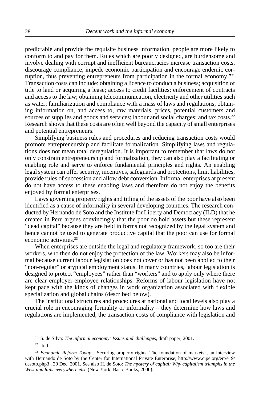predictable and provide the requisite business information, people are more likely to conform to and pay for them. Rules which are poorly designed, are burdensome and involve dealing with corrupt and inefficient bureaucracies increase transaction costs, discourage compliance, impede economic participation and encourage endemic corruption, thus preventing entrepreneurs from participation in the formal economy."31 Transaction costs can include: obtaining a licence to conduct a business; acquisition of title to land or acquiring a lease; access to credit facilities; enforcement of contracts and access to the law; obtaining telecommunication, electricity and other utilities such as water; familiarization and compliance with a mass of laws and regulations; obtaining information on, and access to, raw materials, prices, potential customers and sources of supplies and goods and services; labour and social charges; and tax costs.<sup>32</sup> Research shows that these costs are often well beyond the capacity of small enterprises and potential entrepreneurs.

Simplifying business rules and procedures and reducing transaction costs would promote entrepreneurship and facilitate formalization. Simplifying laws and regulations does not mean total deregulation. It is important to remember that laws do not only constrain entrepreneurship and formalization, they can also play a facilitating or enabling role and serve to enforce fundamental principles and rights. An enabling legal system can offer security, incentives, safeguards and protections, limit liabilities, provide rules of succession and allow debt conversion. Informal enterprises at present do not have access to these enabling laws and therefore do not enjoy the benefits enjoyed by formal enterprises.

Laws governing property rights and titling of the assets of the poor have also been identified as a cause of informality in several developing countries. The research conducted by Hernando de Soto and the Institute for Liberty and Democracy (ILD) that he created in Peru argues convincingly that the poor do hold assets but these represent "dead capital" because they are held in forms not recognized by the legal system and hence cannot be used to generate productive capital that the poor can use for formal economic activities.33

When enterprises are outside the legal and regulatory framework, so too are their workers, who then do not enjoy the protection of the law. Workers may also be informal because current labour legislation does not cover or has not been applied to their "non-regular" or atypical employment status. In many countries, labour legislation is designed to protect "employees" rather than "workers" and to apply only where there are clear employer-employee relationships. Reforms of labour legislation have not kept pace with the kinds of changes in work organization associated with flexible specialization and global chains (described below).

The institutional structures and procedures at national and local levels also play a crucial role in encouraging formality or informality – they determine how laws and regulations are implemented, the transaction costs of compliance with legislation and

<sup>31</sup> S. de Silva: *The informal economy: Issues and challenges*, draft paper, 2001.

 $32$  ibid.

<sup>&</sup>lt;sup>33</sup> *Economic Reform Today:* "Securing property rights: The foundation of markets", an interview with Hernando de Soto by the Center for International Private Enterprise, http://www.cipe.org/ert/e19/ desoto.php3 , 20 Dec. 2001*.* See also H. de Soto: *The mystery of capital: Why capitalism triumphs in the West and fails everywhere else* (New York, Basic Books, 2000).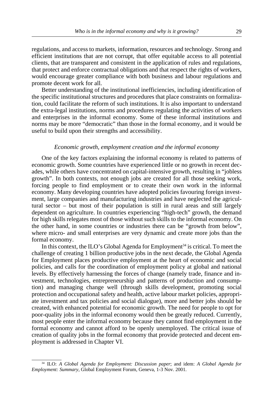<span id="page-32-0"></span>regulations, and access to markets, information, resources and technology. Strong and efficient institutions that are not corrupt, that offer equitable access to all potential clients, that are transparent and consistent in the application of rules and regulations, that protect and enforce contractual obligations and that respect the rights of workers, would encourage greater compliance with both business and labour regulations and promote decent work for all.

Better understanding of the institutional inefficiencies, including identification of the specific institutional structures and procedures that place constraints on formalization, could facilitate the reform of such institutions. It is also important to understand the extra-legal institutions, norms and procedures regulating the activities of workers and enterprises in the informal economy. Some of these informal institutions and norms may be more "democratic" than those in the formal economy, and it would be useful to build upon their strengths and accessibility.

## *Economic growth, employment creation and the informal economy*

One of the key factors explaining the informal economy is related to patterns of economic growth. Some countries have experienced little or no growth in recent decades, while others have concentrated on capital-intensive growth, resulting in "jobless growth". In both contexts, not enough jobs are created for all those seeking work, forcing people to find employment or to create their own work in the informal economy. Many developing countries have adopted policies favouring foreign investment, large companies and manufacturing industries and have neglected the agricultural sector – but most of their population is still in rural areas and still largely dependent on agriculture. In countries experiencing "high-tech" growth, the demand for high skills relegates most of those without such skills to the informal economy. On the other hand, in some countries or industries there can be "growth from below", where micro- and small enterprises are very dynamic and create more jobs than the formal economy.

In this context, the ILO's Global Agenda for Employment<sup>34</sup> is critical. To meet the challenge of creating 1 billion productive jobs in the next decade, the Global Agenda for Employment places productive employment at the heart of economic and social policies, and calls for the coordination of employment policy at global and national levels. By effectively harnessing the forces of change (namely trade, finance and investment, technologies, entrepreneurship and patterns of production and consumption) and managing change well (through skills development, promoting social protection and occupational safety and health, active labour market policies, appropriate investment and tax policies and social dialogue), more and better jobs should be created, with enhanced potential for economic growth. The need for people to opt for poor-quality jobs in the informal economy would then be greatly reduced. Currently, most people enter the informal economy because they cannot find employment in the formal economy and cannot afford to be openly unemployed. The critical issue of creation of quality jobs in the formal economy that provide protected and decent employment is addressed in Chapter VI.

<sup>34</sup> ILO: *A Global Agenda for Employment: Discussion paper*; and idem: *A Global Agenda for Employment: Summary,* Global Employment Forum, Geneva, 1-3 Nov. 2001.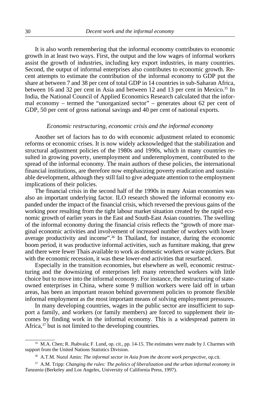<span id="page-33-0"></span>It is also worth remembering that the informal economy contributes to economic growth in at least two ways. First, the output and the low wages of informal workers assist the growth of industries, including key export industries, in many countries. Second, the output of informal enterprises also contributes to economic growth. Recent attempts to estimate the contribution of the informal economy to GDP put the share at between 7 and 38 per cent of total GDP in 14 countries in sub-Saharan Africa, between 16 and 32 per cent in Asia and between 12 and 13 per cent in Mexico.<sup>35</sup> In India, the National Council of Applied Economics Research calculated that the informal economy – termed the "unorganized sector" – generates about 62 per cent of GDP, 50 per cent of gross national savings and 40 per cent of national exports.

#### *Economic restructuring, economic crisis and the informal economy*

Another set of factors has to do with economic adjustment related to economic reforms or economic crises. It is now widely acknowledged that the stabilization and structural adjustment policies of the 1980s and 1990s, which in many countries resulted in growing poverty, unemployment and underemployment, contributed to the spread of the informal economy. The main authors of these policies, the international financial institutions, are therefore now emphasizing poverty eradication and sustainable development, although they still fail to give adequate attention to the employment implications of their policies.

The financial crisis in the second half of the 1990s in many Asian economies was also an important underlying factor. ILO research showed the informal economy expanded under the impact of the financial crisis, which reversed the previous gains of the working poor resulting from the tight labour market situation created by the rapid economic growth of earlier years in the East and South-East Asian countries. The swelling of the informal economy during the financial crisis reflects the "growth of more marginal economic activities and involvement of increased number of workers with lower average productivity and income".<sup>36</sup> In Thailand, for instance, during the economic boom period, it was productive informal activities, such as furniture making, that grew and there were fewer Thais available to work as domestic workers or waste pickers. But with the economic recession, it was these lower-end activities that resurfaced.

Especially in the transition economies, but elsewhere as well, economic restructuring and the downsizing of enterprises left many retrenched workers with little choice but to move into the informal economy. For instance, the restructuring of stateowned enterprises in China, where some 9 million workers were laid off in urban areas, has been an important reason behind government policies to promote flexible informal employment as the most important means of solving employment pressures.

In many developing countries, wages in the public sector are insufficient to support a family, and workers (or family members) are forced to supplement their incomes by finding work in the informal economy. This is a widespread pattern in Africa,<sup>37</sup> but is not limited to the developing countries.

<sup>&</sup>lt;sup>35</sup> M.A. Chen; R. Jhabvala; F. Lund, op. cit., pp. 14-15. The estimates were made by J. Charmes with support from the United Nations Statistics Division.

<sup>36</sup> A.T.M. Nurul Amin: *The informal sector in Asia from the decent work perspective*, op.cit.

<sup>37</sup> A.M. Tripp: *Changing the rules: The politics of liberalization and the urban informal economy in Tanzania* (Berkeley and Los Angeles, University of California Press, 1997).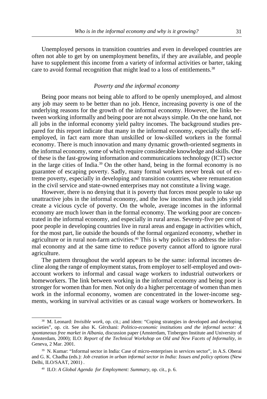<span id="page-34-0"></span>Unemployed persons in transition countries and even in developed countries are often not able to get by on unemployment benefits, if they are available, and people have to supplement this income from a variety of informal activities or barter, taking care to avoid formal recognition that might lead to a loss of entitlements.<sup>38</sup>

## *Poverty and the informal economy*

Being poor means not being able to afford to be openly unemployed, and almost any job may seem to be better than no job. Hence, increasing poverty is one of the underlying reasons for the growth of the informal economy. However, the links between working informally and being poor are not always simple. On the one hand, not all jobs in the informal economy yield paltry incomes. The background studies prepared for this report indicate that many in the informal economy, especially the selfemployed, in fact earn more than unskilled or low-skilled workers in the formal economy. There is much innovation and many dynamic growth-oriented segments in the informal economy, some of which require considerable knowledge and skills. One of these is the fast-growing information and communications technology (ICT) sector in the large cities of India.39 On the other hand, being in the formal economy is no guarantee of escaping poverty. Sadly, many formal workers never break out of extreme poverty, especially in developing and transition countries, where remuneration in the civil service and state-owned enterprises may not constitute a living wage.

However, there is no denying that it is poverty that forces most people to take up unattractive jobs in the informal economy, and the low incomes that such jobs yield create a vicious cycle of poverty. On the whole, average incomes in the informal economy are much lower than in the formal economy. The working poor are concentrated in the informal economy, and especially in rural areas. Seventy-five per cent of poor people in developing countries live in rural areas and engage in activities which, for the most part, lie outside the bounds of the formal organized economy, whether in agriculture or in rural non-farm activities.<sup>40</sup> This is why policies to address the informal economy and at the same time to reduce poverty cannot afford to ignore rural agriculture.

The pattern throughout the world appears to be the same: informal incomes decline along the range of employment status, from employer to self-employed and ownaccount workers to informal and casual wage workers to industrial outworkers or homeworkers. The link between working in the informal economy and being poor is stronger for women than for men. Not only do a higher percentage of women than men work in the informal economy, women are concentrated in the lower-income segments, working in survival activities or as casual wage workers or homeworkers. In

<sup>&</sup>lt;sup>38</sup> M. Leonard: *Invisible work*, op. cit.; and idem: "Coping strategies in developed and developing societies", op. cit. See also K. Gërxhani: *Politico-economic institutions and the informal sector: A spontaneous free market in Albania,* discussion paper (Amsterdam, Tinbergen Institute and University of Amsterdam, 2000); ILO: *Report of the Technical Workshop on Old and New Facets of Informality, in* Geneva, 2 Mar. 2001.

<sup>&</sup>lt;sup>39</sup> N. Kumar: "Informal sector in India: Case of micro-enterprises in services sector", in A.S. Oberai and G. K. Chadha (eds.): *Job creation in urban informal sector in India: Issues and policy options* (New Delhi, ILO/SAAT, 2001) .

<sup>40</sup> ILO: *A Global Agenda for Employment: Summary*, op. cit., p. 6.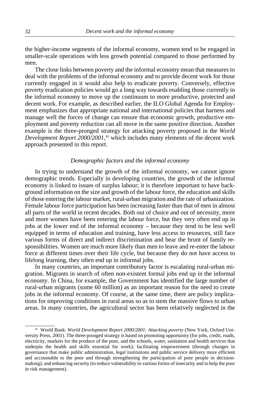<span id="page-35-0"></span>the higher-income segments of the informal economy, women tend to be engaged in smaller-scale operations with less growth potential compared to those performed by men.

The close links between poverty and the informal economy mean that measures to deal with the problems of the informal economy and to provide decent work for those currently engaged in it would also help to eradicate poverty. Conversely, effective poverty eradication policies would go a long way towards enabling those currently in the informal economy to move up the continuum to more productive, protected and decent work. For example, as described earlier, the ILO Global Agenda for Employment emphasizes that appropriate national and international policies that harness and manage well the forces of change can ensure that economic growth, productive employment and poverty reduction can all move in the same positive direction. Another example is the three-pronged strategy for attacking poverty proposed in the *World Development Report 2000/2001*, 41 which includes many elements of the decent work approach presented in this report.

## *Demographic factors and the informal economy*

In trying to understand the growth of the informal economy, we cannot ignore demographic trends. Especially in developing countries, the growth of the informal economy is linked to issues of surplus labour; it is therefore important to have background information on the size and growth of the labour force, the education and skills of those entering the labour market, rural-urban migration and the rate of urbanization. Female labour force participation has been increasing faster than that of men in almost all parts of the world in recent decades. Both out of choice and out of necessity, more and more women have been entering the labour force, but they very often end up in jobs at the lower end of the informal economy – because they tend to be less well equipped in terms of education and training, have less access to resources, still face various forms of direct and indirect discrimination and bear the brunt of family responsibilities. Women are much more likely than men to leave and re-enter the labour force at different times over their life cycle, but because they do not have access to lifelong learning, they often end up in informal jobs.

In many countries, an important contributory factor is escalating rural-urban migration. Migrants in search of often non-existent formal jobs end up in the informal economy. In China, for example, the Government has identified the large number of rural-urban migrants (some 60 million) as an important reason for the need to create jobs in the informal economy. Of course, at the same time, there are policy implications for improving conditions in rural areas so as to stem the massive flows to urban areas. In many countries, the agricultural sector has been relatively neglected in the

<sup>41</sup> World Bank: *World Development Report 2000/2001: Attacking poverty* (New York, Oxford University Press, 2001). The three-pronged strategy is based on promoting opportunity (for jobs, credit, roads, electricity, markets for the produce of the poor, and the schools, water, sanitation and health services that underpin the health and skills essential for work); facilitating empowerment (through changes in governance that make public administration, legal institutions and public service delivery more efficient and accountable to the poor and through strengthening the participation of poor people in decisionmaking); and enhancing security (to reduce vulnerability to various forms of insecurity and to help the poor in risk management).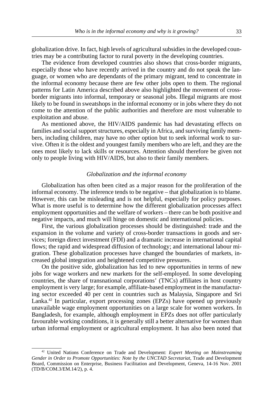globalization drive. In fact, high levels of agricultural subsidies in the developed countries may be a contributing factor to rural poverty in the developing countries.

The evidence from developed countries also shows that cross-border migrants, especially those who have recently arrived in the country and do not speak the language, or women who are dependants of the primary migrant, tend to concentrate in the informal economy because there are few other jobs open to them. The regional patterns for Latin America described above also highlighted the movement of crossborder migrants into informal, temporary or seasonal jobs. Illegal migrants are most likely to be found in sweatshops in the informal economy or in jobs where they do not come to the attention of the public authorities and therefore are most vulnerable to exploitation and abuse.

As mentioned above, the HIV/AIDS pandemic has had devastating effects on families and social support structures, especially in Africa, and surviving family members, including children, may have no other option but to seek informal work to survive. Often it is the oldest and youngest family members who are left, and they are the ones most likely to lack skills or resources. Attention should therefore be given not only to people living with HIV/AIDS, but also to their family members.

## *Globalization and the informal economy*

Globalization has often been cited as a major reason for the proliferation of the informal economy. The inference tends to be negative – that globalization is to blame. However, this can be misleading and is not helpful, especially for policy purposes. What is more useful is to determine how the different globalization processes affect employment opportunities and the welfare of workers – there can be both positive and negative impacts, and much will hinge on domestic and international policies.

First, the various globalization processes should be distinguished: trade and the expansion in the volume and variety of cross-border transactions in goods and services; foreign direct investment (FDI) and a dramatic increase in international capital flows; the rapid and widespread diffusion of technology; and international labour migration. These globalization processes have changed the boundaries of markets, increased global integration and heightened competitive pressures.

On the positive side, globalization has led to new opportunities in terms of new jobs for wage workers and new markets for the self-employed. In some developing countries, the share of transnational corporations' (TNCs) affiliates in host country employment is very large; for example, affiliate-based employment in the manufacturing sector exceeded 40 per cent in countries such as Malaysia, Singapore and Sri Lanka.42 In particular, export processing zones (EPZs) have opened up previously unavailable wage employment opportunities on a large scale for women workers. In Bangladesh, for example, although employment in EPZs does not offer particularly favourable working conditions, it is generally still a better alternative for women than urban informal employment or agricultural employment. It has also been noted that

<sup>42</sup> United Nations Conference on Trade and Development: *Expert Meeting on Mainstreaming* Gender in Order to Promote Opportunities: Note by the UNCTAD Secretariat, Trade and Development Board, Commission on Enterprise, Business Facilitation and Development, Geneva, 14-16 Nov. 2001 (TD/B/COM.3/EM.14/2), p. 4.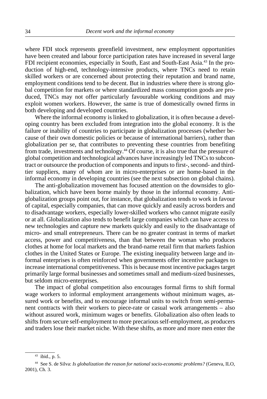where FDI stock represents greenfield investment, new employment opportunities have been created and labour force participation rates have increased in several large FDI recipient economies, especially in South, East and South-East Asia.<sup>43</sup> In the production of high-end, technology-intensive products, where TNCs need to retain skilled workers or are concerned about protecting their reputation and brand name, employment conditions tend to be decent. But in industries where there is strong global competition for markets or where standardized mass consumption goods are produced, TNCs may not offer particularly favourable working conditions and may exploit women workers. However, the same is true of domestically owned firms in both developing and developed countries.

Where the informal economy is linked to globalization, it is often because a developing country has been excluded from integration into the global economy. It is the failure or inability of countries to participate in globalization processes (whether because of their own domestic policies or because of international barriers), rather than globalization per se, that contributes to preventing these countries from benefiting from trade, investments and technology.44 Of course, it is also true that the pressure of global competition and technological advances have increasingly led TNCs to subcontract or outsource the production of components and inputs to first-, second- and thirdtier suppliers, many of whom are in micro-enterprises or are home-based in the informal economy in developing countries (see the next subsection on global chains).

The anti-globalization movement has focused attention on the downsides to globalization, which have been borne mainly by those in the informal economy. Antiglobalization groups point out, for instance, that globalization tends to work in favour of capital, especially companies, that can move quickly and easily across borders and to disadvantage workers, especially lower-skilled workers who cannot migrate easily or at all. Globalization also tends to benefit large companies which can have access to new technologies and capture new markets quickly and easily to the disadvantage of micro- and small entrepreneurs. There can be no greater contrast in terms of market access, power and competitiveness, than that between the woman who produces clothes at home for local markets and the brand-name retail firm that markets fashion clothes in the United States or Europe. The existing inequality between large and informal enterprises is often reinforced when governments offer incentive packages to increase international competitiveness. This is because most incentive packages target primarily large formal businesses and sometimes small and medium-sized businesses, but seldom micro-enterprises.

The impact of global competition also encourages formal firms to shift formal wage workers to informal employment arrangements without minimum wages, assured work or benefits, and to encourage informal units to switch from semi-permanent contracts with their workers to piece-rate or casual work arrangements – also without assured work, minimum wages or benefits. Globalization also often leads to shifts from secure self-employment to more precarious self-employment, as producers and traders lose their market niche. With these shifts, as more and more men enter the

<sup>43</sup> ibid., p. 5.

<sup>44</sup> See S. de Silva: *Is globalization the reason for national socio-economic problems?* (Geneva, ILO, 2001), Ch. 3.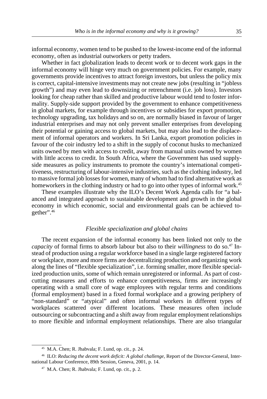informal economy, women tend to be pushed to the lowest-income end of the informal economy, often as industrial outworkers or petty traders.

Whether in fact globalization leads to decent work or to decent work gaps in the informal economy will hinge very much on government policies. For example, many governments provide incentives to attract foreign investors, but unless the policy mix is correct, capital-intensive investments may not create new jobs (resulting in "jobless growth") and may even lead to downsizing or retrenchment (i.e. job loss). Investors looking for cheap rather than skilled and productive labour would tend to foster informality. Supply-side support provided by the government to enhance competitiveness in global markets, for example through incentives or subsidies for export promotion, technology upgrading, tax holidays and so on, are normally biased in favour of larger industrial enterprises and may not only prevent smaller enterprises from developing their potential or gaining access to global markets, but may also lead to the displacement of informal operators and workers. In Sri Lanka, export promotion policies in favour of the coir industry led to a shift in the supply of coconut husks to mechanized units owned by men with access to credit, away from manual units owned by women with little access to credit. In South Africa, where the Government has used supplyside measures as policy instruments to promote the country's international competitiveness, restructuring of labour-intensive industries, such as the clothing industry, led to massive formal job losses for women, many of whom had to find alternative work as homeworkers in the clothing industry or had to go into other types of informal work.<sup>45</sup>

These examples illustrate why the ILO's Decent Work Agenda calls for "a balanced and integrated approach to sustainable development and growth in the global economy in which economic, social and environmental goals can be achieved together".46

## *Flexible specialization and global chains*

The recent expansion of the informal economy has been linked not only to the *capacity* of formal firms to absorb labour but also to their *willingness* to do so.47 Instead of production using a regular workforce based in a single large registered factory or workplace, more and more firms are decentralizing production and organizing work along the lines of "flexible specialization", i.e. forming smaller, more flexible specialized production units, some of which remain unregistered or informal. As part of costcutting measures and efforts to enhance competitiveness, firms are increasingly operating with a small core of wage employees with regular terms and conditions (formal employment) based in a fixed formal workplace and a growing periphery of "non-standard" or "atypical" and often informal workers in different types of workplaces scattered over different locations. These measures often include outsourcing or subcontracting and a shift away from regular employment relationships to more flexible and informal employment relationships. There are also triangular

<sup>45</sup> M.A. Chen; R. Jhabvala; F. Lund, op. cit., p. 24.

<sup>46</sup> ILO: *Reducing the decent work deficit: A global challenge,* Report of the Director-General, International Labour Conference, 89th Session, Geneva, 2001, p. 14.

<sup>47</sup> M.A. Chen; R. Jhabvala; F. Lund, op. cit., p. 2.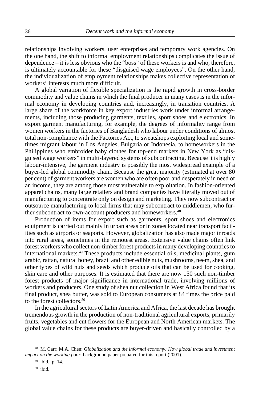relationships involving workers, user enterprises and temporary work agencies. On the one hand, the shift to informal employment relationships complicates the issue of dependence – it is less obvious who the "boss" of these workers is and who, therefore, is ultimately accountable for these "disguised wage employees". On the other hand, the individualization of employment relationships makes collective representation of workers' interests much more difficult.

A global variation of flexible specialization is the rapid growth in cross-border commodity and value chains in which the final producer in many cases is in the informal economy in developing countries and, increasingly, in transition countries. A large share of the workforce in key export industries work under informal arrangements, including those producing garments, textiles, sport shoes and electronics. In export garment manufacturing, for example, the degrees of informality range from women workers in the factories of Bangladesh who labour under conditions of almost total non-compliance with the Factories Act, to sweatshops exploiting local and sometimes migrant labour in Los Angeles, Bulgaria or Indonesia, to homeworkers in the Philippines who embroider baby clothes for top-end markets in New York as "disguised wage workers" in multi-layered systems of subcontracting. Because it is highly labour-intensive, the garment industry is possibly the most widespread example of a buyer-led global commodity chain. Because the great majority (estimated at over 80 per cent) of garment workers are women who are often poor and desperately in need of an income, they are among those most vulnerable to exploitation. In fashion-oriented apparel chains, many large retailers and brand companies have literally moved out of manufacturing to concentrate only on design and marketing. They now subcontract or outsource manufacturing to local firms that may subcontract to middlemen, who further subcontract to own-account producers and homeworkers.<sup>48</sup>

Production of items for export such as garments, sport shoes and electronics equipment is carried out mainly in urban areas or in zones located near transport facilities such as airports or seaports. However, globalization has also made major inroads into rural areas, sometimes in the remotest areas. Extensive value chains often link forest workers who collect non-timber forest products in many developing countries to international markets.49 These products include essential oils, medicinal plants, gum arabic, rattan, natural honey, brazil and other edible nuts, mushrooms, neem, shea, and other types of wild nuts and seeds which produce oils that can be used for cooking, skin care and other purposes. It is estimated that there are now 150 such non-timber forest products of major significance in international trade, involving millions of workers and producers. One study of shea nut collection in West Africa found that its final product, shea butter, was sold to European consumers at 84 times the price paid to the forest collectors.50

In the agricultural sectors of Latin America and Africa, the last decade has brought tremendous growth in the production of non-traditional agricultural exports, primarily fruits, vegetables and cut flowers for the European and North American markets. The global value chains for these products are buyer-driven and basically controlled by a

<sup>48</sup> M. Carr; M.A. Chen: *Globalization and the informal economy: How global trade and investment impact on the working poor,* background paper prepared for this report (2001).

<sup>49</sup> ibid., p. 14.

<sup>50</sup> ibid.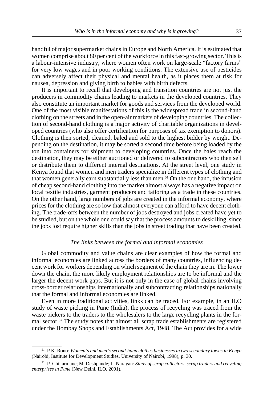handful of major supermarket chains in Europe and North America. It is estimated that women comprise about 80 per cent of the workforce in this fast-growing sector. This is a labour-intensive industry, where women often work on large-scale "factory farms" for very low wages and in poor working conditions. The extensive use of pesticides can adversely affect their physical and mental health, as it places them at risk for nausea, depression and giving birth to babies with birth defects.

It is important to recall that developing and transition countries are not just the producers in commodity chains leading to markets in the developed countries. They also constitute an important market for goods and services from the developed world. One of the most visible manifestations of this is the widespread trade in second-hand clothing on the streets and in the open-air markets of developing countries. The collection of second-hand clothing is a major activity of charitable organizations in developed countries (who also offer certification for purposes of tax exemption to donors). Clothing is then sorted, cleaned, baled and sold to the highest bidder by weight. Depending on the destination, it may be sorted a second time before being loaded by the ton into containers for shipment to developing countries. Once the bales reach the destination, they may be either auctioned or delivered to subcontractors who then sell or distribute them to different internal destinations. At the street level, one study in Kenya found that women and men traders specialize in different types of clothing and that women generally earn substantially less than men.<sup>51</sup> On the one hand, the infusion of cheap second-hand clothing into the market almost always has a negative impact on local textile industries, garment producers and tailoring as a trade in these countries. On the other hand, large numbers of jobs are created in the informal economy, where prices for the clothing are so low that almost everyone can afford to have decent clothing. The trade-offs between the number of jobs destroyed and jobs created have yet to be studied, but on the whole one could say that the process amounts to deskilling, since the jobs lost require higher skills than the jobs in street trading that have been created.

## *The links between the formal and informal economies*

Global commodity and value chains are clear examples of how the formal and informal economies are linked across the borders of many countries, influencing decent work for workers depending on which segment of the chain they are in. The lower down the chain, the more likely employment relationships are to be informal and the larger the decent work gaps. But it is not only in the case of global chains involving cross-border relationships internationally and subcontracting relationships nationally that the formal and informal economies are linked.

Even in more traditional activities, links can be traced. For example, in an ILO study of waste picking in Pune (India), the process of recycling was traced from the waste pickers to the traders to the wholesalers to the large recycling plants in the formal sector.<sup>52</sup> The study notes that almost all scrap trade establishments are registered under the Bombay Shops and Establishments Act, 1948. The Act provides for a wide

<sup>51</sup> P.K. Rono: *Women's and men's second-hand clothes businesses in two secondary towns in Kenya* (Nairobi, Institute for Development Studies, University of Nairobi, 1998), p. 30.

<sup>52</sup> P. Chikarmane; M. Deshpande; L. Narayan: *Study of scrap collectors, scrap traders and recycling enterprises in Pune* (New Delhi, ILO, 2001).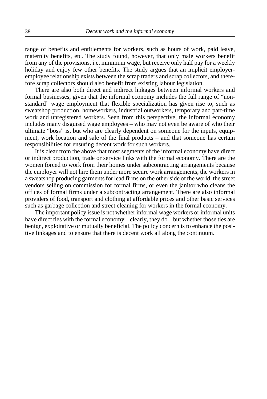range of benefits and entitlements for workers, such as hours of work, paid leave, maternity benefits, etc. The study found, however, that only male workers benefit from any of the provisions, i.e. minimum wage, but receive only half pay for a weekly holiday and enjoy few other benefits. The study argues that an implicit employeremployee relationship exists between the scrap traders and scrap collectors, and therefore scrap collectors should also benefit from existing labour legislation.

There are also both direct and indirect linkages between informal workers and formal businesses, given that the informal economy includes the full range of "nonstandard" wage employment that flexible specialization has given rise to, such as sweatshop production, homeworkers, industrial outworkers, temporary and part-time work and unregistered workers. Seen from this perspective, the informal economy includes many disguised wage employees – who may not even be aware of who their ultimate "boss" is, but who are clearly dependent on someone for the inputs, equipment, work location and sale of the final products – and that someone has certain responsibilities for ensuring decent work for such workers.

It is clear from the above that most segments of the informal economy have direct or indirect production, trade or service links with the formal economy. There are the women forced to work from their homes under subcontracting arrangements because the employer will not hire them under more secure work arrangements, the workers in a sweatshop producing garments for lead firms on the other side of the world, the street vendors selling on commission for formal firms, or even the janitor who cleans the offices of formal firms under a subcontracting arrangement. There are also informal providers of food, transport and clothing at affordable prices and other basic services such as garbage collection and street cleaning for workers in the formal economy.

The important policy issue is not whether informal wage workers or informal units have direct ties with the formal economy – clearly, they do – but whether those ties are benign, exploitative or mutually beneficial. The policy concern is to enhance the positive linkages and to ensure that there is decent work all along the continuum.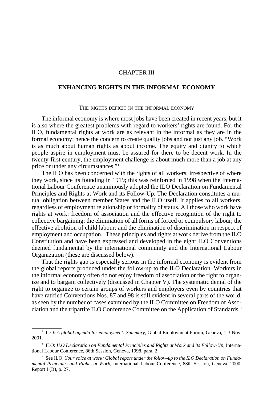# CHAPTER III

# **ENHANCING RIGHTS IN THE INFORMAL ECONOMY**

#### THE RIGHTS DEFICIT IN THE INFORMAL ECONOMY

The informal economy is where most jobs have been created in recent years, but it is also where the greatest problems with regard to workers' rights are found. For the ILO, fundamental rights at work are as relevant in the informal as they are in the formal economy: hence the concern to create quality jobs and not just any job. "Work is as much about human rights as about income. The equity and dignity to which people aspire in employment must be assured for there to be decent work. In the twenty-first century, the employment challenge is about much more than a job at any price or under any circumstances."1

The ILO has been concerned with the rights of all workers, irrespective of where they work, since its founding in 1919; this was reinforced in 1998 when the International Labour Conference unanimously adopted the ILO Declaration on Fundamental Principles and Rights at Work and its Follow-Up. The Declaration constitutes a mutual obligation between member States and the ILO itself. It applies to all workers, regardless of employment relationship or formality of status. All those who work have rights at work: freedom of association and the effective recognition of the right to collective bargaining; the elimination of all forms of forced or compulsory labour; the effective abolition of child labour; and the elimination of discrimination in respect of employment and occupation.<sup>2</sup> These principles and rights at work derive from the ILO Constitution and have been expressed and developed in the eight ILO Conventions deemed fundamental by the international community and the International Labour Organization (these are discussed below).

That the rights gap is especially serious in the informal economy is evident from the global reports produced under the follow-up to the ILO Declaration. Workers in the informal economy often do not enjoy freedom of association or the right to organize and to bargain collectively (discussed in Chapter V). The systematic denial of the right to organize to certain groups of workers and employers even by countries that have ratified Conventions Nos. 87 and 98 is still evident in several parts of the world, as seen by the number of cases examined by the ILO Committee on Freedom of Association and the tripartite ILO Conference Committee on the Application of Standards.3

<sup>1</sup> ILO: *A global agenda for employment: Summary,* Global Employment Forum, Geneva, 1-3 Nov. 2001.

<sup>2</sup> ILO: *ILO Declaration on Fundamental Principles and Rights at Work and its Follow-Up*, International Labour Conference, 86th Session, Geneva, 1998, para. 2.

<sup>&</sup>lt;sup>3</sup> See ILO: *Your voice at work: Global report under the follow-up to the ILO Declaration on Fundamental Principles and Rights at Work*, International Labour Conference, 88th Session, Geneva, 2000, Report I (B), p. 27.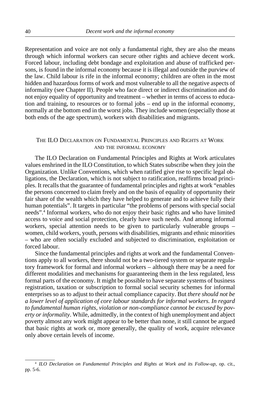Representation and voice are not only a fundamental right, they are also the means through which informal workers can secure other rights and achieve decent work. Forced labour, including debt bondage and exploitation and abuse of trafficked persons, is found in the informal economy because it is illegal and outside the purview of the law. Child labour is rife in the informal economy; children are often in the most hidden and hazardous forms of work and most vulnerable to all the negative aspects of informality (see Chapter II). People who face direct or indirect discrimination and do not enjoy equality of opportunity and treatment – whether in terms of access to education and training, to resources or to formal jobs – end up in the informal economy, normally at the bottom end in the worst jobs. They include women (especially those at both ends of the age spectrum), workers with disabilities and migrants.

# THE ILO DECLARATION ON FUNDAMENTAL PRINCIPLES AND RIGHTS AT WORK AND THE INFORMAL ECONOMY

The ILO Declaration on Fundamental Principles and Rights at Work articulates values enshrined in the ILO Constitution, to which States subscribe when they join the Organization. Unlike Conventions, which when ratified give rise to specific legal obligations, the Declaration, which is not subject to ratification, reaffirms broad principles. It recalls that the guarantee of fundamental principles and rights at work "enables the persons concerned to claim freely and on the basis of equality of opportunity their fair share of the wealth which they have helped to generate and to achieve fully their human potentials". It targets in particular "the problems of persons with special social needs".4 Informal workers, who do not enjoy their basic rights and who have limited access to voice and social protection, clearly have such needs. And among informal workers, special attention needs to be given to particularly vulnerable groups – women, child workers, youth, persons with disabilities, migrants and ethnic minorities – who are often socially excluded and subjected to discrimination, exploitation or forced labour.

Since the fundamental principles and rights at work and the fundamental Conventions apply to all workers, there should not be a two-tiered system or separate regulatory framework for formal and informal workers – although there may be a need for different modalities and mechanisms for guaranteeing them in the less regulated, less formal parts of the economy. It might be possible to have separate systems of business registration, taxation or subscription to formal social security schemes for informal enterprises so as to adjust to their actual compliance capacity. But *there should not be a lower level of application of core labour standards for informal workers. In regard to fundamental human rights, violation or non-compliance cannot be excused by poverty or informality*. While, admittedly, in the context of high unemployment and abject poverty almost any work might appear to be better than none, it still cannot be argued that basic rights at work or, more generally, the quality of work, acquire relevance only above certain levels of income.

<sup>4</sup> *ILO Declaration on Fundamental Principles and Rights at Work and its Follow-up*, op. cit., pp. 5-6.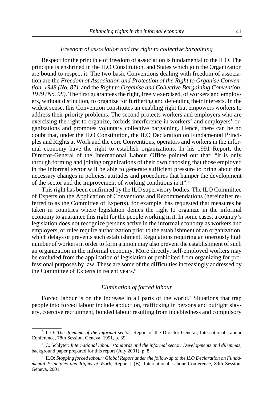#### *Freedom of association and the right to collective bargaining*

Respect for the principle of freedom of association is fundamental to the ILO. The principle is enshrined in the ILO Constitution, and States which join the Organization are bound to respect it. The two basic Conventions dealing with freedom of association are the *Freedom of Association and Protection of the Right to Organise Convention, 1948 (No. 87)*, and the *Right to Organise and Collective Bargaining Convention, 1949 (No. 98)*. The first guarantees the right, freely exercised, of workers and employers, without distinction, to organize for furthering and defending their interests. In the widest sense, this Convention constitutes an enabling right that empowers workers to address their priority problems. The second protects workers and employers who are exercising the right to organize, forbids interference in workers' and employers' organizations and promotes voluntary collective bargaining. Hence, there can be no doubt that, under the ILO Constitution, the ILO Declaration on Fundamental Principles and Rights at Work and the core Conventions, operators and workers in the informal economy have the right to establish organizations. In his 1991 Report, the Director-General of the International Labour Office pointed out that: "it is only through forming and joining organizations of their own choosing that those employed in the informal sector will be able to generate sufficient pressure to bring about the necessary changes in policies, attitudes and procedures that hamper the development of the sector and the improvement of working conditions in it".5

This right has been confirmed by the ILO supervisory bodies. The ILO Committee of Experts on the Application of Conventions and Recommendations (hereinafter referred to as the Committee of Experts), for example, has requested that measures be taken in countries where legislation denies the right to organize in the informal economy to guarantee this right for the people working in it. In some cases, a country's legislation does not recognize persons active in the informal economy as workers and employers, or rules require authorization prior to the establishment of an organization, which delays or prevents such establishment. Regulations requiring an onerously high number of workers in order to form a union may also prevent the establishment of such an organization in the informal economy. More directly, self-employed workers may be excluded from the application of legislation or prohibited from organizing for professional purposes by law. These are some of the difficulties increasingly addressed by the Committee of Experts in recent years.<sup>6</sup>

## *Elimination of forced labour*

Forced labour is on the increase in all parts of the world.<sup>7</sup> Situations that trap people into forced labour include abduction, trafficking in persons and outright slavery, coercive recruitment, bonded labour resulting from indebtedness and compulsory

<sup>5</sup> ILO: *The dilemma of the informal sector*, Report of the Director-General, International Labour Conference, 78th Session, Geneva, 1991, p. 39.

<sup>6</sup> C. Schlyter: *International labour standards and the informal sector: Developments and dilemmas*, background paper prepared for this report (July 2001), p. 8.

<sup>7</sup> ILO: *Stopping forced labour: Global Report under the follow-up to the ILO Declaration on Fundamental Principles and Rights at Work,* Report I (B), International Labour Conference, 89th Session, Geneva, 2001.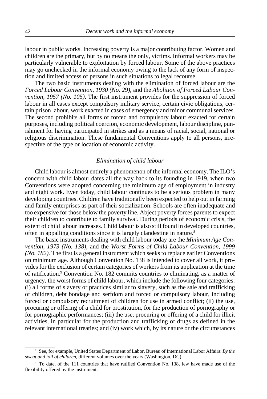labour in public works. Increasing poverty is a major contributing factor. Women and children are the primary, but by no means the only, victims. Informal workers may be particularly vulnerable to exploitation by forced labour. Some of the above practices may go unchecked in the informal economy owing to the lack of any form of inspection and limited access of persons in such situations to legal recourse.

The two basic instruments dealing with the elimination of forced labour are the *Forced Labour Convention, 1930 (No. 29)*, and the *Abolition of Forced Labour Convention, 1957 (No. 105)*. The first instrument provides for the suppression of forced labour in all cases except compulsory military service, certain civic obligations, certain prison labour, work exacted in cases of emergency and minor communal services. The second prohibits all forms of forced and compulsory labour exacted for certain purposes, including political coercion, economic development, labour discipline, punishment for having participated in strikes and as a means of racial, social, national or religious discrimination. These fundamental Conventions apply to all persons, irrespective of the type or location of economic activity.

## *Elimination of child labour*

Child labour is almost entirely a phenomenon of the informal economy. The ILO's concern with child labour dates all the way back to its founding in 1919, when two Conventions were adopted concerning the minimum age of employment in industry and night work. Even today, child labour continues to be a serious problem in many developing countries. Children have traditionally been expected to help out in farming and family enterprises as part of their socialization. Schools are often inadequate and too expensive for those below the poverty line. Abject poverty forces parents to expect their children to contribute to family survival. During periods of economic crisis, the extent of child labour increases. Child labour is also still found in developed countries, often in appalling conditions since it is largely clandestine in nature.8

The basic instruments dealing with child labour today are the *Minimum Age Convention, 1973 (No. 138)*, and the *Worst Forms of Child Labour Convention, 1999 (No. 182)*. The first is a general instrument which seeks to replace earlier Conventions on minimum age. Although Convention No. 138 is intended to cover all work, it provides for the exclusion of certain categories of workers from its application at the time of ratification.<sup>9</sup> Convention No. 182 commits countries to eliminating, as a matter of urgency, the worst forms of child labour, which include the following four categories: (i) all forms of slavery or practices similar to slavery, such as the sale and trafficking of children, debt bondage and serfdom and forced or compulsory labour, including forced or compulsory recruitment of children for use in armed conflict; (ii) the use, procuring or offering of a child for prostitution, for the production of pornography or for pornographic performances; (iii) the use, procuring or offering of a child for illicit activities, in particular for the production and trafficking of drugs as defined in the relevant international treaties; and (iv) work which, by its nature or the circumstances

<sup>8</sup> See, for example, United States Department of Labor, Bureau of International Labor Affairs: *By the sweat and toil of children*, different volumes over the years (Washington, DC).

<sup>9</sup> To date, of the 111 countries that have ratified Convention No. 138, few have made use of the flexibility offered by the instrument.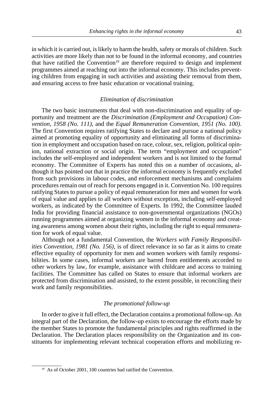in which it is carried out, is likely to harm the health, safety or morals of children. Such activities are more likely than not to be found in the informal economy, and countries that have ratified the Convention<sup>10</sup> are therefore required to design and implement programmes aimed at reaching out into the informal economy. This includes preventing children from engaging in such activities and assisting their removal from them, and ensuring access to free basic education or vocational training.

## *Elimination of discrimination*

The two basic instruments that deal with non-discrimination and equality of opportunity and treatment are the *Discrimination (Employment and Occupation) Convention, 1958 (No. 111)*, and the *Equal Remuneration Convention, 1951 (No. 100)*. The first Convention requires ratifying States to declare and pursue a national policy aimed at promoting equality of opportunity and eliminating all forms of discrimination in employment and occupation based on race, colour, sex, religion, political opinion, national extraction or social origin. The term "employment and occupation" includes the self-employed and independent workers and is not limited to the formal economy. The Committee of Experts has noted this on a number of occasions, although it has pointed out that in practice the informal economy is frequently excluded from such provisions in labour codes, and enforcement mechanisms and complaints procedures remain out of reach for persons engaged in it. Convention No. 100 requires ratifying States to pursue a policy of equal remuneration for men and women for work of equal value and applies to all workers without exception, including self-employed workers, as indicated by the Committee of Experts. In 1992, the Committee lauded India for providing financial assistance to non-governmental organizations (NGOs) running programmes aimed at organizing women in the informal economy and creating awareness among women about their rights, including the right to equal remuneration for work of equal value.

Although not a fundamental Convention, the *Workers with Family Responsibilities Convention, 1981 (No. 156)*, is of direct relevance in so far as it aims to create effective equality of opportunity for men and women workers with family responsibilities. In some cases, informal workers are barred from entitlements accorded to other workers by law, for example, assistance with childcare and access to training facilities. The Committee has called on States to ensure that informal workers are protected from discrimination and assisted, to the extent possible, in reconciling their work and family responsibilities.

## *The promotional follow-up*

In order to give it full effect, the Declaration contains a promotional follow-up. An integral part of the Declaration, the follow-up exists to encourage the efforts made by the member States to promote the fundamental principles and rights reaffirmed in the Declaration. The Declaration places responsibility on the Organization and its constituents for implementing relevant technical cooperation efforts and mobilizing re-

<sup>10</sup> As of October 2001, 100 countries had ratified the Convention.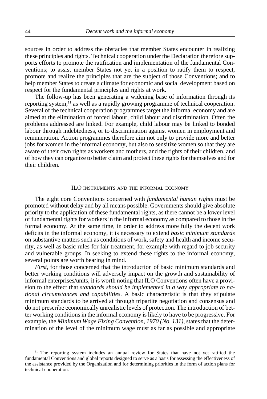sources in order to address the obstacles that member States encounter in realizing these principles and rights. Technical cooperation under the Declaration therefore supports efforts to promote the ratification and implementation of the fundamental Conventions; to assist member States not yet in a position to ratify them to respect, promote and realize the principles that are the subject of those Conventions; and to help member States to create a climate for economic and social development based on respect for the fundamental principles and rights at work.

The follow-up has been generating a widening base of information through its reporting system,<sup>11</sup> as well as a rapidly growing programme of technical cooperation. Several of the technical cooperation programmes target the informal economy and are aimed at the elimination of forced labour, child labour and discrimination. Often the problems addressed are linked. For example, child labour may be linked to bonded labour through indebtedness, or to discrimination against women in employment and remuneration. Action programmes therefore aim not only to provide more and better jobs for women in the informal economy, but also to sensitize women so that they are aware of their own rights as workers and mothers, and the rights of their children, and of how they can organize to better claim and protect these rights for themselves and for their children.

## ILO INSTRUMENTS AND THE INFORMAL ECONOMY

The eight core Conventions concerned with *fundamental human rights* must be promoted without delay and by all means possible. Governments should give absolute priority to the application of these fundamental rights, as there cannot be a lower level of fundamental rights for workers in the informal economy as compared to those in the formal economy. At the same time, in order to address more fully the decent work deficits in the informal economy, it is necessary to extend *basic minimum standards* on substantive matters such as conditions of work, safety and health and income security, as well as basic rules for fair treatment, for example with regard to job security and vulnerable groups. In seeking to extend these rights to the informal economy, several points are worth bearing in mind.

*First*, for those concerned that the introduction of basic minimum standards and better working conditions will adversely impact on the growth and sustainability of informal enterprises/units, it is worth noting that ILO Conventions often have a provision to the effect that *standards should be implemented in a way appropriate to national circumstances and capabilities*. A basic characteristic is that they stipulate minimum standards to be arrived at through tripartite negotiation and consensus and do not prescribe economically unrealistic levels of protection. The introduction of better working conditions in the informal economy is likely to have to be progressive. For example, the *Minimum Wage Fixing Convention, 1970 (No. 131)*, states that the determination of the level of the minimum wage must as far as possible and appropriate

<sup>&</sup>lt;sup>11</sup> The reporting system includes an annual review for States that have not yet ratified the fundamental Conventions and global reports designed to serve as a basis for assessing the effectiveness of the assistance provided by the Organization and for determining priorities in the form of action plans for technical cooperation.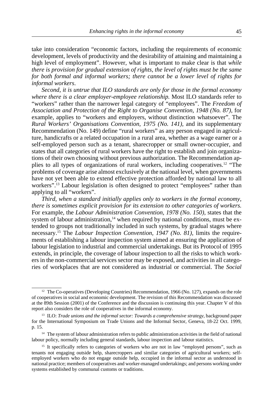take into consideration "economic factors, including the requirements of economic development, levels of productivity and the desirability of attaining and maintaining a high level of employment". However, what is important to make clear is that *while there is provision for gradual extension of rights, the level of rights must be the same for both formal and informal workers; there cannot be a lower level of rights for informal workers*.

*Second, it is untrue that ILO standards are only for those in the formal economy where there is a clear employer-employee relationship.* Most ILO standards refer to "workers" rather than the narrower legal category of "employees". The *Freedom of Association and Protection of the Right to Organise Convention, 1948 (No. 87),* for example, applies to "workers and employers, without distinction whatsoever". The *Rural Workers' Organisations Convention, 1975 (No. 141)*, and its supplementary Recommendation (No. 149) define "rural workers" as any person engaged in agriculture, handicrafts or a related occupation in a rural area, whether as a wage earner or a self-employed person such as a tenant, sharecropper or small owner-occupier, and states that all categories of rural workers have the right to establish and join organizations of their own choosing without previous authorization. The Recommendation applies to all types of organizations of rural workers, including cooperatives.12 "The problems of coverage arise almost exclusively at the national level, when governments have not yet been able to extend effective protection afforded by national law to all workers".<sup>13</sup> Labour legislation is often designed to protect "employees" rather than applying to all "workers".

*Third, when a standard initially applies only to workers in the formal economy, there is sometimes explicit provision for its extension to other categories of workers.* For example, the *Labour Administration Convention, 1978 (No. 150)*, states that the system of labour administration, $14$  when required by national conditions, must be extended to groups not traditionally included in such systems, by gradual stages where necessary.15 The *Labour Inspection Convention, 1947 (No. 81)*, limits the requirements of establishing a labour inspection system aimed at ensuring the application of labour legislation to industrial and commercial undertakings. But its Protocol of 1995 extends, in principle, the coverage of labour inspection to all the risks to which workers in the non-commercial services sector may be exposed, and activities in all categories of workplaces that are not considered as industrial or commercial. The *Social*

<sup>&</sup>lt;sup>12</sup> The Co-operatives (Developing Countries) Recommendation, 1966 (No. 127), expands on the role of cooperatives in social and economic development. The revision of this Recommendation was discussed at the 89th Session (2001) of the Conference and the discussion is continuing this year. Chapter V of this report also considers the role of cooperatives in the informal economy.

<sup>&</sup>lt;sup>13</sup> ILO: *Trade unions and the informal sector: Towards a comprehensive strategy*, background paper for the International Symposium on Trade Unions and the Informal Sector, Geneva, 18-22 Oct. 1999, p. 15.

<sup>&</sup>lt;sup>14</sup> The system of labour administration refers to public administration activities in the field of national labour policy, normally including general standards, labour inspection and labour statistics.

<sup>&</sup>lt;sup>15</sup> It specifically refers to categories of workers who are not in law "employed persons", such as tenants not engaging outside help, sharecroppers and similar categories of agricultural workers; selfemployed workers who do not engage outside help, occupied in the informal sector as understood in national practice; members of cooperatives and worker-managed undertakings; and persons working under systems established by communal customs or traditions.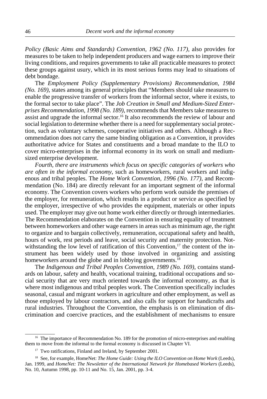*Policy (Basic Aims and Standards) Convention, 1962 (No. 117)*, also provides for measures to be taken to help independent producers and wage earners to improve their living conditions, and requires governments to take all practicable measures to protect these groups against usury, which in its most serious forms may lead to situations of debt bondage.

The *Employment Policy (Supplementary Provisions) Recommendation, 1984 (No. 169)*, states among its general principles that "Members should take measures to enable the progressive transfer of workers from the informal sector, where it exists, to the formal sector to take place". The *Job Creation in Small and Medium-Sized Enterprises Recommendation, 1998 (No. 189)*, recommends that Members take measures to assist and upgrade the informal sector.16 It also recommends the review of labour and social legislation to determine whether there is a need for supplementary social protection, such as voluntary schemes, cooperative initiatives and others. Although a Recommendation does not carry the same binding obligation as a Convention, it provides authoritative advice for States and constituents and a broad mandate to the ILO to cover micro-enterprises in the informal economy in its work on small and mediumsized enterprise development.

*Fourth, there are instruments which focus on specific categories of workers who are often in the informal economy*, such as homeworkers, rural workers and indigenous and tribal peoples. The *Home Work Convention, 1996 (No. 177)*, and Recommendation (No. 184) are directly relevant for an important segment of the informal economy. The Convention covers workers who perform work outside the premises of the employer, for remuneration, which results in a product or service as specified by the employer, irrespective of who provides the equipment, materials or other inputs used. The employer may give out home work either directly or through intermediaries. The Recommendation elaborates on the Convention in ensuring equality of treatment between homeworkers and other wage earners in areas such as minimum age, the right to organize and to bargain collectively, remuneration, occupational safety and health, hours of work, rest periods and leave, social security and maternity protection. Notwith standing the low level of ratification of this Convention, $17$  the content of the instrument has been widely used by those involved in organizing and assisting homeworkers around the globe and in lobbying governments.<sup>18</sup>

The *Indigenous and Tribal Peoples Convention, 1989 (No. 169)*, contains standards on labour, safety and health, vocational training, traditional occupations and social security that are very much oriented towards the informal economy, as that is where most indigenous and tribal peoples work. The Convention specifically includes seasonal, casual and migrant workers in agriculture and other employment, as well as those employed by labour contractors, and also calls for support for handicrafts and rural industries. Throughout the Convention, the emphasis is on elimination of discrimination and coercive practices, and the establishment of mechanisms to ensure

<sup>&</sup>lt;sup>16</sup> The importance of Recommendation No. 189 for the promotion of micro-enterprises and enabling them to move from the informal to the formal economy is discussed in Chapter VI.

<sup>&</sup>lt;sup>17</sup> Two ratifications, Finland and Ireland, by September 2001.

<sup>&</sup>lt;sup>18</sup> See, for example, HomeNet: *The Home Guide: Using the ILO Convention on Home Work* (Leeds), Jan. 1999, and *HomeNet: The Newsletter of the International Network for Homebased Workers* (Leeds), No. 10, Autumn 1998, pp. 10-11 and No. 15, Jan. 2001, pp. 3-4.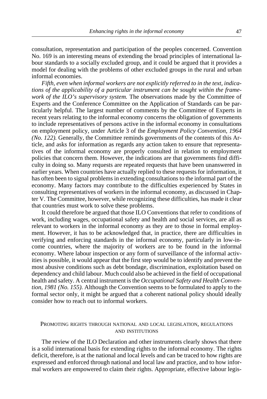consultation, representation and participation of the peoples concerned. Convention No. 169 is an interesting means of extending the broad principles of international labour standards to a socially excluded group, and it could be argued that it provides a model for dealing with the problems of other excluded groups in the rural and urban informal economies.

*Fifth, even when informal workers are not explicitly referred to in the text, indications of the applicability of a particular instrument can be sought within the framework of the ILO's supervisory system.* The observations made by the Committee of Experts and the Conference Committee on the Application of Standards can be particularly helpful. The largest number of comments by the Committee of Experts in recent years relating to the informal economy concerns the obligation of governments to include representatives of persons active in the informal economy in consultations on employment policy, under Article 3 of the *Employment Policy Convention, 1964 (No. 122).* Generally, the Committee reminds governments of the contents of this Article, and asks for information as regards any action taken to ensure that representatives of the informal economy are properly consulted in relation to employment policies that concern them. However, the indications are that governments find difficulty in doing so. Many requests are repeated requests that have been unanswered in earlier years. When countries have actually replied to these requests for information, it has often been to signal problems in extending consultations to the informal part of the economy. Many factors may contribute to the difficulties experienced by States in consulting representatives of workers in the informal economy, as discussed in Chapter V. The Committee, however, while recognizing these difficulties, has made it clear that countries must work to solve these problems.

It could therefore be argued that those ILO Conventions that refer to conditions of work, including wages, occupational safety and health and social services, are all as relevant to workers in the informal economy as they are to those in formal employment. However, it has to be acknowledged that, in practice, there are difficulties in verifying and enforcing standards in the informal economy, particularly in low-income countries, where the majority of workers are to be found in the informal economy. Where labour inspection or any form of surveillance of the informal activities is possible, it would appear that the first step would be to identify and prevent the most abusive conditions such as debt bondage, discrimination, exploitation based on dependency and child labour. Much could also be achieved in the field of occupational health and safety. A central instrument is the *Occupational Safety and Health Convention, 1981 (No. 155).* Although the Convention seems to be formulated to apply to the formal sector only, it might be argued that a coherent national policy should ideally consider how to reach out to informal workers.

## PROMOTING RIGHTS THROUGH NATIONAL AND LOCAL LEGISLATION, REGULATIONS AND INSTITUTIONS

The review of the ILO Declaration and other instruments clearly shows that there is a solid international basis for extending rights to the informal economy. The rights deficit, therefore, is at the national and local levels and can be traced to how rights are expressed and enforced through national and local law and practice, and to how informal workers are empowered to claim their rights. Appropriate, effective labour legis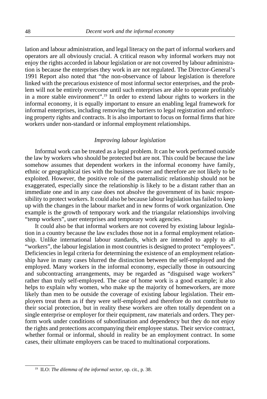lation and labour administration, and legal literacy on the part of informal workers and operators are all obviously crucial. A critical reason why informal workers may not enjoy the rights accorded in labour legislation or are not covered by labour administration is because the enterprises they work in are not regulated. The Director-General's 1991 Report also noted that "the non-observance of labour legislation is therefore linked with the precarious existence of most informal sector enterprises, and the problem will not be entirely overcome until such enterprises are able to operate profitably in a more stable environment".19 In order to extend labour rights to workers in the informal economy, it is equally important to ensure an enabling legal framework for informal enterprises, including removing the barriers to legal registration and enforcing property rights and contracts. It is also important to focus on formal firms that hire workers under non-standard or informal employment relationships.

# *Improving labour legislation*

Informal work can be treated as a legal problem. It can be work performed outside the law by workers who should be protected but are not. This could be because the law somehow assumes that dependent workers in the informal economy have family, ethnic or geographical ties with the business owner and therefore are not likely to be exploited. However, the positive role of the paternalistic relationship should not be exaggerated, especially since the relationship is likely to be a distant rather than an immediate one and in any case does not absolve the government of its basic responsibility to protect workers. It could also be because labour legislation has failed to keep up with the changes in the labour market and in new forms of work organization. One example is the growth of temporary work and the triangular relationships involving "temp workers", user enterprises and temporary work agencies.

It could also be that informal workers are not covered by existing labour legislation in a country because the law excludes those not in a formal employment relationship. Unlike international labour standards, which are intended to apply to all "workers", the labour legislation in most countries is designed to protect "employees". Deficiencies in legal criteria for determining the existence of an employment relationship have in many cases blurred the distinction between the self-employed and the employed. Many workers in the informal economy, especially those in outsourcing and subcontracting arrangements, may be regarded as "disguised wage workers" rather than truly self-employed. The case of home work is a good example; it also helps to explain why women, who make up the majority of homeworkers, are more likely than men to be outside the coverage of existing labour legislation. Their employers treat them as if they were self-employed and therefore do not contribute to their social protection, but in reality these workers are often totally dependent on a single enterprise or employer for their equipment, raw materials and orders. They perform work under conditions of subordination and dependency but they do not enjoy the rights and protections accompanying their employee status. Their service contract, whether formal or informal, should in reality be an employment contract. In some cases, their ultimate employers can be traced to multinational corporations.

<sup>19</sup> ILO: *The dilemma of the informal sector*, op. cit., p. 38.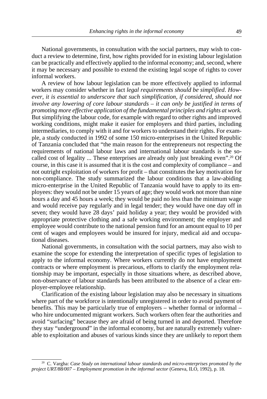National governments, in consultation with the social partners, may wish to conduct a review to determine, first, how rights provided for in existing labour legislation can be practically and effectively applied to the informal economy; and, second, where it may be necessary and possible to extend the existing legal scope of rights to cover informal workers.

A review of how labour legislation can be more effectively applied to informal workers may consider whether in fact *legal requirements should be simplified*. *However, it is essential to underscore that such simplification, if considered, should not involve any lowering of core labour standards – it can only be justified in terms of promoting more effective application of the fundamental principles and rights at work.* But simplifying the labour code, for example with regard to other rights and improved working conditions, might make it easier for employers and third parties, including intermediaries, to comply with it and for workers to understand their rights. For example, a study conducted in 1992 of some 150 micro-enterprises in the United Republic of Tanzania concluded that "the main reason for the entrepreneurs not respecting the requirements of national labour laws and international labour standards is the socalled cost of legality ... These enterprises are already only just breaking even".<sup>20</sup> Of course, in this case it is assumed that it is the cost and complexity of compliance – and not outright exploitation of workers for profit – that constitutes the key motivation for non-compliance. The study summarized the labour conditions that a law-abiding micro-enterprise in the United Republic of Tanzania would have to apply to its employees: they would not be under 15 years of age; they would work not more than nine hours a day and 45 hours a week; they would be paid no less than the minimum wage and would receive pay regularly and in legal tender; they would have one day off in seven; they would have 28 days' paid holiday a year; they would be provided with appropriate protective clothing and a safe working environment; the employer and employee would contribute to the national pension fund for an amount equal to 10 per cent of wages and employees would be insured for injury, medical aid and occupational diseases.

National governments, in consultation with the social partners, may also wish to examine the scope for extending the interpretation of specific types of legislation to apply to the informal economy. Where workers currently do not have employment contracts or where employment is precarious, efforts to clarify the employment relationship may be important, especially in those situations where, as described above, non-observance of labour standards has been attributed to the absence of a clear employer-employee relationship.

Clarification of the existing labour legislation may also be necessary in situations where part of the workforce is intentionally unregistered in order to avoid payment of benefits. This may be particularly true of employers – whether formal or informal – who hire undocumented migrant workers. Such workers often fear the authorities and avoid "surfacing" because they are afraid of being turned in and deported. Therefore they stay "underground" in the informal economy, but are naturally extremely vulnerable to exploitation and abuses of various kinds since they are unlikely to report them

<sup>20</sup> C. Vargha: *Case Study on international labour standards and micro-enterprises promoted by the project URT/88/007 – Employment promotion in the informal sector* (Geneva, ILO, 1992), p. 18.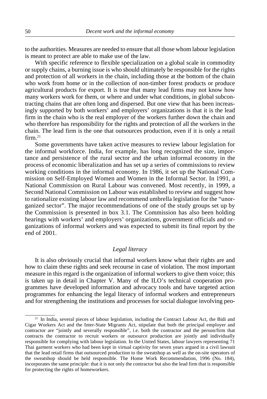to the authorities. Measures are needed to ensure that all those whom labour legislation is meant to protect are able to make use of the law.

With specific reference to flexible specialization on a global scale in commodity or supply chains, a burning issue is who should ultimately be responsible for the rights and protection of all workers in the chain, including those at the bottom of the chain who work from home or in the collection of non-timber forest products or produce agricultural products for export. It is true that many lead firms may not know how many workers work for them, or where and under what conditions, in global subcontracting chains that are often long and dispersed. But one view that has been increasingly supported by both workers' and employers' organizations is that it is the lead firm in the chain who is the real employer of the workers further down the chain and who therefore has responsibility for the rights and protection of all the workers in the chain. The lead firm is the one that outsources production, even if it is only a retail firm 21

Some governments have taken active measures to review labour legislation for the informal workforce. India, for example, has long recognized the size, importance and persistence of the rural sector and the urban informal economy in the process of economic liberalization and has set up a series of commissions to review working conditions in the informal economy. In 1986, it set up the National Commission on Self-Employed Women and Women in the Informal Sector. In 1991, a National Commission on Rural Labour was convened. Most recently, in 1999, a Second National Commission on Labour was established to review and suggest how to rationalize existing labour law and recommend umbrella legislation for the "unorganized sector". The major recommendations of one of the study groups set up by the Commission is presented in box 3.1. The Commission has also been holding hearings with workers' and employers' organizations, government officials and organizations of informal workers and was expected to submit its final report by the end of 2001.

# *Legal literacy*

It is also obviously crucial that informal workers know what their rights are and how to claim these rights and seek recourse in case of violation. The most important measure in this regard is the organization of informal workers to give them voice; this is taken up in detail in Chapter V. Many of the ILO's technical cooperation programmes have developed information and advocacy tools and have targeted action programmes for enhancing the legal literacy of informal workers and entrepreneurs and for strengthening the institutions and processes for social dialogue involving peo-

<sup>&</sup>lt;sup>21</sup> In India, several pieces of labour legislation, including the Contract Labour Act, the Bidi and Cigar Workers Act and the Inter-State Migrants Act, stipulate that both the principal employer and contractor are "jointly and severally responsible", i.e. both the contractor and the person/firm that contracts the contractor to recruit workers or outsource production are jointly and individually responsible for complying with labour legislation. In the United States, labour lawyers representing 71 Thai garment workers who had been kept in virtual captivity for seven years argued in a civil lawsuit that the lead retail firms that outsourced production to the sweatshop as well as the on-site operators of the sweatshop should be held responsible. The Home Work Recommendation, 1996 (No. 184), incorporates the same principle: that it is not only the contractor but also the lead firm that is responsible for protecting the rights of homeworkers.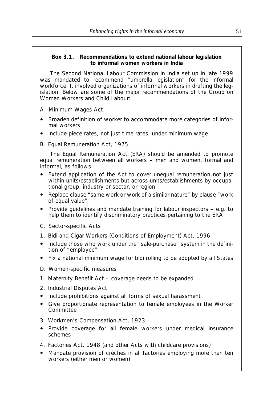# **Box 3.1. Recommendations to extend national labour legislation to informal women workers in India**

The Second National Labour Commission in India set up in late 1999 was mandated to recommend "umbrella legislation" for the informal workforce. It involved organizations of informal workers in drafting the legislation. Below are some of the major recommendations of the Group on Women Workers and Child Labour:

- A. *Minimum Wages Act*
- ! Broaden definition of worker to accommodate more categories of informal workers
- Include piece rates, not just time rates, under minimum wage
- B. *Equal Remuneration Act, 1975*

The Equal Remuneration Act (ERA) should be amended to promote equal remuneration between all workers – men and women, formal and informal, as follows:

- Extend application of the Act to cover unequal remuneration not just within units/establishments but across units/establishments by occupational group, industry or sector, or region
- ! Replace clause "same work or work of a similar nature" by clause "work of equal value"
- Provide guidelines and mandate training for labour inspectors  $-$  e.g. to help them to identify discriminatory practices pertaining to the ERA
- C. *Sector-specific Acts*
- 1. *Bidi and Cigar Workers (Conditions of Employment) Act, 1996*
- ! Include those who work under the "sale-purchase" system in the definition of "employee"
- Fix a national minimum wage for bidi rolling to be adopted by all States
- D. *Women-specific measures*
- 1. *Maternity Benefit Act* coverage needs to be expanded
- 2. *Industrial Disputes Act*
- Include prohibitions against all forms of sexual harassment
- ! Give proportionate representation to female employees in the Worker **Committee**
- 3. *Workmen's Compensation Act, 1923*
- ! Provide coverage for all female workers under medical insurance schemes
- 4. *Factories Act, 1948* (and other Acts with childcare provisions)
- ! Mandate provision of crèches in all factories employing more than ten workers (either men or women)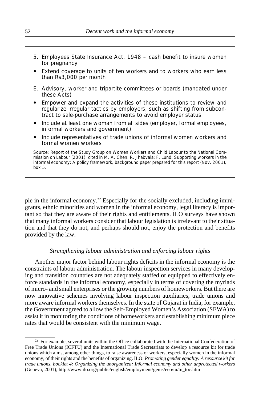- 5. *Employees State Insurance Act, 1948* cash benefit to insure women for pregnancy
- Extend coverage to units of ten workers and to workers who earn less than Rs3,000 per month
- E. *Advisory, worker and tripartite committees or boards* (mandated under these Acts)
- ! Empower and expand the activities of these institutions to review and regularize irregular tactics by employers, such as shifting from subcontract to sale-purchase arrangements to avoid employer status
- ! Include at least one woman from all sides (employer, formal employees, informal workers and government)
- ! Include representatives of trade unions of informal women workers and formal women workers

Source: Report of the Study Group on Women Workers and Child Labour to the National Commission on Labour (2001), cited in M. A. Chen; R. Jhabvala; F. Lund: *Supporting workers in the informal economy: A policy framework*, background paper prepared for this report (Nov. 2001), box 5.

ple in the informal economy.22 Especially for the socially excluded, including immigrants, ethnic minorities and women in the informal economy, legal literacy is important so that they are aware of their rights and entitlements. ILO surveys have shown that many informal workers consider that labour legislation is irrelevant to their situation and that they do not, and perhaps should not, enjoy the protection and benefits provided by the law.

#### *Strengthening labour administration and enforcing labour rights*

Another major factor behind labour rights deficits in the informal economy is the constraints of labour administration. The labour inspection services in many developing and transition countries are not adequately staffed or equipped to effectively enforce standards in the informal economy, especially in terms of covering the myriads of micro- and small enterprises or the growing numbers of homeworkers. But there are now innovative schemes involving labour inspection auxiliaries, trade unions and more aware informal workers themselves. In the state of Gujarat in India, for example, the Government agreed to allow the Self-Employed Women's Association (SEWA) to assist it in monitoring the conditions of homeworkers and establishing minimum piece rates that would be consistent with the minimum wage.

<sup>&</sup>lt;sup>22</sup> For example, several units within the Office collaborated with the International Confederation of Free Trade Unions (ICFTU) and the International Trade Secretariats to develop a resource kit for trade unions which aims, among other things, to raise awareness of workers, especially women in the informal economy, of their rights and the benefits of organizing. ILO: *Promoting gender equality: A resource kit for trade unions, booklet 4: Organizing the unorganized: Informal economy and other unprotected workers* (Geneva, 2001), http://www.ilo.org/public/english/employment/gems/eeo/tu/tu\_toc.htm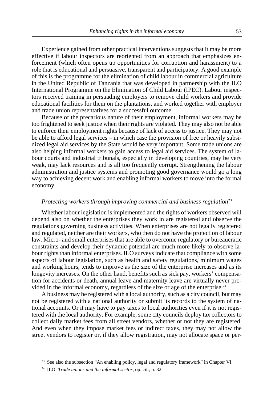Experience gained from other practical interventions suggests that it may be more effective if labour inspectors are reoriented from an approach that emphasizes enforcement (which often opens up opportunities for corruption and harassment) to a role that is educational and persuasive, transparent and participatory. A good example of this is the programme for the elimination of child labour in commercial agriculture in the United Republic of Tanzania that was developed in partnership with the ILO International Programme on the Elimination of Child Labour (IPEC). Labour inspectors received training in persuading employers to remove child workers and provide educational facilities for them on the plantations, and worked together with employer and trade union representatives for a successful outcome.

Because of the precarious nature of their employment, informal workers may be too frightened to seek justice when their rights are violated. They may also not be able to enforce their employment rights because of lack of access to justice. They may not be able to afford legal services – in which case the provision of free or heavily subsidized legal aid services by the State would be very important. Some trade unions are also helping informal workers to gain access to legal aid services. The system of labour courts and industrial tribunals, especially in developing countries, may be very weak, may lack resources and is all too frequently corrupt. Strengthening the labour administration and justice systems and promoting good governance would go a long way to achieving decent work and enabling informal workers to move into the formal economy.

## *Protecting workers through improving commercial and business regulation*<sup>23</sup>

Whether labour legislation is implemented and the rights of workers observed will depend also on whether the enterprises they work in are registered and observe the regulations governing business activities. When enterprises are not legally registered and regulated, neither are their workers, who then do not have the protection of labour law. Micro- and small enterprises that are able to overcome regulatory or bureaucratic constraints and develop their dynamic potential are much more likely to observe labour rights than informal enterprises. ILO surveys indicate that compliance with some aspects of labour legislation, such as health and safety regulations, minimum wages and working hours, tends to improve as the size of the enterprise increases and as its longevity increases. On the other hand, benefits such as sick pay, workers' compensation for accidents or death, annual leave and maternity leave are virtually never provided in the informal economy, regardless of the size or age of the enterprise.24

A business may be registered with a local authority, such as a city council, but may not be registered with a national authority or submit its records to the system of national accounts. Or it may have to pay taxes to local authorities even if it is not registered with the local authority. For example, some city councils deploy tax collectors to collect daily market fees from all street vendors, whether or not they are registered. And even when they impose market fees or indirect taxes, they may not allow the street vendors to register or, if they allow registration, may not allocate space or per-

<sup>&</sup>lt;sup>23</sup> See also the subsection "An enabling policy, legal and regulatory framework" in Chapter VI.

<sup>24</sup> ILO: *Trade unions and the informal sector*, op. cit., p. 32.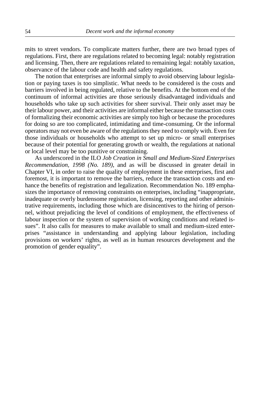mits to street vendors. To complicate matters further, there are two broad types of regulations. First, there are regulations related to becoming legal: notably registration and licensing. Then, there are regulations related to remaining legal: notably taxation, observance of the labour code and health and safety regulations.

The notion that enterprises are informal simply to avoid observing labour legislation or paying taxes is too simplistic. What needs to be considered is the costs and barriers involved in being regulated, relative to the benefits. At the bottom end of the continuum of informal activities are those seriously disadvantaged individuals and households who take up such activities for sheer survival. Their only asset may be their labour power, and their activities are informal either because the transaction costs of formalizing their economic activities are simply too high or because the procedures for doing so are too complicated, intimidating and time-consuming. Or the informal operators may not even be aware of the regulations they need to comply with. Even for those individuals or households who attempt to set up micro- or small enterprises because of their potential for generating growth or wealth, the regulations at national or local level may be too punitive or constraining.

As underscored in the ILO *Job Creation in Small and Medium-Sized Enterprises Recommendation, 1998 (No. 189)*, and as will be discussed in greater detail in Chapter VI, in order to raise the quality of employment in these enterprises, first and foremost, it is important to remove the barriers, reduce the transaction costs and enhance the benefits of registration and legalization. Recommendation No. 189 emphasizes the importance of removing constraints on enterprises, including "inappropriate, inadequate or overly burdensome registration, licensing, reporting and other administrative requirements, including those which are disincentives to the hiring of personnel, without prejudicing the level of conditions of employment, the effectiveness of labour inspection or the system of supervision of working conditions and related issues". It also calls for measures to make available to small and medium-sized enterprises "assistance in understanding and applying labour legislation, including provisions on workers' rights, as well as in human resources development and the promotion of gender equality".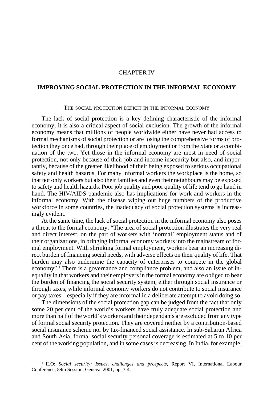# CHAPTER IV

# **IMPROVING SOCIAL PROTECTION IN THE INFORMAL ECONOMY**

#### THE SOCIAL PROTECTION DEFICIT IN THE INFORMAL ECONOMY

The lack of social protection is a key defining characteristic of the informal economy; it is also a critical aspect of social exclusion. The growth of the informal economy means that millions of people worldwide either have never had access to formal mechanisms of social protection or are losing the comprehensive forms of protection they once had, through their place of employment or from the State or a combination of the two. Yet those in the informal economy are most in need of social protection, not only because of their job and income insecurity but also, and importantly, because of the greater likelihood of their being exposed to serious occupational safety and health hazards. For many informal workers the workplace is the home, so that not only workers but also their families and even their neighbours may be exposed to safety and health hazards. Poor job quality and poor quality of life tend to go hand in hand. The HIV/AIDS pandemic also has implications for work and workers in the informal economy. With the disease wiping out huge numbers of the productive workforce in some countries, the inadequacy of social protection systems is increasingly evident.

At the same time, the lack of social protection in the informal economy also poses a threat to the formal economy: "The area of social protection illustrates the very real and direct interest, on the part of workers with 'normal' employment status and of their organizations, in bringing informal economy workers into the mainstream of formal employment. With shrinking formal employment, workers bear an increasing direct burden of financing social needs, with adverse effects on their quality of life. That burden may also undermine the capacity of enterprises to compete in the global economy".<sup>1</sup> There is a governance and compliance problem, and also an issue of inequality in that workers and their employers in the formal economy are obliged to bear the burden of financing the social security system, either through social insurance or through taxes, while informal economy workers do not contribute to social insurance or pay taxes – especially if they are informal in a deliberate attempt to avoid doing so.

The dimensions of the social protection gap can be judged from the fact that only some 20 per cent of the world's workers have truly adequate social protection and more than half of the world's workers and their dependants are excluded from any type of formal social security protection. They are covered neither by a contribution-based social insurance scheme nor by tax-financed social assistance. In sub-Saharan Africa and South Asia, formal social security personal coverage is estimated at 5 to 10 per cent of the working population, and in some cases is decreasing. In India, for example,

<sup>1</sup> ILO: *Social security: Issues, challenges and prospects*, Report VI, International Labour Conference, 89th Session, Geneva, 2001, pp. 3-4.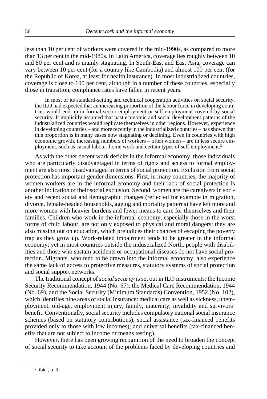less than 10 per cent of workers were covered in the mid-1990s, as compared to more than 13 per cent in the mid-1980s. In Latin America, coverage lies roughly between 10 and 80 per cent and is mainly stagnating. In South-East and East Asia, coverage can vary between 10 per cent (for a country like Cambodia) and almost 100 per cent (for the Republic of Korea, at least for health insurance). In most industrialized countries, coverage is close to 100 per cent, although in a number of these countries, especially those in transition, compliance rates have fallen in recent years.

In most of its standard-setting and technical cooperation activities on social security, the ILO had expected that an increasing proportion of the labour force in developing countries would end up in formal sector employment or self-employment covered by social security. It implicitly assumed that past economic and social development patterns of the industrialized countries would replicate themselves in other regions. However, experience in developing countries – and more recently in the industrialized countries – has shown that this proportion is in many cases now stagnating or declining. Even in countries with high economic growth, increasing numbers of workers – often women – are in less secure employment, such as casual labour, home work and certain types of self-employment.<sup>2</sup>

As with the other decent work deficits in the informal economy, those individuals who are particularly disadvantaged in terms of rights and access to formal employment are also most disadvantaged in terms of social protection. Exclusion from social protection has important gender dimensions. First, in many countries, the majority of women workers are in the informal economy and their lack of social protection is another indication of their social exclusion. Second, women are the caregivers in society and recent social and demographic changes (reflected for example in migration, divorce, female-headed households, ageing and mortality patterns) have left more and more women with heavier burdens and fewer means to care for themselves and their families. Children who work in the informal economy, especially those in the worst forms of child labour, are not only exposed to physical and moral dangers; they are also missing out on education, which prejudices their chances of escaping the poverty trap as they grow up. Work-related impairment tends to be greater in the informal economy; yet in most countries outside the industrialized North, people with disabilities and those who sustain accidents or occupational diseases do not have social protection. Migrants, who tend to be drawn into the informal economy, also experience the same lack of access to protective measures, statutory systems of social protection and social support networks.

The traditional concept of *social security* is set out in ILO instruments: the Income Security Recommendation, 1944 (No. 67); the Medical Care Recommendation, 1944 (No. 69), and the Social Security (Minimum Standards) Convention, 1952 (No. 102), which identifies nine areas of social insurance: medical care as well as sickness, unemployment, old-age, employment injury, family, maternity, invalidity and survivors' benefit. Conventionally, social security includes compulsory national social insurance schemes (based on statutory contributions); social assistance (tax-financed benefits provided only to those with low incomes); and universal benefits (tax-financed benefits that are not subject to income or means testing).

However, there has been growing recognition of the need to broaden the concept of social security to take account of the problems faced by developing countries and

<sup>2</sup> ibid., p. 3.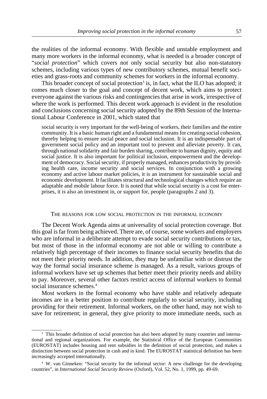the realities of the informal economy. With flexible and unstable employment and many more workers in the informal economy, what is needed is a broader concept of "*social protection*" which covers not only social security but also non-statutory schemes, including various types of new contributory schemes, mutual benefit societies and grass-roots and community schemes for workers in the informal economy.

This broader concept of social protection<sup>3</sup> is, in fact, what the ILO has adopted; it comes much closer to the goal and concept of decent work, which aims to protect everyone against the various risks and contingencies that arise in work, irrespective of where the work is performed. This decent work approach is evident in the resolution and conclusions concerning social security adopted by the 89th Session of the International Labour Conference in 2001, which stated that

social security is very important for the well-being of workers, their families and the entire community. It is a basic human right and a fundamental means for creating social cohesion, thereby helping to ensure social peace and social inclusion. It is an indispensable part of government social policy and an important tool to prevent and alleviate poverty. It can, through national solidarity and fair burden sharing, contribute to human dignity, equity and social justice. It is also important for political inclusion, empowerment and the development of democracy. Social security, if properly managed, enhances productivity by providing health care, income security and social services. In conjunction with a growing economy and active labour market policies, it is an instrument for sustainable social and economic development. It facilitates structural and technological changes which require an adaptable and mobile labour force. It is noted that while social security is a cost for enterprises, it is also an investment in, or support for, people (paragraphs 2 and 3).

#### THE REASONS FOR LOW SOCIAL PROTECTION IN THE INFORMAL ECONOMY

The Decent Work Agenda aims at universality of social protection coverage. But this goal is far from being achieved. There are, of course, some workers and employers who are informal in a deliberate attempt to evade social security contributions or tax, but most of those in the informal economy are not able or willing to contribute a relatively high percentage of their incomes to finance social security benefits that do not meet their priority needs. In addition, they may be unfamiliar with or distrust the way the formal social insurance scheme is managed. As a result, various groups of informal workers have set up schemes that better meet their priority needs and ability to pay. Moreover, several other factors restrict access of informal workers to formal social insurance schemes<sup>4</sup>

Most workers in the formal economy who have stable and relatively adequate incomes are in a better position to contribute regularly to social security, including providing for their retirement. Informal workers, on the other hand, may not wish to save for retirement; in general, they give priority to more immediate needs, such as

<sup>&</sup>lt;sup>3</sup> This broader definition of social protection has also been adopted by many countries and international and regional organizations. For example, the Statistical Office of the European Communities (EUROSTAT) includes housing and rent subsidies in the definition of social protection, and makes a distinction between social protection in cash and in kind. The EUROSTAT statistical definition has been increasingly accepted internationally.

<sup>4</sup> W. van Ginneken: "Social security for the informal sector: A new challenge for the developing countries", in *International Social Security Review* (Oxford), Vol. 52, No. 1, 1999, pp. 49-69.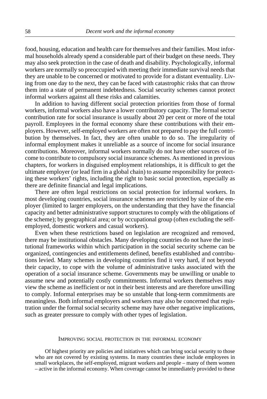food, housing, education and health care for themselves and their families. Most informal households already spend a considerable part of their budget on these needs. They may also seek protection in the case of death and disability. Psychologically, informal workers are normally so preoccupied with meeting their immediate survival needs that they are unable to be concerned or motivated to provide for a distant eventuality. Living from one day to the next, they can be faced with catastrophic risks that can throw them into a state of permanent indebtedness. Social security schemes cannot protect informal workers against all these risks and calamities.

In addition to having different social protection priorities from those of formal workers, informal workers also have a lower contributory capacity. The formal sector contribution rate for social insurance is usually about 20 per cent or more of the total payroll. Employees in the formal economy share these contributions with their employers. However, self-employed workers are often not prepared to pay the full contribution by themselves. In fact, they are often unable to do so. The irregularity of informal employment makes it unreliable as a source of income for social insurance contributions. Moreover, informal workers normally do not have other sources of income to contribute to compulsory social insurance schemes. As mentioned in previous chapters, for workers in disguised employment relationships, it is difficult to get the ultimate employer (or lead firm in a global chain) to assume responsibility for protecting these workers' rights, including the right to basic social protection, especially as there are definite financial and legal implications.

There are often legal restrictions on social protection for informal workers. In most developing countries, social insurance schemes are restricted by size of the employer (limited to larger employers, on the understanding that they have the financial capacity and better administrative support structures to comply with the obligations of the scheme); by geographical area; or by occupational group (often excluding the selfemployed, domestic workers and casual workers).

Even when these restrictions based on legislation are recognized and removed, there may be institutional obstacles. Many developing countries do not have the institutional frameworks within which participation in the social security scheme can be organized, contingencies and entitlements defined, benefits established and contributions levied. Many schemes in developing countries find it very hard, if not beyond their capacity, to cope with the volume of administrative tasks associated with the operation of a social insurance scheme. Governments may be unwilling or unable to assume new and potentially costly commitments. Informal workers themselves may view the scheme as inefficient or not in their best interests and are therefore unwilling to comply. Informal enterprises may be so unstable that long-term commitments are meaningless. Both informal employers and workers may also be concerned that registration under the formal social security scheme may have other negative implications, such as greater pressure to comply with other types of legislation.

#### IMPROVING SOCIAL PROTECTION IN THE INFORMAL ECONOMY

Of highest priority are policies and initiatives which can bring social security to those who are not covered by existing systems. In many countries these include employees in small workplaces, the self-employed, migrant workers and people – many of them women – active in the informal economy. When coverage cannot be immediately provided to these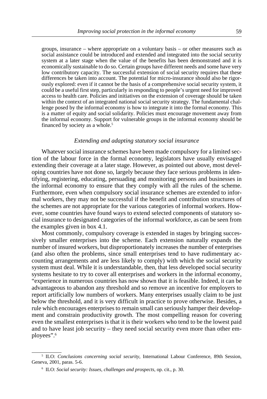groups, insurance – where appropriate on a voluntary basis – or other measures such as social assistance could be introduced and extended and integrated into the social security system at a later stage when the value of the benefits has been demonstrated and it is economically sustainable to do so. Certain groups have different needs and some have very low contributory capacity. The successful extension of social security requires that these differences be taken into account. The potential for micro-insurance should also be rigorously explored: even if it cannot be the basis of a comprehensive social security system, it could be a useful first step, particularly in responding to people's urgent need for improved access to health care. Policies and initiatives on the extension of coverage should be taken within the context of an integrated national social security strategy. The fundamental challenge posed by the informal economy is how to integrate it into the formal economy. This is a matter of equity and social solidarity. Policies must encourage movement away from the informal economy. Support for vulnerable groups in the informal economy should be financed by society as a whole.<sup>5</sup>

### *Extending and adapting statutory social insurance*

Whatever social insurance schemes have been made compulsory for a limited section of the labour force in the formal economy, legislators have usually envisaged extending their coverage at a later stage. However, as pointed out above, most developing countries have not done so, largely because they face serious problems in identifying, registering, educating, persuading and monitoring persons and businesses in the informal economy to ensure that they comply with all the rules of the scheme. Furthermore, even when compulsory social insurance schemes are extended to informal workers, they may not be successful if the benefit and contribution structures of the schemes are not appropriate for the various categories of informal workers. However, some countries have found ways to extend selected components of statutory social insurance to designated categories of the informal workforce, as can be seen from the examples given in box 4.1.

Most commonly, compulsory coverage is extended in stages by bringing successively smaller enterprises into the scheme. Each extension naturally expands the number of insured workers, but disproportionately increases the number of enterprises (and also often the problems, since small enterprises tend to have rudimentary accounting arrangements and are less likely to comply) with which the social security system must deal. While it is understandable, then, that less developed social security systems hesitate to try to cover all enterprises and workers in the informal economy, "experience in numerous countries has now shown that it is feasible. Indeed, it can be advantageous to abandon any threshold and so remove an incentive for employers to report artificially low numbers of workers. Many enterprises usually claim to be just below the threshold, and it is very difficult in practice to prove otherwise. Besides, a rule which encourages enterprises to remain small can seriously hamper their development and constrain productivity growth. The most compelling reason for covering even the smallest enterprises is that it is their workers who tend to be the lowest paid and to have least job security – they need social security even more than other employees".6

<sup>5</sup> ILO: *Conclusions concerning social security*, International Labour Conference, 89th Session, Geneva, 2001, paras. 5-6.

<sup>6</sup> ILO: *Social security: Issues, challenges and prospects*, op. cit., p. 30.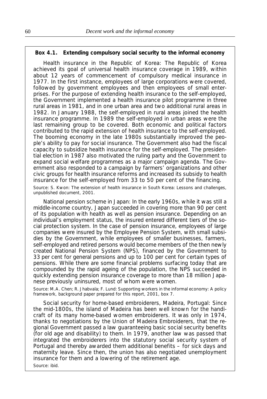## **Box 4.1. Extending compulsory social security to the informal economy**

*Health insurance in the Republic of Korea:* The Republic of Korea achieved its goal of universal health insurance coverage in 1989, within about 12 years of commencement of compulsory medical insurance in 1977. In the first instance, employees of large corporations were covered, followed by government employees and then employees of small enterprises. For the purpose of extending health insurance to the self-employed, the Government implemented a health insurance pilot programme in three rural areas in 1981, and in one urban area and two additional rural areas in 1982. In January 1988, the self-employed in rural areas joined the health insurance programme. In 1989 the self-employed in urban areas were the last remaining group to be covered. Both economic and political factors contributed to the rapid extension of health insurance to the self-employed. The booming economy in the late 1980s substantially improved the people's ability to pay for social insurance. The Government also had the fiscal capacity to subsidize health insurance for the self-employed. The presidential election in 1987 also motivated the ruling party and the Government to expand social welfare programmes as a major campaign agenda. The Government also responded to a campaign by farmers' organizations and other civic groups for health insurance reforms and increased its subsidy to health insurance for the self-employed from 33 to 50 per cent of the financing. Source: S. Kwon: *The extension of health insurance in South Kore*a: *Lessons and challenges,*

unpublished document, 2001.

*National pension scheme in Japan:* In the early 1960s, while it was still a middle-income country, Japan succeeded in covering more than 90 per cent of its population with health as well as pension insurance. Depending on an individual's employment status, the insured entered different tiers of the social protection system. In the case of pension insurance, employees of large companies were insured by the Employee Pension System, with small subsidies by the Government, while employees of smaller businesses, farmers, self-employed and retired persons would become members of the then newly created National Pension System (NPS), financed by the Government to 33 per cent for general pensions and up to 100 per cent for certain types of pensions. While there are some financial problems surfacing today that are compounded by the rapid ageing of the population, the NPS succeeded in quickly extending pension insurance coverage to more than 18 million Japanese previously uninsured, most of whom were women.

Source: M.A. Chen; R. Jhabvala; F. Lund: *Supporting workers in the informal economy: A policy framework,* background paper prepared for this report, 2001, box 7.

*Social security for home-based embroiderers, Madeira, Portugal:* Since the mid-1800s, the island of Madeira has been well known for the handicraft of its many home-based women embroiderers. It was only in 1974, thanks to negotiations by the Union of Madeira Embroiderers, that the regional Government passed a law guaranteeing basic social security benefits (for old age and disability) to them. In 1979, another law was passed that integrated the embroiderers into the statutory social security system of Portugal and thereby awarded them additional benefits – for sick days and maternity leave. Since then, the union has also negotiated unemployment insurance for them and a lowering of the retirement age. Source: ibid.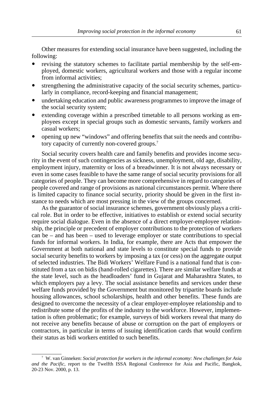Other measures for extending social insurance have been suggested, including the following:

- ! revising the statutory schemes to facilitate partial membership by the self-employed, domestic workers, agricultural workers and those with a regular income from informal activities;
- strengthening the administrative capacity of the social security schemes, particularly in compliance, record-keeping and financial management;
- undertaking education and public awareness programmes to improve the image of the social security system;
- extending coverage within a prescribed timetable to all persons working as employees except in special groups such as domestic servants, family workers and casual workers;
- ! opening up new "windows" and offering benefits that suit the needs and contributory capacity of currently non-covered groups.7

Social security covers health care and family benefits and provides income security in the event of such contingencies as sickness, unemployment, old age, disability, employment injury, maternity or loss of a breadwinner. It is not always necessary or even in some cases feasible to have the same range of social security provisions for all categories of people. They can become more comprehensive in regard to categories of people covered and range of provisions as national circumstances permit. Where there is limited capacity to finance social security, priority should be given in the first instance to needs which are most pressing in the view of the groups concerned.

As the guarantor of social insurance schemes, government obviously plays a critical role. But in order to be effective, initiatives to establish or extend social security require social dialogue. Even in the absence of a direct employer-employee relationship, the principle or precedent of employer contributions to the protection of workers can be – and has been – used to leverage employer or state contributions to special funds for informal workers. In India, for example, there are Acts that empower the Government at both national and state levels to constitute special funds to provide social security benefits to workers by imposing a tax (or cess) on the aggregate output of selected industries. The Bidi Workers' Welfare Fund is a national fund that is constituted from a tax on bidis (hand-rolled cigarettes). There are similar welfare funds at the state level, such as the headloaders' fund in Gujarat and Maharashtra States, to which employers pay a levy. The social assistance benefits and services under these welfare funds provided by the Government but monitored by tripartite boards include housing allowances, school scholarships, health and other benefits. These funds are designed to overcome the necessity of a clear employer-employee relationship and to redistribute some of the profits of the industry to the workforce. However, implementation is often problematic; for example, surveys of bidi workers reveal that many do not receive any benefits because of abuse or corruption on the part of employers or contractors, in particular in terms of issuing identification cards that would confirm their status as bidi workers entitled to such benefits.

<sup>7</sup> W. van Ginneken: *Social protection for workers in the informal economy: New challenges for Asia and the Pacific,* report to the Twelfth ISSA Regional Conference for Asia and Pacific, Bangkok, 20-23 Nov. 2000, p. 13.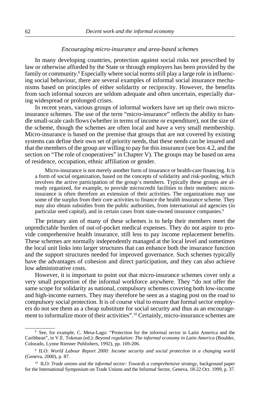## *Encouraging micro-insurance and area-based schemes*

In many developing countries, protection against social risks not prescribed by law or otherwise afforded by the State or through employers has been provided by the family or community.<sup>8</sup> Especially where social norms still play a large role in influencing social behaviour, there are several examples of informal social insurance mechanisms based on principles of either solidarity or reciprocity. However, the benefits from such informal sources are seldom adequate and often uncertain, especially during widespread or prolonged crises.

In recent years, various groups of informal workers have set up their own microinsurance schemes. The use of the term "micro-insurance" reflects the ability to handle small-scale cash flows (whether in terms of income or expenditure), not the size of the scheme, though the schemes are often local and have a very small membership. Micro-insurance is based on the premise that groups that are not covered by existing systems can define their own set of priority needs, that these needs can be insured and that the members of the group are willing to pay for this insurance (see box 4.2, and the section on "The role of cooperatives" in Chapter V). The groups may be based on area of residence, occupation, ethnic affiliation or gender.

Micro-insurance is not merely another form of insurance or health-care financing. It is a form of social organization, based on the concepts of solidarity and risk-pooling, which involves the active participation of the group's members. Typically these groups are already organized, for example, to provide microcredit facilities to their members: microinsurance is often therefore an extension of their activities. The organizations may use some of the surplus from their core activities to finance the health insurance scheme. They may also obtain subsidies from the public authorities, from international aid agencies (in particular seed capital), and in certain cases from state-owned insurance companies.<sup>9</sup>

The primary aim of many of these schemes is to help their members meet the unpredictable burden of out-of-pocket medical expenses. They do not aspire to provide comprehensive health insurance, still less to pay income replacement benefits. These schemes are normally independently managed at the local level and sometimes the local unit links into larger structures that can enhance both the insurance function and the support structures needed for improved governance. Such schemes typically have the advantages of cohesion and direct participation, and they can also achieve low administrative costs.

However, it is important to point out that micro-insurance schemes cover only a very small proportion of the informal workforce anywhere. They "do not offer the same scope for solidarity as national, compulsory schemes covering both low-income and high-income earners. They may therefore be seen as a staging post on the road to compulsory social protection. It is of course vital to ensure that formal sector employers do not see them as a cheap substitute for social security and thus as an encouragement to informalize more of their activities".10 Certainly, micro-insurance schemes are

<sup>8</sup> See, for example, C. Mesa-Lago: "Protection for the informal sector in Latin America and the Caribbean", in V.E. Tokman (ed.): *Beyond regulation: The informal economy in Latin America* (Boulder, Colorado, Lynne Rienner Publishers, 1992), pp. 169-206.

<sup>9</sup> ILO: *World Labour Report 2000: Income security and social protection in a changing world* (Geneva, 2000), p. 87.

<sup>&</sup>lt;sup>10</sup> ILO: *Trade unions and the informal sector: Towards a comprehensive strategy*, background paper for the International Symposium on Trade Unions and the Informal Sector, Geneva, 18-22 Oct. 1999, p. 37.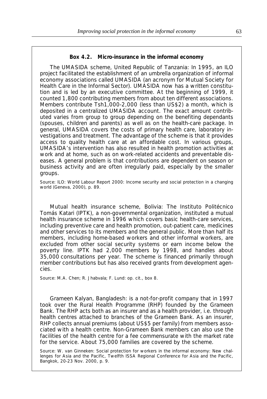*The UMASIDA scheme, United Republic of Tanzania:* In 1995, an ILO project facilitated the establishment of an umbrella organization of informal economy associations called UMASIDA (an acronym for Mutual Society for Health Care in the Informal Sector). UMASIDA now has a written constitution and is led by an executive committee. At the beginning of 1999, it counted 1,800 contributing members from about ten different associations. Members contribute Tsh1,000-2,000 (less than US\$2) a month, which is deposited in a centralized UMASIDA account. The exact amount contributed varies from group to group depending on the benefiting dependants (spouses, children and parents) as well as on the health-care package. In general, UMASIDA covers the costs of primary health care, laboratory investigations and treatment. The advantage of the scheme is that it provides access to quality health care at an affordable cost. In various groups, UMASIDA's intervention has also resulted in health promotion activities at work and at home, such as on work-related accidents and preventable diseases. A general problem is that contributions are dependent on season or business activity and are often irregularly paid, especially by the smaller groups.

Source: ILO: *World Labour Report 2000: Income security and social protection in a changing world* (Geneva, 2000), p. 89.

*Mutual health insurance scheme, Bolivia:* The Instituto Politécnico Tomás Katari (IPTK), a non-governmental organization, instituted a mutual health insurance scheme in 1996 which covers basic health-care services, including preventive care and health promotion, out-patient care, medicines and other services to its members and the general public. More than half its members, including home-based workers and other informal workers, are excluded from other social security systems or earn income below the poverty line. IPTK had 2,000 members by 1998, and handles about 35,000 consultations per year. The scheme is financed primarily through member contributions but has also received grants from development agencies.

Source: M.A. Chen; R. Jhabvala; F. Lund: op. cit., box 8.

*Grameen Kalyan, Bangladesh:* is a not-for-profit company that in 1997 took over the Rural Health Programme (RHP) founded by the Grameen Bank. The RHP acts both as an insurer and as a health provider, i.e. through health centres attached to branches of the Grameen Bank. As an insurer, RHP collects annual premiums (about US\$5 per family) from members associated with a health centre. Non-Grameen Bank members can also use the facilities of the health centre for a fee commensurate with the market rate for the service. About 75,000 families are covered by the scheme.

Source: W. van Ginneken: *Social protection for workers in the informal economy: New challenges for Asia and the Pacific*, Twelfth ISSA Regional Conference for Asia and the Pacific, Bangkok, 20-23 Nov. 2000, p. 9.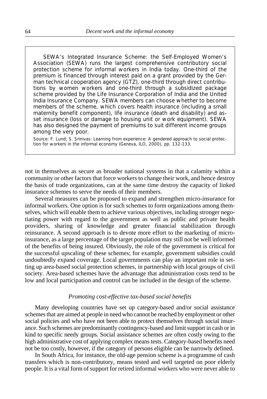*SEWA's Integrated Insurance Scheme:* the Self-Employed Women's Association (SEWA) runs the largest comprehensive contributory social protection scheme for informal workers in India today. One-third of the premium is financed through interest paid on a grant provided by the German technical cooperation agency (GTZ), one-third through direct contributions by women workers and one-third through a subsidized package scheme provided by the Life Insurance Corporation of India and the United India Insurance Company. SEWA members can choose whether to become members of the scheme, which covers health insurance (including a small maternity benefit component), life insurance (death and disability) and asset insurance (loss or damage to housing unit or work equipment). SEWA has also designed the payment of premiums to suit different income groups among the very poor.

Source: F. Lund; S. Srinivas: *Learning from experience: A gendered approach to social protection for workers in the informal economy* (Geneva, ILO, 2000), pp. 132-133.

not in themselves as secure as broader national systems in that a calamity within a community or other factors that force workers to change their work, and hence destroy the basis of trade organizations, can at the same time destroy the capacity of linked insurance schemes to serve the needs of their members.

Several measures can be proposed to expand and strengthen micro-insurance for informal workers. One option is for such schemes to form organizations among themselves, which will enable them to achieve various objectives, including stronger negotiating power with regard to the government as well as public and private health providers, sharing of knowledge and greater financial stabilization through reinsurance. A second approach is to devote more effort to the marketing of microinsurance, as a large percentage of the target population may still not be well informed of the benefits of being insured. Obviously, the role of the government is critical for the successful upscaling of these schemes; for example, government subsidies could undoubtedly expand coverage. Local governments can play an important role in setting up area-based social protection schemes, in partnership with local groups of civil society. Area-based schemes have the advantage that administration costs tend to be low and local participation and control can be included in the design of the scheme.

# *Promoting cost-effective tax-based social benefits*

Many developing countries have set up category-based and/or social assistance schemes that are aimed at people in need who cannot be reached by employment or other social policies and who have not been able to protect themselves through social insurance. Such schemes are predominantly contingency-based and limit support in cash or in kind to specific needy groups. Social assistance schemes are often costly owing to the high administrative cost of applying complex means tests. Category-based benefits need not be too costly, however, if the category of persons eligible can be narrowly defined.

In South Africa, for instance, the old-age pension scheme is a programme of cash transfers which is non-contributory, means tested and well targeted on poor elderly people. It is a vital form of support for retired informal workers who were never able to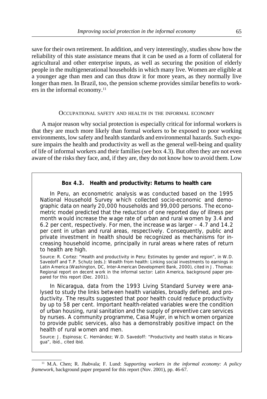save for their own retirement. In addition, and very interestingly, studies show how the reliability of this state assistance means that it can be used as a form of collateral for agricultural and other enterprise inputs, as well as securing the position of elderly people in the multigenerational households in which many live. Women are eligible at a younger age than men and can thus draw it for more years, as they normally live longer than men. In Brazil, too, the pension scheme provides similar benefits to workers in the informal economy.<sup>11</sup>

#### OCCUPATIONAL SAFETY AND HEALTH IN THE INFORMAL ECONOMY

A major reason why social protection is especially critical for informal workers is that they are much more likely than formal workers to be exposed to poor working environments, low safety and health standards and environmental hazards. Such exposure impairs the health and productivity as well as the general well-being and quality of life of informal workers and their families (see box 4.3). But often they are not even aware of the risks they face, and, if they are, they do not know how to avoid them. Low

## **Box 4.3. Health and productivity: Returns to health care**

In *Peru*, an econometric analysis was conducted based on the 1995 National Household Survey which collected socio-economic and demographic data on nearly 20,000 households and 99,000 persons. The econometric model predicted that the reduction of one reported day of illness per month would increase the wage rate of urban and rural women by 3.4 and 6.2 per cent, respectively. For men, the increase was larger – 4.7 and 14.2 per cent in urban and rural areas, respectively. Consequently, public and private investment in health should be recognized as mechanisms for increasing household income, principally in rural areas where rates of return to health are high.

Source: R. Cortez: "Health and productivity in Peru: Estimates by gender and region", in W.D. Savedoff and T.P. Schutz (eds.): *Wealth from health: Linking social investments to earnings in Latin America* (Washington, DC, Inter-American Development Bank, 2000), cited in J. Thomas: *Regional report on decent work in the informal sector: Latin America*, background paper prepared for this report (Dec. 2001).

In *Nicaragua*, data from the 1993 Living Standard Survey were analysed to study the links between health variables, broadly defined, and productivity. The results suggested that poor health could reduce productivity by up to 58 per cent. Important health-related variables were the condition of urban housing, rural sanitation and the supply of preventive care services by nurses. A community programme, Casa Mujer, in which women organize to provide public services, also has a demonstrably positive impact on the health of rural women and men.

Source: J. Espinosa; C. Hernández; W.D. Savedoff: "Productivity and health status in Nicaragua", ibid., cited ibid.

<sup>11</sup> M.A. Chen; R. Jhabvala; F. Lund: *Supporting workers in the informal economy: A policy framework*, background paper prepared for this report (Nov. 2001), pp. 46-67.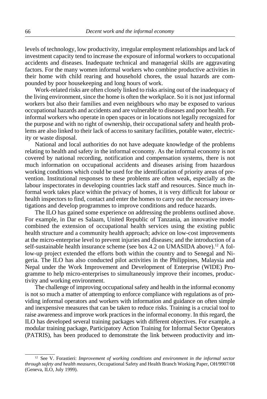levels of technology, low productivity, irregular employment relationships and lack of investment capacity tend to increase the exposure of informal workers to occupational accidents and diseases. Inadequate technical and managerial skills are aggravating factors. For the many women informal workers who combine productive activities in their home with child rearing and household chores, the usual hazards are compounded by poor housekeeping and long hours of work.

Work-related risks are often closely linked to risks arising out of the inadequacy of the living environment, since the home is often the workplace. So it is not just informal workers but also their families and even neighbours who may be exposed to various occupational hazards and accidents and are vulnerable to diseases and poor health. For informal workers who operate in open spaces or in locations not legally recognized for the purpose and with no right of ownership, their occupational safety and health problems are also linked to their lack of access to sanitary facilities, potable water, electricity or waste disposal.

National and local authorities do not have adequate knowledge of the problems relating to health and safety in the informal economy. As the informal economy is not covered by national recording, notification and compensation systems, there is not much information on occupational accidents and diseases arising from hazardous working conditions which could be used for the identification of priority areas of prevention. Institutional responses to these problems are often weak, especially as the labour inspectorates in developing countries lack staff and resources. Since much informal work takes place within the privacy of homes, it is very difficult for labour or health inspectors to find, contact and enter the homes to carry out the necessary investigations and develop programmes to improve conditions and reduce hazards.

The ILO has gained some experience on addressing the problems outlined above. For example, in Dar es Salaam, United Republic of Tanzania, an innovative model combined the extension of occupational health services using the existing public health structure and a community health approach; advice on low-cost improvements at the micro-enterprise level to prevent injuries and diseases; and the introduction of a self-sustainable health insurance scheme (see box 4.2 on UMASIDA above).<sup>12</sup> A follow-up project extended the efforts both within the country and to Senegal and Nigeria. The ILO has also conducted pilot activities in the Philippines, Malaysia and Nepal under the Work Improvement and Development of Enterprise (WIDE) Programme to help micro-enterprises to simultaneously improve their incomes, productivity and working environment.

The challenge of improving occupational safety and health in the informal economy is not so much a matter of attempting to enforce compliance with regulations as of providing informal operators and workers with information and guidance on often simple and inexpensive measures that can be taken to reduce risks. Training is a crucial tool to raise awareness and improve work practices in the informal economy. In this regard, the ILO has developed several training packages with different objectives. For example, a modular training package, Participatory Action Training for Informal Sector Operators (PATRIS), has been produced to demonstrate the link between productivity and im-

<sup>&</sup>lt;sup>12</sup> See V. Forastieri: *Improvement of working conditions and environment in the informal sector through safety and health measures*, Occupational Safety and Health Branch Working Paper, OH/9907/08 (Geneva, ILO, July 1999).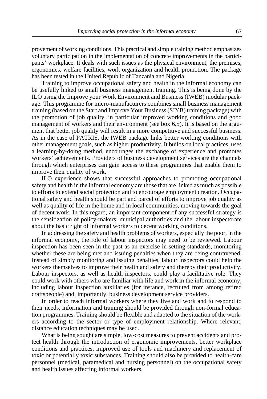provement of working conditions. This practical and simple training method emphasizes voluntary participation in the implementation of concrete improvements in the participants' workplace. It deals with such issues as the physical environment, the premises, ergonomics, welfare facilities, work organization and health promotion. The package has been tested in the United Republic of Tanzania and Nigeria.

Training to improve occupational safety and health in the informal economy can be usefully linked to small business management training. This is being done by the ILO using the Improve your Work Environment and Business (IWEB) modular package. This programme for micro-manufacturers combines small business management training (based on the Start and Improve Your Business (SIYB) training package) with the promotion of job quality, in particular improved working conditions and good management of workers and their environment (see box 6.5). It is based on the argument that better job quality will result in a more competitive and successful business. As in the case of PATRIS, the IWEB package links better working conditions with other management goals, such as higher productivity. It builds on local practices, uses a learning-by-doing method, encourages the exchange of experience and promotes workers' achievements. Providers of business development services are the channels through which enterprises can gain access to these programmes that enable them to improve their quality of work.

ILO experience shows that successful approaches to promoting occupational safety and health in the informal economy are those that are linked as much as possible to efforts to extend social protection and to encourage employment creation. Occupational safety and health should be part and parcel of efforts to improve job quality as well as quality of life in the home and in local communities, moving towards the goal of decent work. In this regard, an important component of any successful strategy is the sensitization of policy-makers, municipal authorities and the labour inspectorate about the basic right of informal workers to decent working conditions.

In addressing the safety and health problems of workers, especially the poor, in the informal economy, the role of labour inspectors may need to be reviewed. Labour inspection has been seen in the past as an exercise in setting standards, monitoring whether these are being met and issuing penalties when they are being contravened. Instead of simply monitoring and issuing penalties, labour inspectors could help the workers themselves to improve their health and safety and thereby their productivity. Labour inspectors, as well as health inspectors, could play a facilitative role. They could work with others who are familiar with life and work in the informal economy, including labour inspection auxiliaries (for instance, recruited from among retired craftspeople) and, importantly, business development service providers.

In order to reach informal workers where they live and work and to respond to their needs, information and training should be provided through non-formal education programmes. Training should be flexible and adapted to the situation of the workers according to the sector or type of employment relationship. Where relevant, distance education techniques may be used.

What is being sought are simple, low-cost measures to prevent accidents and protect health through the introduction of ergonomic improvements, better workplace conditions and practices, improved use of tools and machinery and replacement of toxic or potentially toxic substances. Training should also be provided to health-care personnel (medical, paramedical and nursing personnel) on the occupational safety and health issues affecting informal workers.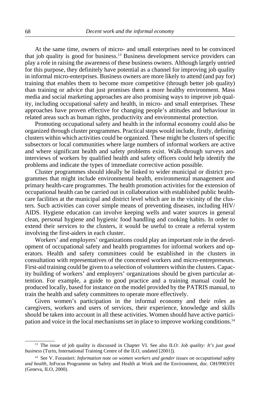At the same time, owners of micro- and small enterprises need to be convinced that job quality is good for business.13 Business development service providers can play a role in raising the awareness of these business owners. Although largely untried for this purpose, they definitely have potential as a channel for improving job quality in informal micro-enterprises. Business owners are more likely to attend (and pay for) training that enables them to become more competitive (through better job quality) than training or advice that just promises them a more healthy environment. Mass media and social marketing approaches are also promising ways to improve job quality, including occupational safety and health, in micro- and small enterprises. These approaches have proven effective for changing people's attitudes and behaviour in related areas such as human rights, productivity and environmental protection.

Promoting occupational safety and health in the informal economy could also be organized through cluster programmes. Practical steps would include, firstly, defining clusters within which activities could be organized. These might be clusters of specific subsectors or local communities where large numbers of informal workers are active and where significant health and safety problems exist. Walk-through surveys and interviews of workers by qualified health and safety officers could help identify the problems and indicate the types of immediate corrective action possible.

Cluster programmes should ideally be linked to wider municipal or district programmes that might include environmental health, environmental management and primary health-care programmes. The health promotion activities for the extension of occupational health can be carried out in collaboration with established public healthcare facilities at the municipal and district level which are in the vicinity of the clusters. Such activities can cover simple means of preventing diseases, including HIV/ AIDS. Hygiene education can involve keeping wells and water sources in general clean, personal hygiene and hygienic food handling and cooking habits. In order to extend their services to the clusters, it would be useful to create a referral system involving the first-aiders in each cluster.

Workers' and employers' organizations could play an important role in the development of occupational safety and health programmes for informal workers and operators. Health and safety committees could be established in the clusters in consultation with representatives of the concerned workers and micro-entrepreneurs. First-aid training could be given to a selection of volunteers within the clusters. Capacity building of workers' and employers' organizations should be given particular attention. For example, a guide to good practice and a training manual could be produced locally, based for instance on the model provided by the PATRIS manual, to train the health and safety committees to operate more effectively.

Given women's participation in the informal economy and their roles as caregivers, workers and users of services, their experience, knowledge and skills should be taken into account in all these activities. Women should have active participation and voice in the local mechanisms set in place to improve working conditions.14

<sup>13</sup> The issue of job quality is discussed in Chapter VI. See also ILO: *Job quality: It's just good business* (Turin, International Training Centre of the ILO, undated [2001]).

<sup>14</sup> See V. Forastieri: *Information note on women workers and gender issues on occupational safety and health*, InFocus Programme on Safety and Health at Work and the Environment, doc. OH/9903/01 (Geneva, ILO, 2000).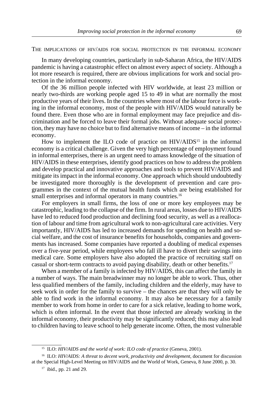THE IMPLICATIONS OF HIV/AIDS FOR SOCIAL PROTECTION IN THE INFORMAL ECONOMY

In many developing countries, particularly in sub-Saharan Africa, the HIV/AIDS pandemic is having a catastrophic effect on almost every aspect of society. Although a lot more research is required, there are obvious implications for work and social protection in the informal economy.

Of the 36 million people infected with HIV worldwide, at least 23 million or nearly two-thirds are working people aged 15 to 49 in what are normally the most productive years of their lives. In the countries where most of the labour force is working in the informal economy, most of the people with HIV/AIDS would naturally be found there. Even those who are in formal employment may face prejudice and discrimination and be forced to leave their formal jobs. Without adequate social protection, they may have no choice but to find alternative means of income – in the informal economy.

How to implement the ILO code of practice on HIV/AIDS<sup>15</sup> in the informal economy is a critical challenge. Given the very high percentage of employment found in informal enterprises, there is an urgent need to amass knowledge of the situation of HIV/AIDS in these enterprises, identify good practices on how to address the problem and develop practical and innovative approaches and tools to prevent HIV/AIDS and mitigate its impact in the informal economy. One approach which should undoubtedly be investigated more thoroughly is the development of prevention and care programmes in the context of the mutual health funds which are being established for small enterprises and informal operators in many countries.<sup>16</sup>

For employers in small firms, the loss of one or more key employees may be catastrophic, leading to the collapse of the firm. In rural areas, losses due to HIV/AIDS have led to reduced food production and declining food security, as well as a reallocation of labour and time from agricultural work to non-agricultural care activities. Very importantly, HIV/AIDS has led to increased demands for spending on health and social welfare, and the cost of insurance benefits for households, companies and governments has increased. Some companies have reported a doubling of medical expenses over a five-year period, while employees who fall ill have to divert their savings into medical care. Some employers have also adopted the practice of recruiting staff on casual or short-term contracts to avoid paying disability, death or other benefits.17

When a member of a family is infected by HIV/AIDS, this can affect the family in a number of ways. The main breadwinner may no longer be able to work. Thus, other less qualified members of the family, including children and the elderly, may have to seek work in order for the family to survive – the chances are that they will only be able to find work in the informal economy. It may also be necessary for a family member to work from home in order to care for a sick relative, leading to home work, which is often informal. In the event that those infected are already working in the informal economy, their productivity may be significantly reduced; this may also lead to children having to leave school to help generate income. Often, the most vulnerable

<sup>&</sup>lt;sup>15</sup> ILO: *HIV/AIDS and the world of work: ILO code of practice* (Geneva, 2001).

<sup>&</sup>lt;sup>16</sup> ILO: *HIV/AIDS: A threat to decent work, productivity and development, document for discussion* at the Special High-Level Meeting on HIV/AIDS and the World of Work, Geneva, 8 June 2000, p. 30.

 $17$  ibid., pp. 21 and 29.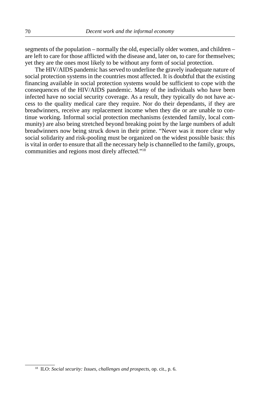segments of the population – normally the old, especially older women, and children – are left to care for those afflicted with the disease and, later on, to care for themselves; yet they are the ones most likely to be without any form of social protection.

The HIV/AIDS pandemic has served to underline the gravely inadequate nature of social protection systems in the countries most affected. It is doubtful that the existing financing available in social protection systems would be sufficient to cope with the consequences of the HIV/AIDS pandemic. Many of the individuals who have been infected have no social security coverage. As a result, they typically do not have access to the quality medical care they require. Nor do their dependants, if they are breadwinners, receive any replacement income when they die or are unable to continue working. Informal social protection mechanisms (extended family, local community) are also being stretched beyond breaking point by the large numbers of adult breadwinners now being struck down in their prime. "Never was it more clear why social solidarity and risk-pooling must be organized on the widest possible basis: this is vital in order to ensure that all the necessary help is channelled to the family, groups, communities and regions most direly affected."18

<sup>18</sup> ILO: *Social security: Issues, challenges and prospects*, op. cit., p. 6.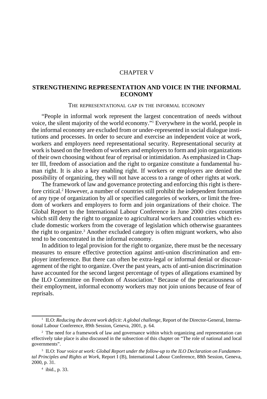# CHAPTER V

# **STRENGTHENING REPRESENTATION AND VOICE IN THE INFORMAL ECONOMY**

#### THE REPRESENTATIONAL GAP IN THE INFORMAL ECONOMY

"People in informal work represent the largest concentration of needs without voice, the silent majority of the world economy."1 Everywhere in the world, people in the informal economy are excluded from or under-represented in social dialogue institutions and processes. In order to secure and exercise an independent voice at work, workers and employers need representational security. Representational security at work is based on the freedom of workers and employers to form and join organizations of their own choosing without fear of reprisal or intimidation. As emphasized in Chapter III, freedom of association and the right to organize constitute a fundamental human right. It is also a key enabling right. If workers or employers are denied the possibility of organizing, they will not have access to a range of other rights at work.

The framework of law and governance protecting and enforcing this right is therefore critical.<sup>2</sup> However, a number of countries still prohibit the independent formation of any type of organization by all or specified categories of workers, or limit the freedom of workers and employers to form and join organizations of their choice. The Global Report to the International Labour Conference in June 2000 cites countries which still deny the right to organize to agricultural workers and countries which exclude domestic workers from the coverage of legislation which otherwise guarantees the right to organize.<sup>3</sup> Another excluded category is often migrant workers, who also tend to be concentrated in the informal economy.

In addition to legal provision for the right to organize, there must be the necessary measures to ensure effective protection against anti-union discrimination and employer interference. But there can often be extra-legal or informal denial or discouragement of the right to organize. Over the past years, acts of anti-union discrimination have accounted for the second largest percentage of types of allegations examined by the ILO Committee on Freedom of Association.<sup>4</sup> Because of the precariousness of their employment, informal economy workers may not join unions because of fear of reprisals.

<sup>&</sup>lt;sup>1</sup> ILO: *Reducing the decent work deficit: A global challenge*, Report of the Director-General, International Labour Conference, 89th Session, Geneva, 2001, p. 64.

<sup>&</sup>lt;sup>2</sup> The need for a framework of law and governance within which organizing and representation can effectively take place is also discussed in the subsection of this chapter on "The role of national and local governments".

<sup>3</sup> ILO: *Your voice at work: Global Report under the follow-up to the ILO Declaration on Fundamental Principles and Rights at Work,* Report I (B), International Labour Conference, 88th Session, Geneva, 2000, p. 31.

<sup>4</sup> ibid., p. 33.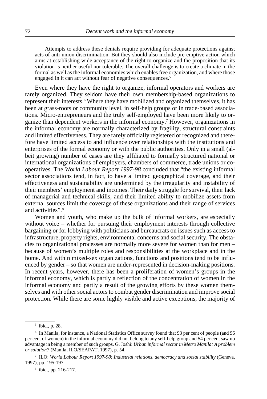Attempts to address these denials require providing for adequate protections against acts of anti-union discrimination. But they should also include pre-emptive action which aims at establishing wide acceptance of the right to organize and the proposition that its violation is neither useful nor tolerable. The overall challenge is to create a climate in the formal as well as the informal economies which enables free organization, and where those engaged in it can act without fear of negative consequences.<sup>5</sup>

Even where they have the right to organize, informal operators and workers are rarely organized. They seldom have their own membership-based organizations to represent their interests.<sup>6</sup> Where they have mobilized and organized themselves, it has been at grass-roots or community level, in self-help groups or in trade-based associations. Micro-entrepreneurs and the truly self-employed have been more likely to organize than dependent workers in the informal economy.7 However, organizations in the informal economy are normally characterized by fragility, structural constraints and limited effectiveness. They are rarely officially registered or recognized and therefore have limited access to and influence over relationships with the institutions and enterprises of the formal economy or with the public authorities. Only in a small (albeit growing) number of cases are they affiliated to formally structured national or international organizations of employers, chambers of commerce, trade unions or cooperatives. The *World Labour Report 1997-98* concluded that "the existing informal sector associations tend, in fact, to have a limited geographical coverage, and their effectiveness and sustainability are undermined by the irregularity and instability of their members' employment and incomes. Their daily struggle for survival, their lack of managerial and technical skills, and their limited ability to mobilize assets from external sources limit the coverage of these organizations and their range of services and activities".8

Women and youth, who make up the bulk of informal workers, are especially without voice – whether for pursuing their employment interests through collective bargaining or for lobbying with politicians and bureaucrats on issues such as access to infrastructure, property rights, environmental concerns and social security. The obstacles to organizational processes are normally more severe for women than for men – because of women's multiple roles and responsibilities at the workplace and in the home. And within mixed-sex organizations, functions and positions tend to be influenced by gender – so that women are under-represented in decision-making positions. In recent years, however, there has been a proliferation of women's groups in the informal economy, which is partly a reflection of the concentration of women in the informal economy and partly a result of the growing efforts by these women themselves and with other social actors to combat gender discrimination and improve social protection. While there are some highly visible and active exceptions, the majority of

<sup>5</sup> ibid., p. 28.

<sup>6</sup> In Manila, for instance, a National Statistics Office survey found that 93 per cent of people (and 96 per cent of women) in the informal economy did not belong to any self-help group and 54 per cent saw no advantage in being a member of such groups. G. Joshi: *Urban informal sector in Metro Manila: A problem or solution?* (Manila, ILO/SEAPAT, 1997), p. 54.

<sup>7</sup> ILO: *World Labour Report 1997-98: Industrial relations, democracy and social stability* (Geneva, 1997), pp. 195-197.

<sup>8</sup> ibid., pp. 216-217.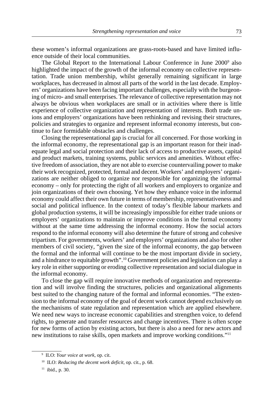these women's informal organizations are grass-roots-based and have limited influence outside of their local communities.

The Global Report to the International Labour Conference in June 2000<sup>9</sup> also highlighted the impact of the growth of the informal economy on collective representation. Trade union membership, whilst generally remaining significant in large workplaces, has decreased in almost all parts of the world in the last decade. Employers' organizations have been facing important challenges, especially with the burgeoning of micro- and small enterprises. The relevance of collective representation may not always be obvious when workplaces are small or in activities where there is little experience of collective organization and representation of interests. Both trade unions and employers' organizations have been rethinking and revising their structures, policies and strategies to organize and represent informal economy interests, but continue to face formidable obstacles and challenges.

Closing the representational gap is crucial for all concerned. For those working in the informal economy, the representational gap is an important reason for their inadequate legal and social protection and their lack of access to productive assets, capital and product markets, training systems, public services and amenities. Without effective freedom of association, they are not able to exercise countervailing power to make their work recognized, protected, formal and decent. Workers' and employers' organizations are neither obliged to organize nor responsible for organizing the informal economy – only for protecting the right of all workers and employers to organize and join organizations of their own choosing. Yet how they enhance voice in the informal economy could affect their own future in terms of membership, representativeness and social and political influence. In the context of today's flexible labour markets and global production systems, it will be increasingly impossible for either trade unions or employers' organizations to maintain or improve conditions in the formal economy without at the same time addressing the informal economy. How the social actors respond to the informal economy will also determine the future of strong and cohesive tripartism. For governments, workers' and employers' organizations and also for other members of civil society, "given the size of the informal economy, the gap between the formal and the informal will continue to be the most important divide in society, and a hindrance to equitable growth".10 Government policies and legislation can play a key role in either supporting or eroding collective representation and social dialogue in the informal economy.

To close the gap will require innovative methods of organization and representation and will involve finding the structures, policies and organizational alignments best suited to the changing nature of the formal and informal economies. "The extension to the informal economy of the goal of decent work cannot depend exclusively on the mechanisms of state regulation and representation which are applied elsewhere. We need new ways to increase economic capabilities and strengthen voice, to defend rights, to generate and transfer resources and change incentives. There is often scope for new forms of action by existing actors, but there is also a need for new actors and new institutions to raise skills, open markets and improve working conditions."11

<sup>9</sup> ILO: *Your voice at work*, op. cit.

<sup>10</sup> ILO: *Reducing the decent work deficit*, op. cit., p. 68.

 $11$  ibid., p. 30.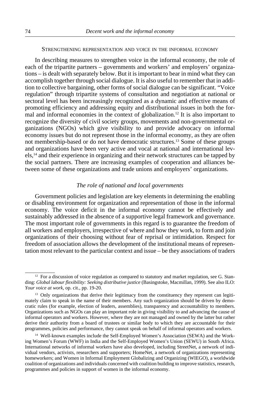#### STRENGTHENING REPRESENTATION AND VOICE IN THE INFORMAL ECONOMY

In describing measures to strengthen voice in the informal economy, the role of each of the tripartite partners – governments and workers' and employers' organizations – is dealt with separately below. But it is important to bear in mind what they can accomplish together through social dialogue. It is also useful to remember that in addition to collective bargaining, other forms of social dialogue can be significant. "Voice regulation" through tripartite systems of consultation and negotiation at national or sectoral level has been increasingly recognized as a dynamic and effective means of promoting efficiency and addressing equity and distributional issues in both the formal and informal economies in the context of globalization.12 It is also important to recognize the diversity of civil society groups, movements and non-governmental organizations (NGOs) which give visibility to and provide advocacy on informal economy issues but do not represent those in the informal economy, as they are often not membership-based or do not have democratic structures.13 Some of these groups and organizations have been very active and vocal at national and international levels,14 and their experience in organizing and their network structures can be tapped by the social partners. There are increasing examples of cooperation and alliances between some of these organizations and trade unions and employers' organizations.

# *The role of national and local governments*

Government policies and legislation are key elements in determining the enabling or disabling environment for organization and representation of those in the informal economy. The voice deficit in the informal economy cannot be effectively and sustainably addressed in the absence of a supportive legal framework and governance. The most important role of governments in this regard is to guarantee the freedom of all workers and employers, irrespective of where and how they work, to form and join organizations of their choosing without fear of reprisal or intimidation. Respect for freedom of association allows the development of the institutional means of representation most relevant to the particular context and issue – be they associations of traders

 $12$  For a discussion of voice regulation as compared to statutory and market regulation, see G. Standing: *Global labour flexibility: Seeking distributive justice* (Basingstoke, Macmillan, 1999). See also ILO: *Your voice at work*, op. cit., pp. 19-20.

<sup>&</sup>lt;sup>13</sup> Only organizations that derive their legitimacy from the constituency they represent can legitimately claim to speak in the name of their members. Any such organization should be driven by democratic rules (for example, election of leaders, assemblies), transparency and accountability to members. Organizations such as NGOs can play an important role in giving visibility to and advancing the cause of informal operators and workers. However, where they are not managed and owned by the latter but rather derive their authority from a board of trustees or similar body to which they are accountable for their programmes, policies and performance, they cannot speak on behalf of informal operators and workers.

<sup>14</sup> Well-known examples include the Self-Employed Women's Association (SEWA) and the Working Women's Forum (WWF) in India and the Self-Employed Women's Union (SEWU) in South Africa. International networks of informal workers have also developed, including StreetNet, a network of individual vendors, activists, researchers and supporters; HomeNet, a network of organizations representing homeworkers; and Women in Informal Employment Globalizing and Organizing (WIEGO), a worldwide coalition of organizations and individuals concerned with coalition building to improve statistics, research, programmes and policies in support of women in the informal economy.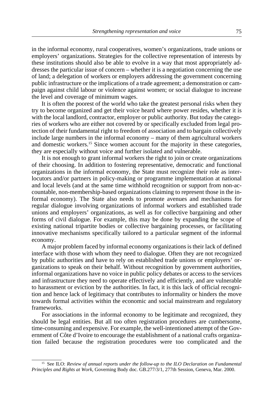in the informal economy, rural cooperatives, women's organizations, trade unions or employers' organizations. Strategies for the collective representation of interests by these institutions should also be able to evolve in a way that most appropriately addresses the particular issue of concern – whether it is a negotiation concerning the use of land; a delegation of workers or employers addressing the government concerning public infrastructure or the implications of a trade agreement; a demonstration or campaign against child labour or violence against women; or social dialogue to increase the level and coverage of minimum wages.

It is often the poorest of the world who take the greatest personal risks when they try to become organized and get their voice heard where power resides, whether it is with the local landlord, contractor, employer or public authority. But today the categories of workers who are either not covered by or specifically excluded from legal protection of their fundamental right to freedom of association and to bargain collectively include large numbers in the informal economy – many of them agricultural workers and domestic workers.15 Since women account for the majority in these categories, they are especially without voice and further isolated and vulnerable.

It is not enough to grant informal workers the right to join or create organizations of their choosing. In addition to fostering representative, democratic and functional organizations in the informal economy, the State must recognize their role as interlocutors and/or partners in policy-making or programme implementation at national and local levels (and at the same time withhold recognition or support from non-accountable, non-membership-based organizations claiming to represent those in the informal economy). The State also needs to promote avenues and mechanisms for regular dialogue involving organizations of informal workers and established trade unions and employers' organizations, as well as for collective bargaining and other forms of civil dialogue. For example, this may be done by expanding the scope of existing national tripartite bodies or collective bargaining processes, or facilitating innovative mechanisms specifically tailored to a particular segment of the informal economy.

A major problem faced by informal economy organizations is their lack of defined interface with those with whom they need to dialogue. Often they are not recognized by public authorities and have to rely on established trade unions or employers' organizations to speak on their behalf. Without recognition by government authorities, informal organizations have no voice in public policy debates or access to the services and infrastructure they need to operate effectively and efficiently, and are vulnerable to harassment or eviction by the authorities. In fact, it is this lack of official recognition and hence lack of legitimacy that contributes to informality or hinders the move towards formal activities within the economic and social mainstream and regulatory frameworks.

For associations in the informal economy to be legitimate and recognized, they should be legal entities. But all too often registration procedures are cumbersome, time-consuming and expensive. For example, the well-intentioned attempt of the Government of Côte d'Ivoire to encourage the establishment of a national crafts organization failed because the registration procedures were too complicated and the

<sup>15</sup> See ILO: *Review of annual reports under the follow-up to the ILO Declaration on Fundamental Principles and Rights at Work*, Governing Body doc. GB.277/3/1, 277th Session, Geneva, Mar. 2000.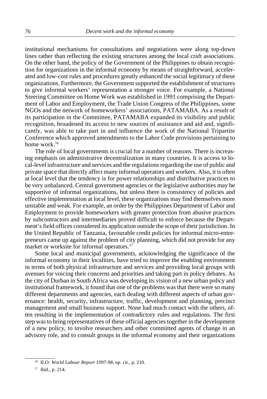institutional mechanisms for consultations and negotiations were along top-down lines rather than reflecting the existing structures among the local craft associations. On the other hand, the policy of the Government of the Philippines to obtain recognition for organizations in the informal economy by means of straightforward, accelerated and low-cost rules and procedures greatly enhanced the social legitimacy of these organizations. Furthermore, the Government supported the establishment of structures to give informal workers' representation a stronger voice. For example, a National Steering Committee on Home Work was established in 1991 comprising the Department of Labor and Employment, the Trade Union Congress of the Philippines, some NGOs and the network of homeworkers' associations, PATAMABA. As a result of its participation in the Committee, PATAMABA expanded its visibility and public recognition, broadened its access to new sources of assistance and aid and, significantly, was able to take part in and influence the work of the National Tripartite Conference which approved amendments to the Labor Code provisions pertaining to home work.16

The role of local governments is crucial for a number of reasons. There is increasing emphasis on administrative decentralization in many countries. It is access to local-level infrastructure and services and the regulations regarding the use of public and private space that directly affect many informal operators and workers. Also, it is often at local level that the tendency is for power relationships and distributive practices to be very unbalanced. Central government agencies or the legislative authorities may be supportive of informal organizations, but unless there is consistency of policies and effective implementation at local level, these organizations may find themselves more unstable and weak. For example, an order by the Philippines Department of Labor and Employment to provide homeworkers with greater protection from abusive practices by subcontractors and intermediaries proved difficult to enforce because the Department's field offices considered its application outside the scope of their jurisdiction. In the United Republic of Tanzania, favourable credit policies for informal micro-entrepreneurs came up against the problem of city planning, which did not provide for any market or worksite for informal operators.<sup>17</sup>

Some local and municipal governments, acknowledging the significance of the informal economy in their localities, have tried to improve the enabling environment in terms of both physical infrastructure and services and providing local groups with avenues for voicing their concerns and priorities and taking part in policy debates. As the city of Durban in South Africa was developing its vision of a new urban policy and institutional framework, it found that one of the problems was that there were so many different departments and agencies, each dealing with different aspects of urban governance: health, security, infrastructure, traffic, development and planning, precinct management and small business support. None had much contact with the others, often resulting in the implementation of contradictory rules and regulations. The first step was to bring representatives of these official agencies together in the development of a new policy, to involve researchers and other committed agents of change in an advisory role, and to consult groups in the informal economy and their organizations

<sup>16</sup> ILO: *World Labour Report 1997-98*, op. cit., p. 210.

<sup>17</sup> ibid., p. 214.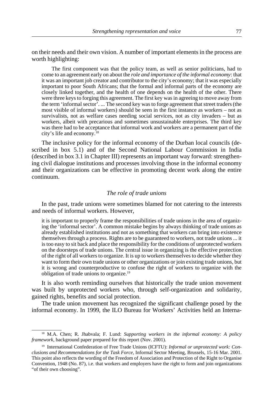on their needs and their own vision. A number of important elements in the process are worth highlighting:

The first component was that the policy team, as well as senior politicians, had to come to an agreement early on about the *role and importance of the informal economy*: that it was an important job creator and contributor to the city's economy; that it was especially important to poor South Africans; that the formal and informal parts of the economy are closely linked together, and the health of one depends on the health of the other. There were three keys to forging this agreement. The first key was in agreeing to move away from the term 'informal sector'. ... The second key was to forge agreement that street traders (the most visible of informal workers) should be seen in the first instance as workers – not as survivalists, not as welfare cases needing social services, not as city invaders – but as workers, albeit with precarious and sometimes unsustainable enterprises. The third key was there had to be acceptance that informal work and workers are a permanent part of the city's life and economy.18

The inclusive policy for the informal economy of the Durban local councils (described in box 5.1) and of the Second National Labour Commission in India (described in box 3.1 in Chapter III) represents an important way forward: strengthening civil dialogue institutions and processes involving those in the informal economy and their organizations can be effective in promoting decent work along the entire continuum.

### *The role of trade unions*

In the past, trade unions were sometimes blamed for not catering to the interests and needs of informal workers. However,

it is important to properly frame the responsibilities of trade unions in the area of organizing the 'informal sector'. A common mistake begins by always thinking of trade unions as already established institutions and not as something that workers can bring into existence themselves through a process. Rights are to be guaranteed to workers, not trade unions ... it is too easy to sit back and place the responsibility for the conditions of unprotected workers on the doorsteps of trade unions. The central issue in organizing is the effective protection of the right of all workers to organize. It is up to workers themselves to decide whether they want to form their own trade unions or other organizations or join existing trade unions, but it is wrong and counterproductive to confuse the right of workers to organize with the obligation of trade unions to organize.19

It is also worth reminding ourselves that historically the trade union movement was built by unprotected workers who, through self-organization and solidarity, gained rights, benefits and social protection.

The trade union movement has recognized the significant challenge posed by the informal economy. In 1999, the ILO Bureau for Workers' Activities held an Interna-

<sup>18</sup> M.A. Chen; R. Jhabvala; F. Lund: *Supporting workers in the informal economy: A policy framework*, background paper prepared for this report (Nov. 2001).

<sup>19</sup> International Confederation of Free Trade Unions (ICFTU): *Informal or unprotected work: Conclusions and Recommendations for the Task Force*, Informal Sector Meeting, Brussels, 15-16 Mar. 2001. This point also reflects the wording of the Freedom of Association and Protection of the Right to Organise Convention, 1948 (No. 87), i.e. that workers and employers have the right to form and join organizations "of their own choosing".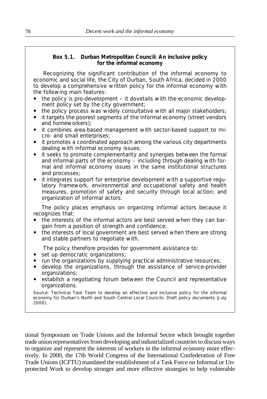## **Box 5.1. Durban Metropolitan Council: An inclusive policy for the informal economy**

Recognizing the significant contribution of the informal economy to economic and social life, the City of Durban, South Africa, decided in 2000 to develop a comprehensive written policy for the informal economy with the following main features:

- $\bullet$  the policy is pro-development  $-$  it dovetails with the economic development policy set by the city government;
- the policy process was widely consultative with all major stakeholders;
- it targets the poorest segments of the informal economy (street vendors and homeworkers);
- it combines area-based management with sector-based support to micro- and small enterprises;
- it promotes a coordinated approach among the various city departments dealing with informal economy issues;
- it seeks to promote complementarity and synergies between the formal and informal parts of the economy – including through dealing with formal and informal economy issues in the same institutional structures and processes;
- it integrates support for enterprise development with a supportive regulatory framework, environmental and occupational safety and health measures, promotion of safety and security through local action; and organization of informal actors.

The policy places emphasis on organizing informal actors because it recognizes that:

- the interests of the informal actors are best served when they can bargain from a position of strength and confidence;
- the interests of local government are best served when there are strong and stable partners to negotiate with.

The policy therefore provides for government assistance to:

- set up democratic organizations;
- run the organizations by supplying practical administrative resources;
- ! develop the organizations, through the assistance of service-provider organizations;
- establish a negotiating forum between the Council and representative organizations.

Source: Technical Task Team to develop an effective and inclusive policy for the informal economy for Durban's North and South Central Local Councils: *Draft policy documents* (July 2000).

tional Symposium on Trade Unions and the Informal Sector which brought together trade union representatives from developing and industrialized countries to discuss ways to organize and represent the interests of workers in the informal economy more effectively. In 2000, the 17th World Congress of the International Confederation of Free Trade Unions (ICFTU) mandated the establishment of a Task Force on Informal or Unprotected Work to develop stronger and more effective strategies to help vulnerable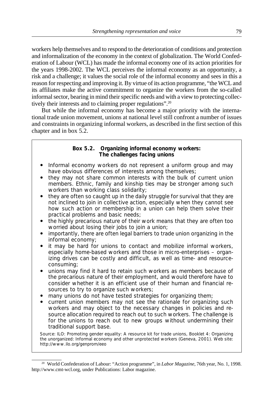workers help themselves and to respond to the deterioration of conditions and protection and informalization of the economy in the context of globalization. The World Confederation of Labour (WCL) has made the informal economy one of its action priorities for the years 1998-2002. The WCL perceives the informal economy as an opportunity, a risk and a challenge; it values the social role of the informal economy and sees in this a reason for respecting and improving it. By virtue of its action programme, "the WCL and its affiliates make the active commitment to organize the workers from the so-called informal sector, bearing in mind their specific needs and with a view to protecting collectively their interests and to claiming proper regulations".<sup>20</sup>

But while the informal economy has become a major priority with the international trade union movement, unions at national level still confront a number of issues and constraints in organizing informal workers, as described in the first section of this chapter and in box 5.2.

## **Box 5.2. Organizing informal economy workers: The challenges facing unions**

- Informal economy workers do not represent a uniform group and may have obvious differences of interests among themselves;
- they may not share common interests with the bulk of current union members. Ethnic, family and kinship ties may be stronger among such workers than working class solidarity;
- they are often so caught up in the daily struggle for survival that they are not inclined to join in collective action, especially when they cannot see how such action or membership in a union can help them solve their practical problems and basic needs;
- the highly precarious nature of their work means that they are often too worried about losing their jobs to join a union;
- ! importantly, there are often legal barriers to trade union organizing in the informal economy;
- it may be hard for unions to contact and mobilize informal workers, especially home-based workers and those in micro-enterprises – organizing drives can be costly and difficult, as well as time- and resourceconsuming;
- unions may find it hard to retain such workers as members because of the precarious nature of their employment, and would therefore have to consider whether it is an efficient use of their human and financial resources to try to organize such workers;
- many unions do not have tested strategies for organizing them;
- current union members may not see the rationale for organizing such workers and may object to the necessary changes in policies and resource allocation required to reach out to such workers. The challenge is for the unions to reach out to new groups without undermining their traditional support base.

Source: ILO: *Promoting gender equality: A resource kit for trade unions, Booklet 4: Organizing the unorganized: Informal economy and other unprotected workers* (Geneva, 2001). Web site: http://www.ilo.org/genprom/eeo

<sup>20</sup> World Confederation of Labour: "Action programme", in *Labor Magazine*, 76th year, No. 1, 1998. http://www.cmt-wcl.org, under Publications: Labor magazine.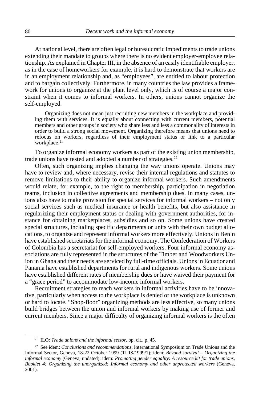At national level, there are often legal or bureaucratic impediments to trade unions extending their mandate to groups where there is no evident employer-employee relationship. As explained in Chapter III, in the absence of an easily identifiable employer, as in the case of homeworkers for example, it is hard to demonstrate that workers are in an employment relationship and, as "employees", are entitled to labour protection and to bargain collectively. Furthermore, in many countries the law provides a framework for unions to organize at the plant level only, which is of course a major constraint when it comes to informal workers. In others, unions cannot organize the self-employed.

Organizing does not mean just recruiting new members in the workplace and providing them with services. It is equally about connecting with current members, potential members and other groups in society who share less and less a commonality of interests in order to build a strong social movement. Organizing therefore means that unions need to refocus on workers, regardless of their employment status or link to a particular workplace.<sup>21</sup>

To organize informal economy workers as part of the existing union membership, trade unions have tested and adopted a number of strategies.<sup>22</sup>

Often, such organizing implies changing the way unions operate. Unions may have to review and, where necessary, revise their internal regulations and statutes to remove limitations to their ability to organize informal workers. Such amendments would relate, for example, to the right to membership, participation in negotiation teams, inclusion in collective agreements and membership dues. In many cases, unions also have to make provision for special services for informal workers – not only social services such as medical insurance or health benefits, but also assistance in regularizing their employment status or dealing with government authorities, for instance for obtaining marketplaces, subsidies and so on. Some unions have created special structures, including specific departments or units with their own budget allocations, to organize and represent informal workers more effectively. Unions in Benin have established secretariats for the informal economy. The Confederation of Workers of Colombia has a secretariat for self-employed workers. Four informal economy associations are fully represented in the structures of the Timber and Woodworkers Union in Ghana and their needs are serviced by full-time officials. Unions in Ecuador and Panama have established departments for rural and indigenous workers. Some unions have established different rates of membership dues or have waived their payment for a "grace period" to accommodate low-income informal workers.

Recruitment strategies to reach workers in informal activities have to be innovative, particularly when access to the workplace is denied or the workplace is unknown or hard to locate. "Shop-floor" organizing methods are less effective, so many unions build bridges between the union and informal workers by making use of former and current members. Since a major difficulty of organizing informal workers is the often

<sup>21</sup> ILO: *Trade unions and the informal sector*, op. cit., p. 45.

<sup>22</sup> See idem: *Conclusions and recommendations,* International Symposium on Trade Unions and the Informal Sector*,* Geneva, 18-22 October 1999 (TUIS/1999/1); idem: *Beyond survival – Organizing the informal economy* (Geneva, undated); idem: *Promoting gender equality: A resource kit for trade unions, Booklet 4: Organizing the unorganized: Informal economy and other unprotected workers* (Geneva, 2001).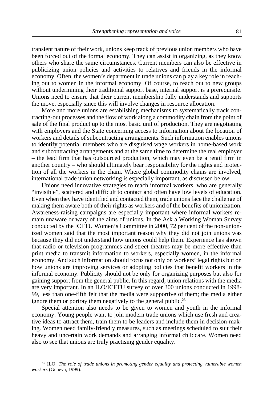transient nature of their work, unions keep track of previous union members who have been forced out of the formal economy. They can assist in organizing, as they know others who share the same circumstances. Current members can also be effective in publicizing union policies and activities to relatives and friends in the informal economy. Often, the women's department in trade unions can play a key role in reaching out to women in the informal economy. Of course, to reach out to new groups without undermining their traditional support base, internal support is a prerequisite. Unions need to ensure that their current membership fully understands and supports the move, especially since this will involve changes in resource allocation.

More and more unions are establishing mechanisms to systematically track contracting-out processes and the flow of work along a commodity chain from the point of sale of the final product up to the most basic unit of production. They are negotiating with employers and the State concerning access to information about the location of workers and details of subcontracting arrangements. Such information enables unions to identify potential members who are disguised wage workers in home-based work and subcontracting arrangements and at the same time to determine the real employer – the lead firm that has outsourced production, which may even be a retail firm in another country – who should ultimately bear responsibility for the rights and protection of all the workers in the chain. Where global commodity chains are involved, international trade union networking is especially important, as discussed below.

Unions need innovative strategies to reach informal workers, who are generally "invisible", scattered and difficult to contact and often have low levels of education. Even when they have identified and contacted them, trade unions face the challenge of making them aware both of their rights as workers and of the benefits of unionization. Awareness-raising campaigns are especially important where informal workers remain unaware or wary of the aims of unions. In the Ask a Working Woman Survey conducted by the ICFTU Women's Committee in 2000, 72 per cent of the non-unionized women said that the most important reason why they did not join unions was because they did not understand how unions could help them. Experience has shown that radio or television programmes and street theatres may be more effective than print media to transmit information to workers, especially women, in the informal economy. And such information should focus not only on workers' legal rights but on how unions are improving services or adopting policies that benefit workers in the informal economy. Publicity should not be only for organizing purposes but also for gaining support from the general public. In this regard, union relations with the media are very important. In an ILO/ICFTU survey of over 300 unions conducted in 1998- 99, less than one-fifth felt that the media were supportive of them; the media either ignore them or portray them negatively to the general public.<sup>23</sup>

Special attention also needs to be given to women and youth in the informal economy. Young people want to join modern trade unions which use fresh and creative ideas to attract them, train them to be leaders and include them in decision-making. Women need family-friendly measures, such as meetings scheduled to suit their heavy and uncertain work demands and arranging informal childcare. Women need also to see that unions are truly practising gender equality.

<sup>23</sup> ILO: *The role of trade unions in promoting gender equality and protecting vulnerable women workers* (Geneva, 1999).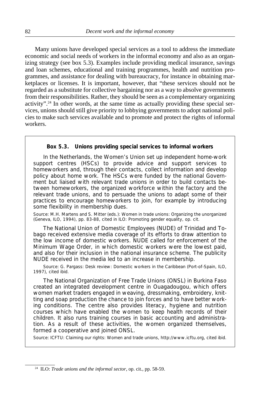Many unions have developed special services as a tool to address the immediate economic and social needs of workers in the informal economy and also as an organizing strategy (see box 5.3). Examples include providing medical insurance, savings and loan schemes, educational and training programmes, health and nutrition programmes, and assistance for dealing with bureaucracy, for instance in obtaining marketplaces or licenses. It is important, however, that "these services should not be regarded as a substitute for collective bargaining nor as a way to absolve governments from their responsibilities. Rather, they should be seen as a complementary organizing activity".<sup>24</sup> In other words, at the same time as actually providing these special services, unions should still give priority to lobbying governments to adopt national policies to make such services available and to promote and protect the rights of informal workers.

# **Box 5.3. Unions providing special services to informal workers**

In the *Netherlands*, the Women's Union set up independent home-work support centres (HSCs) to provide advice and support services to homeworkers and, through their contacts, collect information and develop policy about home work. The HSCs were funded by the national Government but liaised with relevant trade unions in order to build contacts between homeworkers, the organized workforce within the factory and the relevant trade unions, and to persuade the unions to adapt some of their practices to encourage homeworkers to join, for example by introducing some flexibility in membership dues.

Source: M.H. Martens and S. Mitter (eds.): *Women in trade unions: Organizing the unorganized* (Geneva, ILO, 1994), pp. 83-88, cited in ILO: *Promoting gender equality*, op. cit.

The National Union of Domestic Employees (NUDE) of *Trinidad and Tobago* received extensive media coverage of its efforts to draw attention to the low income of domestic workers. NUDE called for enforcement of the Minimum Wage Order, in which domestic workers were the lowest paid, and also for their inclusion in the national insurance scheme. The publicity NUDE received in the media led to an increase in membership.

Source: G. Pargass: *Desk review: Domestic workers in the Caribbean* (Port-of-Spain, ILO, 1997), cited ibid.

The National Organization of Free Trade Unions (ONSL) in *Burkina Faso* created an integrated development centre in Ouagadougou, which offers women market traders engaged in weaving, dressmaking, embroidery, knitting and soap production the chance to join forces and to have better working conditions. The centre also provides literacy, hygiene and nutrition courses which have enabled the women to keep health records of their children. It also runs training courses in basic accounting and administration. As a result of these activities, the women organized themselves, formed a cooperative and joined ONSL.

Source: ICFTU: *Claiming our rights: Women and trade unions*, http://www.icftu.org, cited ibid.

<sup>24</sup> ILO: *Trade unions and the informal sector*, op. cit., pp. 58-59.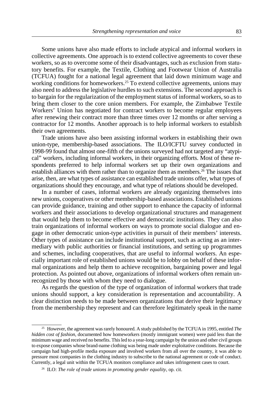Some unions have also made efforts to include atypical and informal workers in collective agreements. One approach is to extend collective agreements to cover these workers, so as to overcome some of their disadvantages, such as exclusion from statutory benefits. For example, the Textile, Clothing and Footwear Union of Australia (TCFUA) fought for a national legal agreement that laid down minimum wage and working conditions for homeworkers.<sup>25</sup> To extend collective agreements, unions may also need to address the legislative hurdles to such extensions. The second approach is to bargain for the regularization of the employment status of informal workers, so as to bring them closer to the core union members. For example, the Zimbabwe Textile Workers' Union has negotiated for contract workers to become regular employees after renewing their contract more than three times over 12 months or after serving a contractor for 12 months. Another approach is to help informal workers to establish their own agreements.

Trade unions have also been assisting informal workers in establishing their own union-type, membership-based associations. The ILO/ICFTU survey conducted in 1998-99 found that almost one-fifth of the unions surveyed had not targeted any "atypical" workers, including informal workers, in their organizing efforts. Most of these respondents preferred to help informal workers set up their own organizations and establish alliances with them rather than to organize them as members.26 The issues that arise, then, are what types of assistance can established trade unions offer, what types of organizations should they encourage, and what type of relations should be developed.

In a number of cases, informal workers are already organizing themselves into new unions, cooperatives or other membership-based associations. Established unions can provide guidance, training and other support to enhance the capacity of informal workers and their associations to develop organizational structures and management that would help them to become effective and democratic institutions. They can also train organizations of informal workers on ways to promote social dialogue and engage in other democratic union-type activities in pursuit of their members' interests. Other types of assistance can include institutional support, such as acting as an intermediary with public authorities or financial institutions, and setting up programmes and schemes, including cooperatives, that are useful to informal workers. An especially important role of established unions would be to lobby on behalf of these informal organizations and help them to achieve recognition, bargaining power and legal protection. As pointed out above, organizations of informal workers often remain unrecognized by those with whom they need to dialogue.

As regards the question of the type of organization of informal workers that trade unions should support, a key consideration is representation and accountability. A clear distinction needs to be made between organizations that derive their legitimacy from the membership they represent and can therefore legitimately speak in the name

<sup>&</sup>lt;sup>25</sup> However, the agreement was rarely honoured. A study published by the TCFUA in 1995, entitled *The hidden cost of fashion*, documented how homeworkers (mostly immigrant women) were paid less than the minimum wage and received no benefits. This led to a year-long campaign by the union and other civil groups to expose companies whose brand-name clothing was being made under exploitative conditions. Because the campaign had high-profile media exposure and involved workers from all over the country, it was able to pressure most companies in the clothing industry to subscribe to the national agreement or code of conduct. Currently, a legal unit within the TCFUA monitors compliance and takes infringement cases to court.

<sup>26</sup> ILO: *The role of trade unions in promoting gender equality*, op. cit.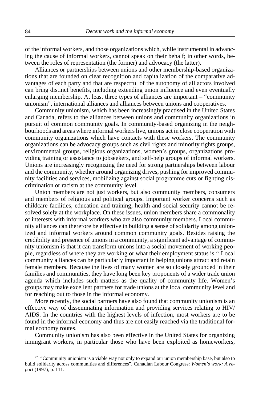of the informal workers, and those organizations which, while instrumental in advancing the cause of informal workers, cannot speak on their behalf; in other words, between the roles of representation (the former) and advocacy (the latter).

Alliances or partnerships between unions and other membership-based organizations that are founded on clear recognition and capitalization of the comparative advantages of each party and that are respectful of the autonomy of all actors involved can bring distinct benefits, including extending union influence and even eventually enlarging membership. At least three types of alliances are important – "community unionism", international alliances and alliances between unions and cooperatives.

Community unionism, which has been increasingly practised in the United States and Canada, refers to the alliances between unions and community organizations in pursuit of common community goals. In community-based organizing in the neighbourhoods and areas where informal workers live, unions act in close cooperation with community organizations which have contacts with these workers. The community organizations can be advocacy groups such as civil rights and minority rights groups, environmental groups, religious organizations, women's groups, organizations providing training or assistance to jobseekers, and self-help groups of informal workers. Unions are increasingly recognizing the need for strong partnerships between labour and the community, whether around organizing drives, pushing for improved community facilities and services, mobilizing against social programme cuts or fighting discrimination or racism at the community level.

Union members are not just workers, but also community members, consumers and members of religious and political groups. Important worker concerns such as childcare facilities, education and training, health and social security cannot be resolved solely at the workplace. On these issues, union members share a commonality of interests with informal workers who are also community members. Local community alliances can therefore be effective in building a sense of solidarity among unionized and informal workers around common community goals. Besides raising the credibility and presence of unions in a community, a significant advantage of community unionism is that it can transform unions into a social movement of working people, regardless of where they are working or what their employment status is.27 Local community alliances can be particularly important in helping unions attract and retain female members. Because the lives of many women are so closely grounded in their families and communities, they have long been key proponents of a wider trade union agenda which includes such matters as the quality of community life. Women's groups may make excellent partners for trade unions at the local community level and for reaching out to those in the informal economy.

More recently, the social partners have also found that community unionism is an effective way of disseminating information and providing services relating to HIV/ AIDS. In the countries with the highest levels of infection, most workers are to be found in the informal economy and thus are not easily reached via the traditional formal economy routes.

Community unionism has also been effective in the United States for organizing immigrant workers, in particular those who have been exploited as homeworkers,

<sup>&</sup>lt;sup>27</sup> "Community unionism is a viable way not only to expand our union membership base, but also to build solidarity across communities and differences". Canadian Labour Congress: *Women's work: A report* (1997), p. 111.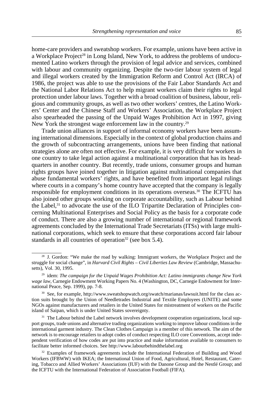home-care providers and sweatshop workers. For example, unions have been active in a Workplace Project<sup>28</sup> in Long Island, New York, to address the problems of undocumented Latino workers through the provision of legal advice and services, combined with labour and community organizing. Despite the two-tier labour system of legal and illegal workers created by the Immigration Reform and Control Act (IRCA) of 1986, the project was able to use the provisions of the Fair Labor Standards Act and the National Labor Relations Act to help migrant workers claim their rights to legal protection under labour laws. Together with a broad coalition of business, labour, religious and community groups, as well as two other workers' centres, the Latino Workers' Center and the Chinese Staff and Workers' Association, the Workplace Project also spearheaded the passing of the Unpaid Wages Prohibition Act in 1997, giving New York the strongest wage enforcement law in the country.<sup>29</sup>

Trade union alliances in support of informal economy workers have been assuming international dimensions. Especially in the context of global production chains and the growth of subcontracting arrangements, unions have been finding that national strategies alone are often not effective. For example, it is very difficult for workers in one country to take legal action against a multinational corporation that has its headquarters in another country. But recently, trade unions, consumer groups and human rights groups have joined together in litigation against multinational companies that abuse fundamental workers' rights, and have benefited from important legal rulings where courts in a company's home country have accepted that the company is legally responsible for employment conditions in its operations overseas.30 The ICFTU has also joined other groups working on corporate accountability, such as Labour behind the Label,31 to advocate the use of the ILO Tripartite Declaration of Principles concerning Multinational Enterprises and Social Policy as the basis for a corporate code of conduct. There are also a growing number of international or regional framework agreements concluded by the International Trade Secretariats (ITSs) with large multinational corporations, which seek to ensure that these corporations accord fair labour standards in all countries of operation<sup>32</sup> (see box 5.4).

<sup>&</sup>lt;sup>28</sup> J. Gordon: "We make the road by walking: Immigrant workers, the Workplace Project and the struggle for social change", in *Harvard Civil Rights – Civil Liberties Law Review* (Cambridge, Massachusetts), Vol. 30, 1995.

<sup>29</sup> idem: *The campaign for the Unpaid Wages Prohibition Act: Latino immigrants change New York wage law*, Carnegie Endowment Working Papers No. 4 (Washington, DC, Carnegie Endowment for International Peace, Sep. 1999), pp. 7-8.

<sup>&</sup>lt;sup>30</sup> See, for example, http://www.sweatshopwatch.org/swatch/marianas/lawsuit.html for the class action suits brought by the Union of Needletrades Industrial and Textile Employees (UNITE) and some NGOs against manufacturers and retailers in the United States for mistreatment of workers on the Pacific island of Saipan, which is under United States sovereignty.

<sup>&</sup>lt;sup>31</sup> The Labour behind the Label network involves development cooperation organizations, local support groups, trade unions and alternative trading organizations working to improve labour conditions in the international garment industry. The Clean Clothes Campaign is a member of this network. The aim of the network is to encourage retailers to adopt codes of conduct respecting ILO core Conventions, accept independent verification of how codes are put into practice and make information available to consumers to facilitate better informed choices. See http://www.labourbehindthelabel.org

<sup>&</sup>lt;sup>32</sup> Examples of framework agreements include the International Federation of Building and Wood Workers (IFBWW) with IKEA; the International Union of Food, Agricultural, Hotel, Restaurant, Catering, Tobacco and Allied Workers' Associations (IUF) with the Danone Group and the Nestlé Group; and the ICFTU with the International Federation of Association Football (FIFA).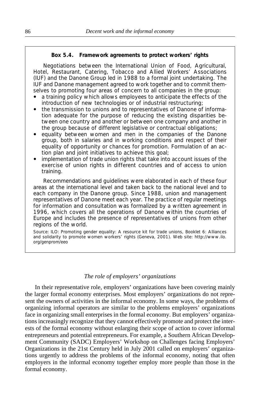## **Box 5.4. Framework agreements to protect workers' rights**

Negotiations between the International Union of Food, Agricultural, Hotel, Restaurant, Catering, Tobacco and Allied Workers' Associations (IUF) and the Danone Group led in 1988 to a formal joint undertaking. The IUF and Danone management agreed to work together and to commit themselves to promoting four areas of concern to all companies in the group:

- a training policy which allows employees to anticipate the effects of the introduction of new technologies or of industrial restructuring;
- ! the transmission to unions and to representatives of Danone of information adequate for the purpose of reducing the existing disparities between one country and another or between one company and another in the group because of different legislative or contractual obligations;
- equality between women and men in the companies of the Danone group, both in salaries and in working conditions and respect of their equality of opportunity or chances for promotion. Formulation of an action plan and joint initiatives to achieve this goal;
- implementation of trade union rights that take into account issues of the exercise of union rights in different countries and of access to union training.

Recommendations and guidelines were elaborated in each of these four areas at the international level and taken back to the national level and to each company in the Danone group. Since 1988, union and management representatives of Danone meet each year. The practice of regular meetings for information and consultation was formalized by a written agreement in 1996, which covers all the operations of Danone within the countries of Europe and includes the presence of representatives of unions from other regions of the world.

Source: ILO: *Promoting gender equality: A resource kit for trade unions, Booklet 6: Alliances and solidarity to promote women workers' rights* (Geneva, 2001). Web site: http://www.ilo. org/genprom/eeo

## *The role of employers' organizations*

In their representative role, employers' organizations have been covering mainly the larger formal economy enterprises. Most employers' organizations do not represent the owners of activities in the informal economy. In some ways, the problems of organizing informal operators are similar to the problems employers' organizations face in organizing small enterprises in the formal economy. But employers' organizations increasingly recognize that they cannot effectively promote and protect the interests of the formal economy without enlarging their scope of action to cover informal entrepreneurs and potential entrepreneurs. For example, a Southern African Development Community (SADC) Employers' Workshop on Challenges facing Employers' Organizations in the 21st Century held in July 2001 called on employers' organizations urgently to address the problems of the informal economy, noting that often employers in the informal economy together employ more people than those in the formal economy.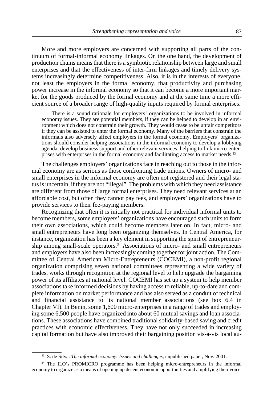More and more employers are concerned with supporting all parts of the continuum of formal-informal economy linkages. On the one hand, the development of production chains means that there is a symbiotic relationship between large and small enterprises and that the effectiveness of inter-firm linkages and timely delivery systems increasingly determine competitiveness. Also, it is in the interests of everyone, not least the employers in the formal economy, that productivity and purchasing power increase in the informal economy so that it can become a more important market for the goods produced by the formal economy and at the same time a more efficient source of a broader range of high-quality inputs required by formal enterprises.

There is a sound rationale for employers' organizations to be involved in informal economy issues. They are potential members, if they can be helped to develop in an environment which does not constrain their growth. They would cease to be unfair competitors if they can be assisted to enter the formal economy. Many of the barriers that constrain the informals also adversely affect employers in the formal economy. Employers' organizations should consider helping associations in the informal economy to develop a lobbying agenda, develop business support and other relevant services, helping to link micro-enterprises with enterprises in the formal economy and facilitating access to market needs.33

The challenges employers' organizations face in reaching out to those in the informal economy are as serious as those confronting trade unions. Owners of micro- and small enterprises in the informal economy are often not registered and their legal status is uncertain, if they are not "illegal". The problems with which they need assistance are different from those of large formal enterprises. They need relevant services at an affordable cost, but often they cannot pay fees, and employers' organizations have to provide services to their fee-paying members.

Recognizing that often it is initially not practical for individual informal units to become members, some employers' organizations have encouraged such units to form their own associations, which could become members later on. In fact, micro- and small entrepreneurs have long been organizing themselves. In Central America, for instance, organization has been a key element in supporting the spirit of entrepreneurship among small-scale operators.<sup>34</sup> Associations of micro- and small entrepreneurs and employers have also been increasingly coming together for joint action. The Committee of Central American Micro-Entrepreneurs (COCEMI), a non-profit regional organization comprising seven national committees representing a wide variety of trades, works through recognition at the regional level to help upgrade the bargaining power of its affiliates at national level. COCEMI has set up a system to help member associations take informed decisions by having access to reliable, up-to-date and complete information on market performance and has also served as a conduit of technical and financial assistance to its national member associations (see box 6.4 in Chapter VI). In Benin, some 1,600 micro-enterprises in a range of trades and employing some 6,500 people have organized into about 60 mutual savings and loan associations. These associations have combined traditional solidarity-based saving and credit practices with economic effectiveness. They have not only succeeded in increasing capital formation but have also improved their bargaining position vis-à-vis local au-

<sup>33</sup> S. de Silva: *The informal economy: Issues and challenges*, unpublished paper, Nov. 2001.

<sup>34</sup> The ILO's PROMICRO programme has been helping micro-entrepreneurs in the informal economy to organize as a means of opening up decent economic opportunities and amplifying their voice.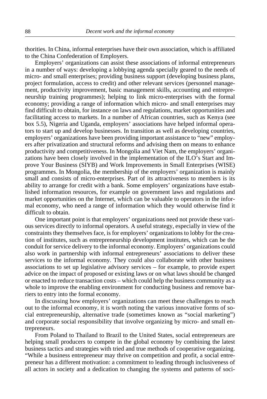thorities. In China, informal enterprises have their own association, which is affiliated to the China Confederation of Employers.

Employers' organizations can assist these associations of informal entrepreneurs in a number of ways: developing a lobbying agenda specially geared to the needs of micro- and small enterprises; providing business support (developing business plans, project formulation, access to credit) and other relevant services (personnel management, productivity improvement, basic management skills, accounting and entrepreneurship training programmes); helping to link micro-enterprises with the formal economy; providing a range of information which micro- and small enterprises may find difficult to obtain, for instance on laws and regulations, market opportunities and facilitating access to markets. In a number of African countries, such as Kenya (see box 5.5), Nigeria and Uganda, employers' associations have helped informal operators to start up and develop businesses. In transition as well as developing countries, employers' organizations have been providing important assistance to "new" employers after privatization and structural reforms and advising them on means to enhance productivity and competitiveness. In Mongolia and Viet Nam, the employers' organizations have been closely involved in the implementation of the ILO's Start and Improve Your Business (SIYB) and Work Improvements in Small Enterprises (WISE) programmes. In Mongolia, the membership of the employers' organization is mainly small and consists of micro-enterprises. Part of its attractiveness to members is its ability to arrange for credit with a bank. Some employers' organizations have established information resources, for example on government laws and regulations and market opportunities on the Internet, which can be valuable to operators in the informal economy, who need a range of information which they would otherwise find it difficult to obtain.

One important point is that employers' organizations need not provide these various services directly to informal operators. A useful strategy, especially in view of the constraints they themselves face, is for employers' organizations to lobby for the creation of institutes, such as entrepreneurship development institutes, which can be the conduit for service delivery to the informal economy. Employers' organizations could also work in partnership with informal entrepreneurs' associations to deliver these services to the informal economy. They could also collaborate with other business associations to set up legislative advisory services – for example, to provide expert advice on the impact of proposed or existing laws or on what laws should be changed or enacted to reduce transaction costs – which could help the business community as a whole to improve the enabling environment for conducting business and remove barriers to entry into the formal economy.

In discussing how employers' organizations can meet these challenges to reach out to the informal economy, it is worth noting the various innovative forms of social entrepreneurship, alternative trade (sometimes known as "social marketing") and corporate social responsibility that involve organizing by micro- and small entrepreneurs.

From Poland to Thailand to Brazil to the United States, social entrepreneurs are helping small producers to compete in the global economy by combining the latest business tactics and strategies with tried and true methods of cooperative organizing. "While a business entrepreneur may thrive on competition and profit, a social entrepreneur has a different motivation: a commitment to leading through inclusiveness of all actors in society and a dedication to changing the systems and patterns of soci-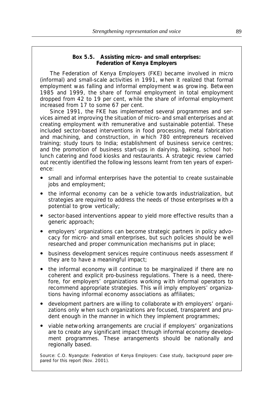# **Box 5.5. Assisting micro- and small enterprises: Federation of Kenya Employers**

The Federation of Kenya Employers (FKE) became involved in micro (informal) and small-scale activities in 1991, when it realized that formal employment was falling and informal employment was growing. Between 1985 and 1999, the share of formal employment in total employment dropped from 42 to 19 per cent, while the share of informal employment increased from 17 to some 67 per cent.

Since 1991, the FKE has implemented several programmes and services aimed at improving the situation of micro- and small enterprises and at creating employment with remunerative and sustainable potential. These included sector-based interventions in food processing, metal fabrication and machining, and construction, in which 780 entrepreneurs received training; study tours to India; establishment of business service centres; and the promotion of business start-ups in dairying, baking, school hotlunch catering and food kiosks and restaurants. A strategic review carried out recently identified the following lessons learnt from ten years of experience:

- small and informal enterprises have the potential to create sustainable jobs and employment;
- the informal economy can be a vehicle towards industrialization, but strategies are required to address the needs of those enterprises with a potential to grow vertically;
- sector-based interventions appear to yield more effective results than a generic approach;
- ! employers' organizations can become strategic partners in policy advocacy for micro- and small enterprises, but such policies should be well researched and proper communication mechanisms put in place;
- ! business development services require continuous needs assessment if they are to have a meaningful impact;
- the informal economy will continue to be marginalized if there are no coherent and explicit pro-business regulations. There is a need, therefore, for employers' organizations working with informal operators to recommend appropriate strategies. This will imply employers' organizations having informal economy associations as affiliates;
- ! development partners are willing to collaborate with employers' organizations only when such organizations are focused, transparent and prudent enough in the manner in which they implement programmes;
- ! viable networking arrangements are crucial if employers' organizations are to create any significant impact through informal economy development programmes. These arrangements should be nationally and regionally based.

Source: C.O. Nyangute: *Federation of Kenya Employers: Case study,* background paper prepared for this report (Nov. 2001).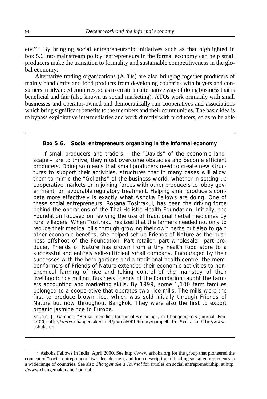ety."35 By bringing social entrepreneurship initiatives such as that highlighted in box 5.6 into mainstream policy, entrepreneurs in the formal economy can help small producers make the transition to formality and sustainable competitiveness in the global economy.

Alternative trading organizations (ATOs) are also bringing together producers of mainly handicrafts and food products from developing countries with buyers and consumers in advanced countries, so as to create an alternative way of doing business that is beneficial and fair (also known as social marketing). ATOs work primarily with small businesses and operator-owned and democratically run cooperatives and associations which bring significant benefits to the members and their communities. The basic idea is to bypass exploitative intermediaries and work directly with producers, so as to be able

### **Box 5.6. Social entrepreneurs organizing in the informal economy**

If small producers and traders – the "Davids" of the economic landscape – are to thrive, they must overcome obstacles and become efficient producers. Doing so means that small producers need to create new structures to support their activities, structures that in many cases will allow them to mimic the "Goliaths" of the business world, whether in setting up cooperative markets or in joining forces with other producers to lobby government for favourable regulatory treatment. Helping small producers compete more effectively is exactly what Ashoka Fellows are doing. One of these social entrepreneurs, Rosana Tositrakul, has been the driving force behind the operations of the Thai Holistic Health Foundation. Initially, the Foundation focused on reviving the use of traditional herbal medicines by rural villagers. When Tositrakul realized that the farmers needed not only to reduce their medical bills through growing their own herbs but also to gain other economic benefits, she helped set up Friends of Nature as the business offshoot of the Foundation. Part retailer, part wholesaler, part producer, Friends of Nature has grown from a tiny health food store to a successful and entirely self-sufficient small company. Encouraged by their successes with the herb gardens and a traditional health centre, the member-farmers of Friends of Nature extended their economic activities to nonchemical farming of rice and taking control of the mainstay of their livelihood: rice milling. Business friends of the Foundation taught the farmers accounting and marketing skills. By 1999, some 1,100 farm families belonged to a cooperative that operates two rice mills. The mills were the first to produce brown rice, which was sold initially through Friends of Nature but now throughout Bangkok. They were also the first to export organic jasmine rice to Europe.

Source: J. Gampell: "Herbal remedies for social wellbeing", in *Changemakers Journal*, Feb. 2000, http://www.changemakers.net/journal/00february/gampell.cfm See also http://www. ashoka.org

<sup>35</sup> Ashoka Fellows in India, April 2000. See http://www.ashoka.org for the group that pioneered the concept of "social entrepreneur" two decades ago, and for a description of leading social entrepreneurs in a wide range of countries. See also *Changemakers Journal* for articles on social entrepreneurship, at http: //www.changemakers.net/journal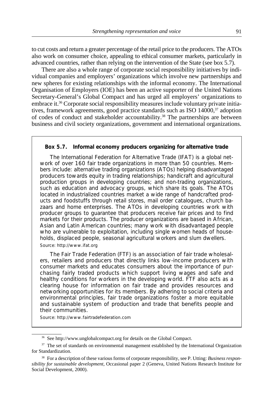to cut costs and return a greater percentage of the retail price to the producers. The ATOs also work on consumer choice, appealing to ethical consumer markets, particularly in advanced countries, rather than relying on the intervention of the State (see box 5.7).

There are also a whole range of corporate social responsibility initiatives by individual companies and employers' organizations which involve new partnerships and new spheres for existing relationships with the informal economy. The International Organisation of Employers (IOE) has been an active supporter of the United Nations Secretary-General's Global Compact and has urged all employers' organizations to embrace it.36 Corporate social responsibility measures include voluntary private initiatives, framework agreements, good practice standards such as ISO 14000,<sup>37</sup> adoption of codes of conduct and stakeholder accountability.38 The partnerships are between business and civil society organizations, government and international organizations.

### **Box 5.7. Informal economy producers organizing for alternative trade**

The International Federation for Alternative Trade (IFAT) is a global network of over 160 fair trade organizations in more than 50 countries. Members include: alternative trading organizations (ATOs) helping disadvantaged producers towards equity in trading relationships; handicraft and agricultural production groups in developing countries; and non-trading organizations, such as education and advocacy groups, which share its goals. The ATOs located in industrialized countries market a wide range of handcrafted products and foodstuffs through retail stores, mail order catalogues, church bazaars and home enterprises. The ATOs in developing countries work with producer groups to guarantee that producers receive fair prices and to find markets for their products. The producer organizations are based in African, Asian and Latin American countries; many work with disadvantaged people who are vulnerable to exploitation, including single women heads of households, displaced people, seasonal agricultural workers and slum dwellers. Source: http://www.ifat.org

The Fair Trade Federation (FTF) is an association of fair trade wholesalers, retailers and producers that directly links low-income producers with consumer markets and educates consumers about the importance of purchasing fairly traded products which support living wages and safe and healthy conditions for workers in the developing world. FTF also acts as a clearing house for information on fair trade and provides resources and networking opportunities for its members. By adhering to social criteria and environmental principles, fair trade organizations foster a more equitable and sustainable system of production and trade that benefits people and their communities.

Source: http://www.fairtradefederation.com

<sup>36</sup> See http://www.unglobalcompact.org for details on the Global Compact.

<sup>&</sup>lt;sup>37</sup> The set of standards on environmental management established by the International Organization for Standardization.

<sup>38</sup> For a description of these various forms of corporate responsibility, see P. Utting: *Business responsibility for sustainable development*, Occasional paper 2 (Geneva, United Nations Research Institute for Social Development, 2000).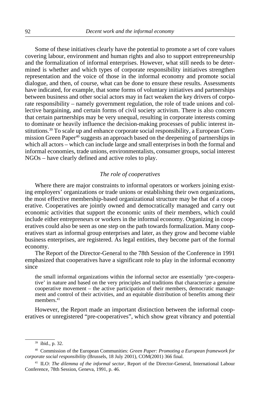Some of these initiatives clearly have the potential to promote a set of core values covering labour, environment and human rights and also to support entrepreneurship and the formalization of informal enterprises. However, what still needs to be determined is whether and which types of corporate responsibility initiatives strengthen representation and the voice of those in the informal economy and promote social dialogue, and then, of course, what can be done to ensure these results. Assessments have indicated, for example, that some forms of voluntary initiatives and partnerships between business and other social actors may in fact weaken the key drivers of corporate responsibility – namely government regulation, the role of trade unions and collective bargaining, and certain forms of civil society activism. There is also concern that certain partnerships may be very unequal, resulting in corporate interests coming to dominate or heavily influence the decision-making processes of public interest institutions.39 To scale up and enhance corporate social responsibility, a European Commission Green Paper40 suggests an approach based on the deepening of partnerships in which all actors – which can include large and small enterprises in both the formal and informal economies, trade unions, environmentalists, consumer groups, social interest NGOs – have clearly defined and active roles to play.

# *The role of cooperatives*

Where there are major constraints to informal operators or workers joining existing employers' organizations or trade unions or establishing their own organizations, the most effective membership-based organizational structure may be that of a cooperative. Cooperatives are jointly owned and democratically managed and carry out economic activities that support the economic units of their members, which could include either entrepreneurs or workers in the informal economy. Organizing in cooperatives could also be seen as one step on the path towards formalization. Many cooperatives start as informal group enterprises and later, as they grow and become viable business enterprises, are registered. As legal entities, they become part of the formal economy.

The Report of the Director-General to the 78th Session of the Conference in 1991 emphasized that cooperatives have a significant role to play in the informal economy since

the small informal organizations within the informal sector are essentially 'pre-cooperative' in nature and based on the very principles and traditions that characterize a genuine cooperative movement – the active participation of their members, democratic management and control of their activities, and an equitable distribution of benefits among their members.<sup>41</sup>

However, the Report made an important distinction between the informal cooperatives or unregistered "pre-cooperatives", which show great vibrancy and potential

<sup>39</sup> ibid., p. 32.

<sup>40</sup> Commission of the European Communities: *Green Paper: Promoting a European framework for corporate social responsibility* (Brussels, 18 July 2001), COM(2001) 366 final.

<sup>41</sup> ILO: *The dilemma of the informal sector*, Report of the Director-General, International Labour Conference, 78th Session, Geneva, 1991, p. 46.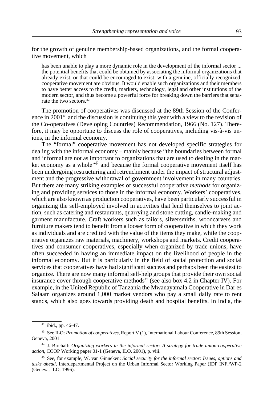for the growth of genuine membership-based organizations, and the formal cooperative movement, which

has been unable to play a more dynamic role in the development of the informal sector ... the potential benefits that could be obtained by associating the informal organizations that already exist, or that could be encouraged to exist, with a genuine, officially recognized, cooperative movement are obvious. It would enable such organizations and their members to have better access to the credit, markets, technology, legal and other institutions of the modern sector, and thus become a powerful force for breaking down the barriers that separate the two sectors.<sup>42</sup>

The promotion of cooperatives was discussed at the 89th Session of the Conference in 2001<sup>43</sup> and the discussion is continuing this year with a view to the revision of the Co-operatives (Developing Countries) Recommendation, 1966 (No. 127). Therefore, it may be opportune to discuss the role of cooperatives, including vis-à-vis unions, in the informal economy.

The "formal" cooperative movement has not developed specific strategies for dealing with the informal economy – mainly because "the boundaries between formal and informal are not as important to organizations that are used to dealing in the market economy as a whole"<sup>44</sup> and because the formal cooperative movement itself has been undergoing restructuring and retrenchment under the impact of structural adjustment and the progressive withdrawal of government involvement in many countries. But there are many striking examples of successful cooperative *methods* for organizing and providing services to those in the informal economy. Workers' cooperatives, which are also known as production cooperatives, have been particularly successful in organizing the self-employed involved in activities that lend themselves to joint action, such as catering and restaurants, quarrying and stone cutting, candle-making and garment manufacture. Craft workers such as tailors, silversmiths, woodcarvers and furniture makers tend to benefit from a looser form of cooperative in which they work as individuals and are credited with the value of the items they make, while the cooperative organizes raw materials, machinery, workshops and markets. Credit cooperatives and consumer cooperatives, especially when organized by trade unions, have often succeeded in having an immediate impact on the livelihood of people in the informal economy. But it is particularly in the field of social protection and social services that cooperatives have had significant success and perhaps been the easiest to organize. There are now many informal self-help groups that provide their own social insurance cover through cooperative methods<sup>45</sup> (see also box 4.2 in Chapter IV). For example, in the United Republic of Tanzania the Mwanayamala Cooperative in Dar es Salaam organizes around 1,000 market vendors who pay a small daily rate to rent stands, which also goes towards providing death and hospital benefits. In India, the

<sup>42</sup> ibid., pp. 46-47.

<sup>43</sup> See ILO: *Promotion of cooperatives*, Report V (1), International Labour Conference, 89th Session, Geneva, 2001.

<sup>44</sup> J. Birchall: *Organizing workers in the informal sector: A strategy for trade union-cooperative action*, COOP Working paper 01-1 (Geneva, ILO, 2001), p. viii.

<sup>45</sup> See, for example, W. van Ginneken: *Social security for the informal sector: Issues, options and tasks ahead*, Interdepartmental Project on the Urban Informal Sector Working Paper (IDP INF./WP-2 (Geneva, ILO, 1996).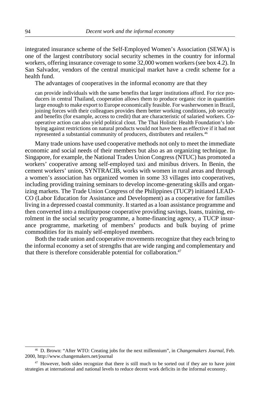integrated insurance scheme of the Self-Employed Women's Association (SEWA) is one of the largest contributory social security schemes in the country for informal workers, offering insurance coverage to some 32,000 women workers (see box 4.2). In San Salvador, vendors of the central municipal market have a credit scheme for a health fund.

The advantages of cooperatives in the informal economy are that they

can provide individuals with the same benefits that larger institutions afford. For rice producers in central Thailand, cooperation allows them to produce organic rice in quantities large enough to make export to Europe economically feasible. For washerwomen in Brazil, joining forces with their colleagues provides them better working conditions, job security and benefits (for example, access to credit) that are characteristic of salaried workers. Cooperative action can also yield political clout. The Thai Holistic Health Foundation's lobbying against restrictions on natural products would not have been as effective if it had not represented a substantial community of producers, distributers and retailers.46

Many trade unions have used cooperative methods not only to meet the immediate economic and social needs of their members but also as an organizing technique. In Singapore, for example, the National Trades Union Congress (NTUC) has promoted a workers' cooperative among self-employed taxi and minibus drivers. In Benin, the cement workers' union, SYNTRACIB, works with women in rural areas and through a women's association has organized women in some 33 villages into cooperatives, including providing training seminars to develop income-generating skills and organizing markets. The Trade Union Congress of the Philippines (TUCP) initiated LEAD-CO (Labor Education for Assistance and Development) as a cooperative for families living in a depressed coastal community. It started as a loan assistance programme and then converted into a multipurpose cooperative providing savings, loans, training, enrolment in the social security programme, a home-financing agency, a TUCP insurance programme, marketing of members' products and bulk buying of prime commodities for its mainly self-employed members.

Both the trade union and cooperative movements recognize that they each bring to the informal economy a set of strengths that are wide ranging and complementary and that there is therefore considerable potential for collaboration.<sup>47</sup>

<sup>46</sup> D. Brown: "After WTO: Creating jobs for the next millennium", in *Changemakers Journal*, Feb. 2000, http://www.changemakers.net/journal

<sup>&</sup>lt;sup>47</sup> However, both sides recognize that there is still much to be sorted out if they are to have joint strategies at international and national levels to reduce decent work deficits in the informal economy.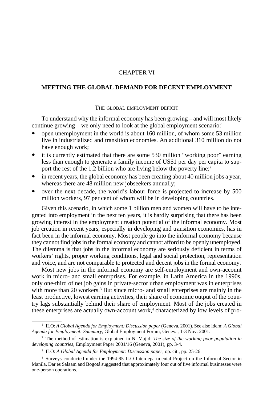# CHAPTER VI

# **MEETING THE GLOBAL DEMAND FOR DECENT EMPLOYMENT**

### THE GLOBAL EMPLOYMENT DEFICIT

To understand why the informal economy has been growing – and will most likely continue growing – we only need to look at the global employment scenario: $1$ 

- ! open unemployment in the world is about 160 million, of whom some 53 million live in industrialized and transition economies. An additional 310 million do not have enough work;
- ! it is currently estimated that there are some 530 million "working poor" earning less than enough to generate a family income of US\$1 per day per capita to support the rest of the 1.2 billion who are living below the poverty line;<sup>2</sup>
- in recent years, the global economy has been creating about 40 million jobs a year, whereas there are 48 million new jobseekers annually;
- over the next decade, the world's labour force is projected to increase by 500 million workers, 97 per cent of whom will be in developing countries.

Given this scenario, in which some 1 billion men and women will have to be integrated into employment in the next ten years, it is hardly surprising that there has been growing interest in the employment creation potential of the informal economy. Most job creation in recent years, especially in developing and transition economies, has in fact been in the informal economy. Most people go into the informal economy because they cannot find jobs in the formal economy and cannot afford to be openly unemployed. The dilemma is that jobs in the informal economy are seriously deficient in terms of workers' rights, proper working conditions, legal and social protection, representation and voice, and are not comparable to protected and decent jobs in the formal economy.

Most new jobs in the informal economy are self-employment and own-account work in micro- and small enterprises. For example, in Latin America in the 1990s, only one-third of net job gains in private-sector urban employment was in enterprises with more than 20 workers.<sup>3</sup> But since micro- and small enterprises are mainly in the least productive, lowest earning activities, their share of economic output of the country lags substantially behind their share of employment. Most of the jobs created in these enterprises are actually own-account work,<sup>4</sup> characterized by low levels of pro-

<sup>1</sup> ILO: *A Global Agenda for Employment: Discussion paper* (Geneva, 2001). See also idem: *A Global Agenda for Employment: Summary*, Global Employment Forum, Geneva, 1-3 Nov. 2001.

<sup>2</sup> The method of estimation is explained in N. Majid: *The size of the working poor population in developing countries*, Employment Paper 2001/16 (Geneva, 2001), pp. 3-4.

<sup>3</sup> ILO: *A Global Agenda for Employment: Discussion paper*, op. cit., pp. 25-26.

<sup>4</sup> Surveys conducted under the 1994-95 ILO Interdepartmental Project on the Informal Sector in Manila, Dar es Salaam and Bogotá suggested that approximately four out of five informal businesses were one-person operations.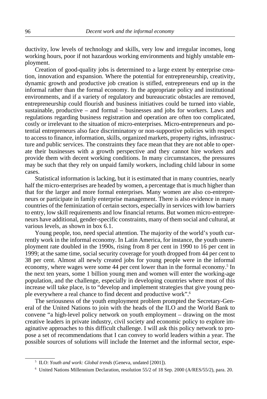ductivity, low levels of technology and skills, very low and irregular incomes, long working hours, poor if not hazardous working environments and highly unstable employment.

Creation of good-quality jobs is determined to a large extent by enterprise creation, innovation and expansion. Where the potential for entrepreneurship, creativity, dynamic growth and productive job creation is stifled, entrepreneurs end up in the informal rather than the formal economy. In the appropriate policy and institutional environments, and if a variety of regulatory and bureaucratic obstacles are removed, entrepreneurship could flourish and business initiatives could be turned into viable, sustainable, productive – and formal – businesses and jobs for workers. Laws and regulations regarding business registration and operation are often too complicated, costly or irrelevant to the situation of micro-enterprises. Micro-entrepreneurs and potential entrepreneurs also face discriminatory or non-supportive policies with respect to access to finance, information, skills, organized markets, property rights, infrastructure and public services. The constraints they face mean that they are not able to operate their businesses with a growth perspective and they cannot hire workers and provide them with decent working conditions. In many circumstances, the pressures may be such that they rely on unpaid family workers, including child labour in some cases.

Statistical information is lacking, but it is estimated that in many countries, nearly half the micro-enterprises are headed by women, a percentage that is much higher than that for the larger and more formal enterprises. Many women are also co-entrepreneurs or participate in family enterprise management. There is also evidence in many countries of the feminization of certain sectors, especially in services with low barriers to entry, low skill requirements and low financial returns. But women micro-entrepreneurs have additional, gender-specific constraints, many of them social and cultural, at various levels, as shown in box 6.1.

Young people, too, need special attention. The majority of the world's youth currently work in the informal economy. In Latin America, for instance, the youth unemployment rate doubled in the 1990s, rising from 8 per cent in 1990 to 16 per cent in 1999; at the same time, social security coverage for youth dropped from 44 per cent to 38 per cent. Almost all newly created jobs for young people were in the informal economy, where wages were some 44 per cent lower than in the formal economy.<sup>5</sup> In the next ten years, some 1 billion young men and women will enter the working-age population, and the challenge, especially in developing countries where most of this increase will take place, is to "develop and implement strategies that give young people everywhere a real chance to find decent and productive work".6

The seriousness of the youth employment problem prompted the Secretary-General of the United Nations to join with the heads of the ILO and the World Bank to convene "a high-level policy network on youth employment – drawing on the most creative leaders in private industry, civil society and economic policy to explore imaginative approaches to this difficult challenge. I will ask this policy network to propose a set of recommendations that I can convey to world leaders within a year. The possible sources of solutions will include the Internet and the informal sector, espe-

<sup>5</sup> ILO: *Youth and work: Global trends* (Geneva, undated [2001]).

<sup>6</sup> United Nations Millennium Declaration, resolution 55/2 of 18 Sep. 2000 (A/RES/55/2), para. 20.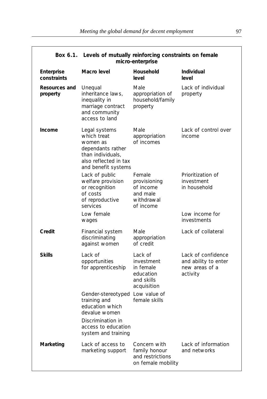| <b>DUX 0.1. LEVELS OF INQUARY TERROR CRIST CONSUMING ON TERROR</b><br>micro-enterprise |                                                                                                                                                        |                                                                              |                                                                          |  |  |
|----------------------------------------------------------------------------------------|--------------------------------------------------------------------------------------------------------------------------------------------------------|------------------------------------------------------------------------------|--------------------------------------------------------------------------|--|--|
| Enterprise<br>constraints                                                              | Macro level                                                                                                                                            | Household<br>level                                                           | Individual<br>level                                                      |  |  |
| <b>Resources and</b><br>property                                                       | Unequal<br>inheritance laws,<br>inequality in<br>marriage contract<br>and community<br>access to land                                                  | Male<br>appropriation of<br>household/family<br>property                     | Lack of individual<br>property                                           |  |  |
| Income                                                                                 | Legal systems<br>which treat<br>women as<br>dependants rather<br>than individuals,<br>also reflected in tax<br>and benefit systems                     | Male<br>appropriation<br>of incomes                                          | Lack of control over<br>income                                           |  |  |
|                                                                                        | Lack of public<br>welfare provision<br>or recognition<br>of costs<br>of reproductive<br>services<br>Low female                                         | Female<br>provisioning<br>of income<br>and male<br>withdrawal<br>of income   | Prioritization of<br>investment<br>in household<br>Low income for        |  |  |
|                                                                                        | wages                                                                                                                                                  |                                                                              | investments                                                              |  |  |
| Credit                                                                                 | Financial system<br>discriminating<br>against women                                                                                                    | Male<br>appropriation<br>of credit                                           | Lack of collateral                                                       |  |  |
| <b>Skills</b>                                                                          | Lack of<br>opportunities<br>for apprenticeship                                                                                                         | Lack of<br>investment<br>in female<br>education<br>and skills<br>acquisition | Lack of confidence<br>and ability to enter<br>new areas of a<br>activity |  |  |
|                                                                                        | Gender-stereotyped Low value of<br>training and<br>education which<br>devalue women<br>Discrimination in<br>access to education<br>system and training | female skills                                                                |                                                                          |  |  |
| Marketing                                                                              | Lack of access to<br>marketing support                                                                                                                 | Concern with<br>family honour<br>and restrictions<br>on female mobility      | Lack of information<br>and networks                                      |  |  |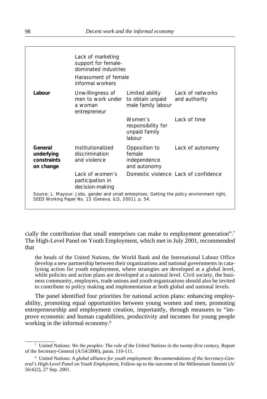|                                                                                                                                                       | Lack of marketing<br>support for female-<br>dominated industries<br>Harassment of female<br>informal workers |                                                           |                                      |  |  |
|-------------------------------------------------------------------------------------------------------------------------------------------------------|--------------------------------------------------------------------------------------------------------------|-----------------------------------------------------------|--------------------------------------|--|--|
| Labour                                                                                                                                                | Unwillingness of<br>men to work under<br>a woman<br>entrepreneur                                             | Limited ability<br>to obtain unpaid<br>male family labour | Lack of networks<br>and authority    |  |  |
|                                                                                                                                                       |                                                                                                              | Women's<br>responsibility for<br>unpaid family<br>labour  | Lack of time                         |  |  |
| General<br>underlying<br>constraints<br>on change                                                                                                     | Institutionalized<br>discrimination<br>and violence                                                          | Opposition to<br>female<br>independence<br>and autonomy   | Lack of autonomy                     |  |  |
|                                                                                                                                                       | Lack of women's<br>participation in<br>decision-making                                                       |                                                           | Domestic violence Lack of confidence |  |  |
| Source: L. Mayoux: Jobs, gender and small enterprises: Getting the policy environment right,<br>SEED Working Paper No. 15 (Geneva, ILO, 2001), p. 54. |                                                                                                              |                                                           |                                      |  |  |

cially the contribution that small enterprises can make to employment generation".7 The High-Level Panel on Youth Employment, which met in July 2001, recommended that

the heads of the United Nations, the World Bank and the International Labour Office develop a new partnership between their organizations and national governments in catalysing action for youth employment, where strategies are developed at a global level, while policies and action plans are developed at a national level. Civil society, the business community, employers, trade unions and youth organizations should also be invited to contribute to policy making and implementation at both global and national levels.

The panel identified four priorities for national action plans: enhancing employability, promoting equal opportunities between young women and men, promoting entrepreneurship and employment creation, importantly, through measures to "improve economic and human capabilities, productivity and incomes for young people working in the informal economy.<sup>8</sup>

<sup>7</sup> United Nations: *We the peoples: The role of the United Nations in the twenty-first century,* Report of the Secretary-General (A/54/2000), paras. 110-111.

<sup>8</sup> United Nations: *A global alliance for youth employment: Recommendations of the Secretary-General's High-Level Panel on Youth Employment*, Follow-up to the outcome of the Millennium Summit (A/ 56/422), 27 Sep. 2001.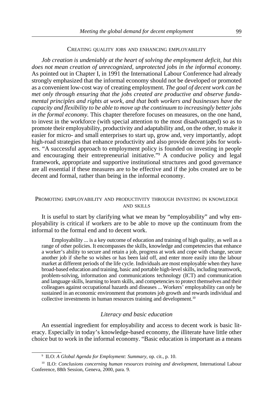#### CREATING QUALITY JOBS AND ENHANCING EMPLOYABILITY

*Job creation is undeniably at the heart of solving the employment deficit, but this does not mean creation of unrecognized, unprotected jobs in the informal economy.* As pointed out in Chapter I, in 1991 the International Labour Conference had already strongly emphasized that the informal economy should not be developed or promoted as a convenient low-cost way of creating employment. *The goal of decent work can be met only through ensuring that the jobs created are productive and observe fundamental principles and rights at work, and that both workers and businesses have the capacity and flexibility to be able to move up the continuum to increasingly better jobs in the formal economy*. This chapter therefore focuses on measures, on the one hand, to invest in the workforce (with special attention to the most disadvantaged) so as to promote their employability, productivity and adaptability and, on the other, to make it easier for micro- and small enterprises to start up, grow and, very importantly, adopt high-road strategies that enhance productivity and also provide decent jobs for workers. "A successful approach to employment policy is founded on investing in people and encouraging their entrepreneurial initiative."9 A conducive policy and legal framework, appropriate and supportive institutional structures and good governance are all essential if these measures are to be effective and if the jobs created are to be decent and formal, rather than being in the informal economy.

#### PROMOTING EMPLOYABILITY AND PRODUCTIVITY THROUGH INVESTING IN KNOWLEDGE AND SKILLS

It is useful to start by clarifying what we mean by "employability" and why employability is critical if workers are to be able to move up the continuum from the informal to the formal end and to decent work.

Employability ... is a key outcome of education and training of high quality, as well as a range of other policies. It encompasses the skills, knowledge and competencies that enhance a worker's ability to secure and retain a job, progress at work and cope with change, secure another job if she/he so wishes or has been laid off, and enter more easily into the labour market at different periods of the life cycle. Individuals are most employable when they have broad-based education and training, basic and portable high-level skills, including teamwork, problem-solving, information and communications technology (ICT) and communication and language skills, learning to learn skills, and competencies to protect themselves and their colleagues against occupational hazards and diseases ... Workers' employability can only be sustained in an economic environment that promotes job growth and rewards individual and collective investments in human resources training and development.10

### *Literacy and basic education*

An essential ingredient for employability and access to decent work is basic literacy. Especially in today's knowledge-based economy, the illiterate have little other choice but to work in the informal economy. "Basic education is important as a means

<sup>9</sup> ILO: *A Global Agenda for Employment: Summary*, op. cit., p. 10.

<sup>&</sup>lt;sup>10</sup> ILO: *Conclusions concerning human resources training and development*, International Labour Conference, 88th Session, Geneva, 2000, para. 9.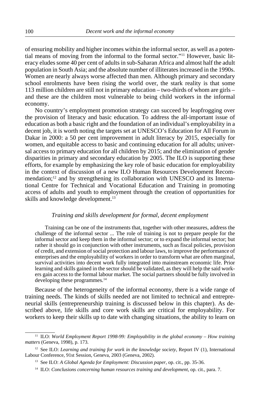of ensuring mobility and higher incomes within the informal sector, as well as a potential means of moving from the informal to the formal sector."11 However, basic literacy eludes some 40 per cent of adults in sub-Saharan Africa and almost half the adult population in South Asia; and the absolute number of illiterates increased in the 1990s. Women are nearly always worse affected than men. Although primary and secondary school enrolments have been rising the world over, the stark reality is that some 113 million children are still not in primary education – two-thirds of whom are girls – and these are the children most vulnerable to being child workers in the informal economy.

No country's employment promotion strategy can succeed by leapfrogging over the provision of literacy and basic education. To address the all-important issue of education as both a basic right and the foundation of an individual's employability in a decent job, it is worth noting the targets set at UNESCO's Education for All Forum in Dakar in 2000: a 50 per cent improvement in adult literacy by 2015, especially for women, and equitable access to basic and continuing education for all adults; universal access to primary education for all children by 2015; and the elimination of gender disparities in primary and secondary education by 2005. The ILO is supporting these efforts, for example by emphasizing the key role of basic education for employability in the context of discussion of a new ILO Human Resources Development Recommendation;12 and by strengthening its collaboration with UNESCO and its International Centre for Technical and Vocational Education and Training in promoting access of adults and youth to employment through the creation of opportunities for skills and knowledge development.<sup>13</sup>

#### *Training and skills development for formal, decent employment*

Training can be one of the instruments that, together with other measures, address the challenge of the informal sector ... The role of training is not to prepare people for the informal sector and keep them in the informal sector; or to expand the informal sector; but rather it should go in conjunction with other instruments, such as fiscal policies, provision of credit, and extension of social protection and labour laws, to improve the performance of enterprises and the employability of workers in order to transform what are often marginal, survival activities into decent work fully integrated into mainstream economic life. Prior learning and skills gained in the sector should be validated, as they will help the said workers gain access to the formal labour market. The social partners should be fully involved in developing these programmes.<sup>14</sup>

Because of the heterogeneity of the informal economy, there is a wide range of training needs. The kinds of skills needed are not limited to technical and entrepreneurial skills (entrepreneurship training is discussed below in this chapter). As described above, life skills and core work skills are critical for employability. For workers to keep their skills up to date with changing situations, the ability to learn on

<sup>&</sup>lt;sup>11</sup> ILO: *World Employment Report 1998-99: Employability in the global economy – How training matters* (Geneva, 1998), p. 173.

<sup>12</sup> See ILO: *Learning and training for work in the knowledge society*, Report IV (1), International Labour Conference, 91st Session, Geneva, 2003 (Geneva, 2002).

<sup>13</sup> See ILO: *A Global Agenda for Employment: Discussion paper*, op. cit., pp. 35-36.

<sup>14</sup> ILO: *Conclusions concerning human resources training and development*, op. cit., para. 7.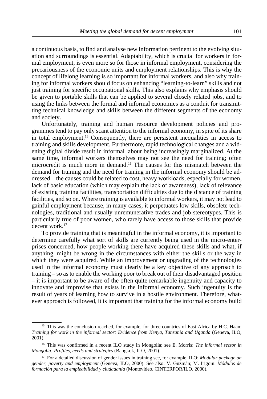a continuous basis, to find and analyse new information pertinent to the evolving situation and surroundings is essential. Adaptability, which is crucial for workers in formal employment, is even more so for those in informal employment, considering the precariousness of the economic units and employment relationships. This is why the concept of lifelong learning is so important for informal workers, and also why training for informal workers should focus on enhancing "learning-to-learn" skills and not just training for specific occupational skills. This also explains why emphasis should be given to portable skills that can be applied to several closely related jobs, and to using the links between the formal and informal economies as a conduit for transmitting technical knowledge and skills between the different segments of the economy and society.

Unfortunately, training and human resource development policies and programmes tend to pay only scant attention to the informal economy, in spite of its share in total employment.15 Consequently, there are persistent inequalities in access to training and skills development. Furthermore, rapid technological changes and a widening digital divide result in informal labour being increasingly marginalized. At the same time, informal workers themselves may not see the need for training; often microcredit is much more in demand.16 The causes for this mismatch between the demand for training and the need for training in the informal economy should be addressed – the causes could be related to cost, heavy workloads, especially for women, lack of basic education (which may explain the lack of awareness), lack of relevance of existing training facilities, transportation difficulties due to the distance of training facilities, and so on. Where training is available to informal workers, it may not lead to gainful employment because, in many cases, it perpetuates low skills, obsolete technologies, traditional and usually unremunerative trades and job stereotypes. This is particularly true of poor women, who rarely have access to those skills that provide decent work.<sup>17</sup>

To provide training that is meaningful in the informal economy, it is important to determine carefully what sort of skills are currently being used in the micro-enterprises concerned, how people working there have acquired these skills and what, if anything, might be wrong in the circumstances with either the skills or the way in which they were acquired. While an improvement or upgrading of the technologies used in the informal economy must clearly be a key objective of any approach to training – so as to enable the working poor to break out of their disadvantaged position – it is important to be aware of the often quite remarkable ingenuity and capacity to innovate and improvise that exists in the informal economy. Such ingenuity is the result of years of learning how to survive in a hostile environment. Therefore, whatever approach is followed, it is important that training for the informal economy build

<sup>&</sup>lt;sup>15</sup> This was the conclusion reached, for example, for three countries of East Africa by H.C. Haan: *Training for work in the informal sector: Evidence from Kenya, Tanzania and Uganda* (Geneva, ILO, 2001).

<sup>16</sup> This was confirmed in a recent ILO study in Mongolia; see E. Morris: *The informal sector in Mongolia: Profiles, needs and strategies* (Bangkok, ILO, 2001).

<sup>17</sup> For a detailed discussion of gender issues in training see, for example, ILO: *Modular package on gender, poverty and employment* (Geneva, ILO, 2000). See also: V. Guzmán; M. Irigoin: *Módulos de formación para la empleabilidad y ciudadanía* (Montevideo, CINTERFOR/ILO, 2000).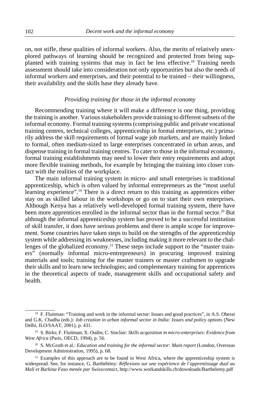on, not stifle, these qualities of informal workers. Also, the merits of relatively unexplored pathways of learning should be recognized and protected from being supplanted with training systems that may in fact be less effective.18 Training needs assessment should take into consideration not only opportunities but also the needs of informal workers and enterprises, and their potential to be trained – their willingness, their availability and the skills base they already have.

# *Providing training for those in the informal economy*

Recommending training where it will make a difference is one thing, providing the training is another. Various stakeholders provide training to different subsets of the informal economy. Formal training systems (comprising public and private vocational training centres, technical colleges, apprenticeship in formal enterprises, etc.) primarily address the skill requirements of formal wage job markets, and are mainly linked to formal, often medium-sized to large enterprises concentrated in urban areas, and dispense training in formal training centres. To cater to those in the informal economy, formal training establishments may need to lower their entry requirements and adopt more flexible training methods, for example by bringing the training into closer contact with the realities of the workplace.

The main informal training system in micro- and small enterprises is traditional apprenticeship, which is often valued by informal entrepreneurs as the "most useful learning experience".19 There is a direct return to this training as apprentices either stay on as skilled labour in the workshops or go on to start their own enterprises. Although Kenya has a relatively well-developed formal training system, there have been more apprentices enrolled in the informal sector than in the formal sector.<sup>20</sup> But although the informal apprenticeship system has proved to be a successful institution of skill transfer, it does have serious problems and there is ample scope for improvement. Some countries have taken steps to build on the strengths of the apprenticeship system while addressing its weaknesses, including making it more relevant to the challenges of the globalized economy.<sup>21</sup> These steps include support to the "master trainers" (normally informal micro-entrepreneurs) in procuring improved training materials and tools; training for the master trainers or master craftsmen to upgrade their skills and to learn new technologies; and complementary training for apprentices in the theoretical aspects of trade, management skills and occupational safety and health.

<sup>&</sup>lt;sup>18</sup> F. Fluitman: "Training and work in the informal sector: Issues and good practices", in A.S. Oberai and G.K. Chadha (eds.): *Job creation in urban informal sector in India: Issues and policy options* (New Delhi, ILO/SAAT, 2001), p. 431.

<sup>19</sup> S. Birks; F. Fluitman; X. Oudin; C. Sinclair: *Skills acquisition in micro-enterprises: Evidence from West Africa* (Paris, OECD, 1994), p. 56.

<sup>&</sup>lt;sup>20</sup> S. McGrath et al.: *Education and training for the informal sector: Main report* (London, Overseas Development Administration, 1995), p. 68.

 $21$  Examples of this approach are to be found in West Africa, where the apprenticeship system is widespread. See, for instance, G. Barthélémy: *Réflexions sur une expérience de l'apprentissage dual au Mali et Burkina Faso menée par Swisscontact*, http://www.workandskills.ch/downloads/Barthelemy.pdf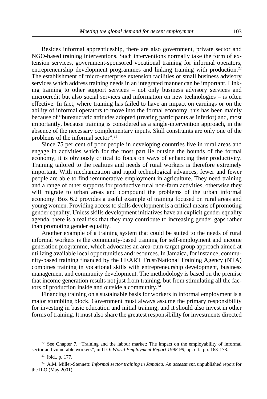Besides informal apprenticeship, there are also government, private sector and NGO-based training interventions. Such interventions normally take the form of extension services, government-sponsored vocational training for informal operators, entrepreneurship development programmes and linking training with production.<sup>22</sup> The establishment of micro-enterprise extension facilities or small business advisory services which address training needs in an integrated manner can be important. Linking training to other support services – not only business advisory services and microcredit but also social services and information on new technologies – is often effective. In fact, where training has failed to have an impact on earnings or on the ability of informal operators to move into the formal economy, this has been mainly because of "bureaucratic attitudes adopted (treating participants as inferior) and, most importantly, because training is considered as a single-intervention approach, in the absence of the necessary complementary inputs. Skill constraints are only one of the problems of the informal sector".23

Since 75 per cent of poor people in developing countries live in rural areas and engage in activities which for the most part lie outside the bounds of the formal economy, it is obviously critical to focus on ways of enhancing their productivity. Training tailored to the realities and needs of rural workers is therefore extremely important. With mechanization and rapid technological advances, fewer and fewer people are able to find remunerative employment in agriculture. They need training and a range of other supports for productive rural non-farm activities, otherwise they will migrate to urban areas and compound the problems of the urban informal economy. Box 6.2 provides a useful example of training focused on rural areas and young women. Providing access to skills development is a critical means of promoting gender equality. Unless skills development initiatives have an explicit gender equality agenda, there is a real risk that they may contribute to increasing gender gaps rather than promoting gender equality.

Another example of a training system that could be suited to the needs of rural informal workers is the community-based training for self-employment and income generation programme, which advocates an area-cum-target group approach aimed at utilizing available local opportunities and resources. In Jamaica, for instance, community-based training financed by the HEART Trust/National Training Agency (NTA) combines training in vocational skills with entrepreneurship development, business management and community development. The methodology is based on the premise that income generation results not just from training, but from stimulating all the factors of production inside and outside a community.24

Financing training on a sustainable basis for workers in informal employment is a major stumbling block. Government must always assume the primary responsibility for investing in basic education and initial training, and it should also invest in other forms of training. It must also share the greatest responsibility for investments directed

<sup>&</sup>lt;sup>22</sup> See Chapter 7, "Training and the labour market: The impact on the employability of informal sector and vulnerable workers", in ILO: *World Employment Report 1998-99,* op. cit., pp. 163-178.

<sup>23</sup> ibid., p. 177.

<sup>24</sup> A.M. Miller-Stennett: *Informal sector training in Jamaica: An assessment*, unpublished report for the ILO (May 2001).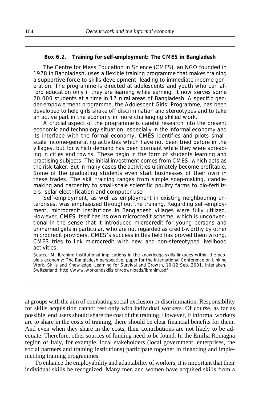#### **Box 6.2. Training for self-employment: The CMES in Bangladesh**

The Centre for Mass Education in Science (CMES), an NGO founded in 1978 in Bangladesh, uses a flexible training programme that makes training a supportive force to skills development, leading to immediate income generation. The programme is directed at adolescents and youth who can afford education only if they are learning while earning. It now serves some 20,000 students at a time in 17 rural areas of Bangladesh. A specific gender-empowerment programme, the Adolescent Girls' Programme, has been developed to help girls shake off discrimination and stereotypes and to take an active part in the economy in more challenging skilled work.

A crucial aspect of the programme is careful research into the present economic and technology situation, especially in the informal economy and its interface with the formal economy. CMES identifies and pilots smallscale income-generating activities which have not been tried before in the villages, but for which demand has been dormant while they were spreading in cities and towns. These begin in the form of students learning and practising subjects. The initial investment comes from CMES, which acts as the risk-taker. But in many cases the activities ultimately become profitable. Some of the graduating students even start businesses of their own in these trades. The skill training ranges from simple soap-making, candlemaking and carpentry to small-scale scientific poultry farms to bio-fertilizers, solar electrification and computer use.

Self-employment, as well as employment in existing neighbouring enterprises, was emphasized throughout the training. Regarding self-employment, microcredit institutions in Bangladesh villages were fully utilized. However, CMES itself has its own microcredit scheme, which is unconventional in the sense that it introduced microcredit for young persons and unmarried girls in particular, who are not regarded as credit-worthy by other microcredit providers. CMES's success in this field has proved them wrong. CMES tries to link microcredit with new and non-stereotyped livelihood activities.

Source: M. Ibrahim: *Institutional implications in the knowledge-skills linkages within the people's economy: The Bangladesh perspective*, paper for the International Conference on Linking Work, Skills and Knowledge: Learning for Survival and Growth, 10-12 Sep. 2001, Interlaken, Switzerland, http://www.workandskills.ch/downloads/ibrahim.pdf

at groups with the aim of combating social exclusion or discrimination. Responsibility for skills acquisition cannot rest only with individual workers. Of course, as far as possible, end users should share the cost of the training. However, if informal workers are to share in the costs of training, there should be clear financial benefits for them. And even when they share in the costs, their contributions are not likely to be adequate. Therefore, other sources of funding need to be found. In the Emilia Romagna region of Italy, for example, local stakeholders (local government, enterprises, the social partners and training institutions) participate together in financing and implementing training programmes.

To enhance the employability and adaptability of workers, it is important that their individual skills be recognized. Many men and women have acquired skills from a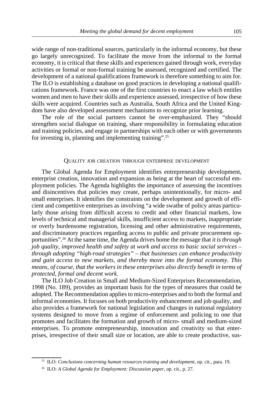wide range of non-traditional sources, particularly in the informal economy, but these go largely unrecognized. To facilitate the move from the informal to the formal economy, it is critical that these skills and experiences gained through work, everyday activities or formal or non-formal training be assessed, recognized and certified. The development of a national qualifications framework is therefore something to aim for. The ILO is establishing a database on good practices in developing a national qualifications framework. France was one of the first countries to enact a law which entitles women and men to have their skills and experience assessed, irrespective of how these skills were acquired. Countries such as Australia, South Africa and the United Kingdom have also developed assessment mechanisms to recognize prior learning.

The role of the social partners cannot be over-emphasized. They "should strengthen social dialogue on training, share responsibility in formulating education and training policies, and engage in partnerships with each other or with governments for investing in, planning and implementing training".25

#### QUALITY JOB CREATION THROUGH ENTERPRISE DEVELOPMENT

The Global Agenda for Employment identifies entrepreneurship development, enterprise creation, innovation and expansion as being at the heart of successful employment policies. The Agenda highlights the importance of assessing the incentives and disincentives that policies may create, perhaps unintentionally, for micro- and small enterprises. It identifies the constraints on the development and growth of efficient and competitive enterprises as involving "a wide swathe of policy areas particularly those arising from difficult access to credit and other financial markets, low levels of technical and managerial skills, insufficient access to markets, inappropriate or overly burdensome registration, licensing and other administrative requirements, and discriminatory practices regarding access to public and private procurement opportunities".26 At the same time, the Agenda drives home the message that *it is through job quality, improved health and safety at work and access to basic social services – through adopting "high-road strategies" – that businesses can enhance productivity and gain access to new markets, and thereby move into the formal economy. This means, of course, that the workers in these enterprises also directly benefit in terms of protected, formal and decent work.*

The ILO Job Creation in Small and Medium-Sized Enterprises Recommendation, 1998 (No. 189), provides an important basis for the types of measures that could be adopted. The Recommendation applies to micro-enterprises and to both the formal and informal economies. It focuses on both productivity enhancement and job quality, and also provides a framework for national legislation and changes in national regulatory systems designed to move from a regime of enforcement and policing to one that promotes and facilitates the formation and growth of micro- small and medium-sized enterprises. To promote entrepreneurship, innovation and creativity so that enterprises, irrespective of their small size or location, are able to create productive, sus-

<sup>25</sup> ILO: *Conclusions concerning human resources training and development*, op. cit., para. 19.

<sup>26</sup> ILO: *A Global Agenda for Employment: Discussion paper*, op. cit., p. 27.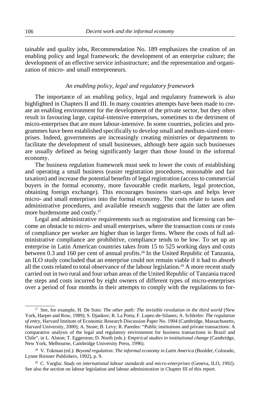tainable and quality jobs, Recommendation No. 189 emphasizes the creation of an enabling policy and legal framework; the development of an enterprise culture; the development of an effective service infrastructure; and the representation and organization of micro- and small entrepreneurs.

# *An enabling policy, legal and regulatory framework*

The importance of an enabling policy, legal and regulatory framework is also highlighted in Chapters II and III. In many countries attempts have been made to create an enabling environment for the development of the private sector, but they often result in favouring large, capital-intensive enterprises, sometimes to the detriment of micro-enterprises that are more labour-intensive. In some countries, policies and programmes have been established specifically to develop small and medium-sized enterprises. Indeed, governments are increasingly creating ministries or departments to facilitate the development of small businesses, although here again such businesses are usually defined as being significantly larger than those found in the informal economy.

The business regulation framework must seek to lower the costs of establishing and operating a small business (easier registration procedures, reasonable and fair taxation) and increase the potential benefits of legal registration (access to commercial buyers in the formal economy, more favourable credit markets, legal protection, obtaining foreign exchange). This encourages business start-ups and helps lever micro- and small enterprises into the formal economy. The costs relate to taxes and administrative procedures, and available research suggests that the latter are often more burdensome and costly.27

Legal and administrative requirements such as registration and licensing can become an obstacle to micro- and small enterprises, where the transaction costs or costs of compliance per worker are higher than in larger firms. Where the costs of full administrative compliance are prohibitive, compliance tends to be low. To set up an enterprise in Latin American countries takes from 15 to 525 working days and costs between 0.3 and 160 per cent of annual profits.28 In the United Republic of Tanzania, an ILO study concluded that an enterprise could not remain viable if it had to absorb all the costs related to total observance of the labour legislation.<sup>29</sup> A more recent study carried out in two rural and four urban areas of the United Republic of Tanzania traced the steps and costs incurred by eight owners of different types of micro-enterprises over a period of four months in their attempts to comply with the regulations to for-

<sup>27</sup> See, for example, H. De Soto: *The other path: The invisible revolution in the third world* (New York, Harper and Row, 1989); S. Djankov; R. La Porta; F. Lopez-de-Silanes; A. Schleifer: *The regulation of entry,* Harvard Institute of Economic Research Discussion Paper No. 1904 (Cambridge, Massachusetts, Harvard University, 2000); A. Stone; B. Levy; R. Paredes: "Public institutions and private transactions: A comparative analysis of the legal and regulatory environment for business transactions in Brazil and Chile", in L. Alston; T. Eggerston; D. North (eds.): *Empirical studies in institutional change* (Cambridge, New York, Melbourne, Cambridge University Press, 1996).

<sup>28</sup> V. Tokman (ed.): *Beyond regulation: The informal economy in Latin America* (Boulder, Colorado, Lynne Rienner Publishers, 1992), p. 9.

<sup>29</sup> C. Vargha: *Study on international labour standards and micro-enterprises* (Geneva, ILO, 1992). See also the section on labour legislation and labour administration in Chapter III of this report.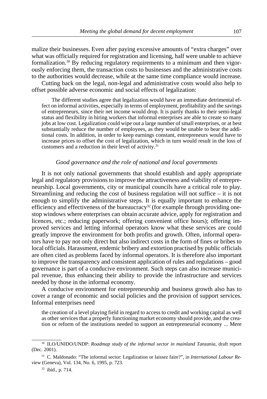malize their businesses. Even after paying excessive amounts of "extra charges" over what was officially required for registration and licensing, half were unable to achieve formalization.<sup>30</sup> By reducing regulatory requirements to a minimum and then vigorously enforcing them, the transaction costs to businesses and the administrative costs to the authorities would decrease, while at the same time compliance would increase.

Cutting back on the legal, non-legal and administrative costs would also help to offset possible adverse economic and social effects of legalization:

The different studies agree that legalization would have an immediate detrimental effect on informal activities, especially in terms of employment, profitability and the savings of entrepreneurs, since their net income would drop. It is partly thanks to their semi-legal status and flexibility in hiring workers that informal enterprises are able to create so many jobs at low cost. Legalization could wipe out a large number of small enterprises, or at best substantially reduce the number of employees, as they would be unable to bear the additional costs. In addition, in order to keep earnings constant, entrepreneurs would have to increase prices to offset the cost of legalization, which in turn would result in the loss of customers and a reduction in their level of activity.<sup>31</sup>

### *Good governance and the role of national and local governments*

It is not only national governments that should establish and apply appropriate legal and regulatory provisions to improve the attractiveness and viability of entrepreneurship. Local governments, city or municipal councils have a critical role to play. Streamlining and reducing the cost of business regulation will not suffice – it is not enough to simplify the administrative steps. It is equally important to enhance the efficiency and effectiveness of the bureaucracy<sup>32</sup> (for example through providing onestop windows where enterprises can obtain accurate advice, apply for registration and licences, etc.; reducing paperwork; offering convenient office hours); offering improved services and letting informal operators know what these services are could greatly improve the environment for both profits and growth. Often, informal operators have to pay not only direct but also indirect costs in the form of fines or bribes to local officials. Harassment, endemic bribery and extortion practised by public officials are often cited as problems faced by informal operators. It is therefore also important to improve the transparency and consistent application of rules and regulations – good governance is part of a conducive environment. Such steps can also increase municipal revenue, thus enhancing their ability to provide the infrastructure and services needed by those in the informal economy.

A conducive environment for entrepreneurship and business growth also has to cover a range of economic and social policies and the provision of support services. Informal enterprises need

the creation of a level playing field in regard to access to credit and working capital as well as other services that a properly functioning market economy should provide, and the creation or reform of the institutions needed to support an entrepreneurial economy ... Mere

<sup>30</sup> ILO/UNIDO/UNDP: *Roadmap study of the informal sector in mainland Tanzania*, draft report (Dec. 2001).

<sup>31</sup> C. Maldonado: "The informal sector: Legalization or laissez faire?", in *International Labour Review* (Geneva), Vol. 134, No. 6, 1995, p. 723.

<sup>32</sup> ibid., p. 714.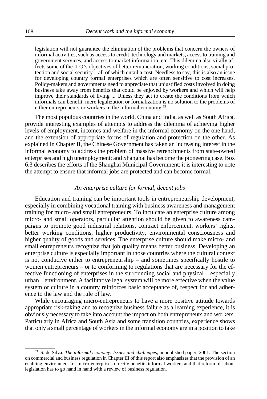legislation will not guarantee the elimination of the problems that concern the owners of informal activities, such as access to credit, technology and markets, access to training and government services, and access to market information, etc. This dilemma also vitally affects some of the ILO's objectives of better remuneration, working conditions, social protection and social security – all of which entail a cost. Needless to say, this is also an issue for developing country formal enterprises which are often sensitive to cost increases. Policy-makers and governments need to appreciate that unjustified costs involved in doing business take away from benefits that could be enjoyed by workers and which will help improve their standards of living ... Unless they act to create the conditions from which informals can benefit, mere legalization or formalization is no solution to the problems of either entrepreneurs or workers in the informal economy.<sup>33</sup>

The most populous countries in the world, China and India, as well as South Africa, provide interesting examples of attempts to address the dilemma of achieving higher levels of employment, incomes and welfare in the informal economy on the one hand, and the extension of appropriate forms of regulation and protection on the other. As explained in Chapter II, the Chinese Government has taken an increasing interest in the informal economy to address the problem of massive retrenchments from state-owned enterprises and high unemployment; and Shanghai has become the pioneering case. Box 6.3 describes the efforts of the Shanghai Municipal Government; it is interesting to note the attempt to ensure that informal jobs are protected and can become formal.

# *An enterprise culture for formal, decent jobs*

Education and training can be important tools in entrepreneurship development, especially in combining vocational training with business awareness and management training for micro- and small entrepreneurs. To inculcate an enterprise culture among micro- and small operators, particular attention should be given to awareness campaigns to promote good industrial relations, contract enforcement, workers' rights, better working conditions, higher productivity, environmental consciousness and higher quality of goods and services. The enterprise culture should make micro- and small entrepreneurs recognize that job quality means better business. Developing an enterprise culture is especially important in those countries where the cultural context is not conducive either to entrepreneurship – and sometimes specifically hostile to women entrepreneurs – or to conforming to regulations that are necessary for the effective functioning of enterprises in the surrounding social and physical – especially urban – environment. A facilitative legal system will be more effective when the value system or culture in a country reinforces basic acceptance of, respect for and adherence to the law and the rule of law.

While encouraging micro-entrepreneurs to have a more positive attitude towards appropriate risk-taking and to recognize business failure as a learning experience, it is obviously necessary to take into account the impact on both entrepreneurs and workers. Particularly in Africa and South Asia and some transition countries, experience shows that only a small percentage of workers in the informal economy are in a position to take

<sup>33</sup> S. de Silva: *The informal economy: Issues and challenges*, unpublished paper, 2001. The section on commercial and business regulation in Chapter III of this report also emphasizes that the provision of an enabling environment for micro-enterprises directly benefits informal workers and that reform of labour legislation has to go hand in hand with a review of business regulation.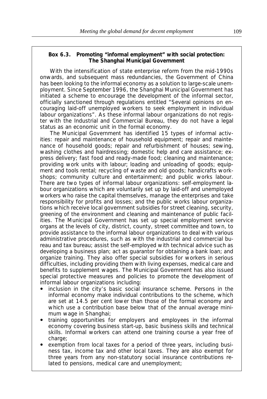## **Box 6.3. Promoting "informal employment" with social protection: The Shanghai Municipal Government**

With the intensification of state enterprise reform from the mid-1990s onwards, and subsequent mass redundancies, the Government of China has been looking to the informal economy as a solution to large-scale unemployment. Since September 1996, the Shanghai Municipal Government has initiated a scheme to encourage the development of the informal sector, officially sanctioned through regulations entitled "Several opinions on encouraging laid-off unemployed workers to seek employment in individual labour organizations". As these informal labour organizations do not register with the Industrial and Commercial Bureau, they do not have a legal status as an economic unit in the formal economy.

The Municipal Government has identified 15 types of informal activities: repair and maintenance of household equipment; repair and maintenance of household goods; repair and refurbishment of houses; sewing, washing clothes and hairdressing; domestic help and care assistance; express delivery; fast food and ready-made food; cleaning and maintenance; providing work units with labour; loading and unloading of goods; equipment and tools rental; recycling of waste and old goods; handicrafts workshops; community culture and entertainment; and public works labour. There are two types of informal labour organizations: self-employment labour organizations which are voluntarily set up by laid-off and unemployed workers who raise the capital themselves, manage the enterprises and take responsibility for profits and losses; and the public works labour organizations which receive local government subsidies for street cleaning, security, greening of the environment and cleaning and maintenance of public facilities. The Municipal Government has set up special employment service organs at the levels of city, district, county, street committee and town, to provide assistance to the informal labour organizations to deal with various administrative procedures, such as with the industrial and commercial bureau and tax bureau; assist the self-employed with technical advice such as developing a business plan; act as guarantor for obtaining a bank loan; and organize training. They also offer special subsidies for workers in serious difficulties, including providing them with living expenses, medical care and benefits to supplement wages. The Municipal Government has also issued special protective measures and policies to promote the development of informal labour organizations including:

- inclusion in the city's basic social insurance scheme. Persons in the informal economy make individual contributions to the scheme, which are set at 14.5 per cent lower than those of the formal economy and which use a contribution base below that of the annual average minimum wage in Shanghai;
- training opportunities for employers and employees in the informal economy covering business start-up, basic business skills and technical skills. Informal workers can attend one training course a year free of charge;
- exemption from local taxes for a period of three years, including business tax, income tax and other local taxes. They are also exempt for three years from any non-statutory social insurance contributions related to pensions, medical care and unemployment;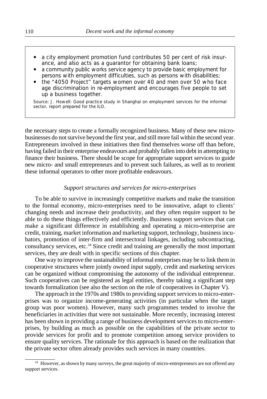- a city employment promotion fund contributes 50 per cent of risk insurance, and also acts as a guarantor for obtaining bank loans;
- a community public works service agency to provide basic employment for persons with employment difficulties, such as persons with disabilities;
- the "4050 Project" targets women over 40 and men over 50 who face age discrimination in re-employment and encourages five people to set up a business together.

Source: J. Howell: *Good practice study in Shanghai on employment services for the informal sector*, report prepared for the ILO.

the necessary steps to create a formally recognized business. Many of these new microbusinesses do not survive beyond the first year, and still more fail within the second year. Entrepreneurs involved in these initiatives then find themselves worse off than before, having failed in their enterprise endeavours and probably fallen into debt in attempting to finance their business. There should be scope for appropriate support services to guide new micro- and small entrepreneurs and to prevent such failures, as well as to reorient these informal operators to other more profitable endeavours.

# *Support structures and services for micro-enterprises*

To be able to survive in increasingly competitive markets and make the transition to the formal economy, micro-enterprises need to be innovative, adapt to clients' changing needs and increase their productivity, and they often require support to be able to do these things effectively and efficiently. Business support services that can make a significant difference in establishing and operating a micro-enterprise are credit, training, market information and marketing support, technology, business incubators, promotion of inter-firm and intersectoral linkages, including subcontracting, consultancy services, etc.34 Since credit and training are generally the most important services, they are dealt with in specific sections of this chapter.

One way to improve the sustainability of informal enterprises may be to link them in cooperative structures where jointly owned input supply, credit and marketing services can be organized without compromising the autonomy of the individual entrepreneur. Such cooperatives can be registered as legal entities, thereby taking a significant step towards formalization (see also the section on the role of cooperatives in Chapter V).

The approach in the 1970s and 1980s to providing support services to micro-enterprises was to organize income-generating activities (in particular when the target group was poor women). However, many such programmes tended to involve the beneficiaries in activities that were not sustainable. More recently, increasing interest has been shown in providing a range of business development services to micro-enterprises, by building as much as possible on the capabilities of the private sector to provide services for profit and to promote competition among service providers to ensure quality services. The rationale for this approach is based on the realization that the private sector often already provides such services in many countries.

<sup>&</sup>lt;sup>34</sup> However, as shown by many surveys, the great majority of micro-entrepreneurs are not offered any support services.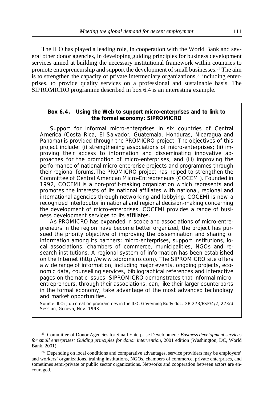The ILO has played a leading role, in cooperation with the World Bank and several other donor agencies, in developing guiding principles for business development services aimed at building the necessary institutional framework within countries to promote entrepreneurship and support the development of small businesses.35 The aim is to strengthen the capacity of private intermediary organizations,  $36$  including enterprises, to provide quality services on a professional and sustainable basis. The SIPROMICRO programme described in box 6.4 is an interesting example.

# **Box 6.4. Using the Web to support micro-enterprises and to link to the formal economy: SIPROMICRO**

Support for informal micro-enterprises in six countries of Central America (Costa Rica, El Salvador, Guatemala, Honduras, Nicaragua and Panama) is provided through the PROMICRO project. The objectives of this project include: (i) strengthening associations of micro-enterprises; (ii) improving their access to information and disseminating innovative approaches for the promotion of micro-enterprises; and (iii) improving the performance of national micro-enterprise projects and programmes through their regional forums.The PROMICRO project has helped to strengthen the Committee of Central American Micro-Entrepreneurs (COCEMI). Founded in 1992, COCEMI is a non-profit-making organization which represents and promotes the interests of its national affiliates with national, regional and international agencies through networking and lobbying. COCEMI is now a recognized interlocutor in national and regional decision-making concerning the development of micro-enterprises. COCEMI provides a range of business development services to its affiliates.

As PROMICRO has expanded in scope and associations of micro-entrepreneurs in the region have become better organized, the project has pursued the priority objective of improving the dissemination and sharing of information among its partners: micro-enterprises, support institutions, local associations, chambers of commerce, municipalities, NGOs and research institutions. A regional system of information has been established on the Internet (http://www.sipromicro.com). The SIPROMICRO site offers a wide range of information, including major events, ongoing projects, economic data, counselling services, bibliographical references and interactive pages on thematic issues. SIPROMICRO demonstrates that informal microentrepreneurs, through their associations, can, like their larger counterparts in the formal economy, take advantage of the most advanced technology and market opportunities.

Source: ILO: *Job creation programmes in the ILO*, Governing Body doc. GB.273/ESP/4/2, 273rd Session, Geneva, Nov. 1998.

<sup>35</sup> Committee of Donor Agencies for Small Enterprise Development: *Business development services for small enterprises: Guiding principles for donor intervention*, 2001 edition (Washington, DC, World Bank, 2001).

<sup>36</sup> Depending on local conditions and comparative advantages, service providers may be employers' and workers' organizations, training institutions, NGOs, chambers of commerce, private enterprises, and sometimes semi-private or public sector organizations. Networks and cooperation between actors are encouraged.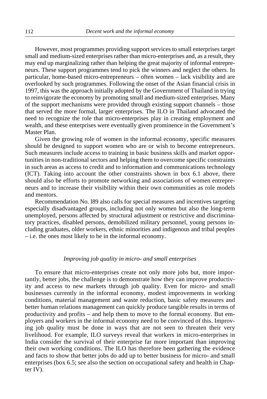However, most programmes providing support services to small enterprises target small and medium-sized enterprises rather than micro-enterprises and, as a result, they may end up marginalizing rather than helping the great majority of informal entrepreneurs. These support programmes tend to pick the winners and neglect the others. In particular, home-based micro-entrepreneurs – often women – lack visibility and are overlooked by such programmes. Following the onset of the Asian financial crisis in 1997, this was the approach initially adopted by the Government of Thailand in trying to reinvigorate the economy by promoting small and medium-sized enterprises. Many of the support mechanisms were provided through existing support channels – those that served the more formal, larger enterprises. The ILO in Thailand advocated the need to recognize the role that micro-enterprises play in creating employment and wealth, and these enterprises were eventually given prominence in the Government's Master Plan.

Given the growing role of women in the informal economy, specific measures should be designed to support women who are or wish to become entrepreneurs. Such measures include access to training in basic business skills and market opportunities in non-traditional sectors and helping them to overcome specific constraints in such areas as access to credit and to information and communications technology (ICT). Taking into account the other constraints shown in box 6.1 above, there should also be efforts to promote networking and associations of women entrepreneurs and to increase their visibility within their own communities as role models and mentors.

Recommendation No. l89 also calls for special measures and incentives targeting especially disadvantaged groups, including not only women but also the long-term unemployed, persons affected by structural adjustment or restrictive and discriminatory practices, disabled persons, demobilized military personnel, young persons including graduates, older workers, ethnic minorities and indigenous and tribal peoples – i.e. the ones most likely to be in the informal economy.

## *Improving job quality in micro- and small enterprises*

To ensure that micro-enterprises create not only more jobs but, more importantly, better jobs, the challenge is to demonstrate how they can improve productivity and access to new markets through job quality. Even for micro- and small businesses currently in the informal economy, modest improvements in working conditions, material management and waste reduction, basic safety measures and better human relations management can quickly produce tangible results in terms of productivity and profits – and help them to move to the formal economy. But employers and workers in the informal economy need to be convinced of this. Improving job quality must be done in ways that are not seen to threaten their very livelihood. For example, ILO surveys reveal that workers in micro-enterprises in India consider the survival of their enterprise far more important than improving their own working conditions. The ILO has therefore been gathering the evidence and facts to show that better jobs do add up to better business for micro- and small enterprises (box 6.5; see also the section on occupational safety and health in Chapter IV).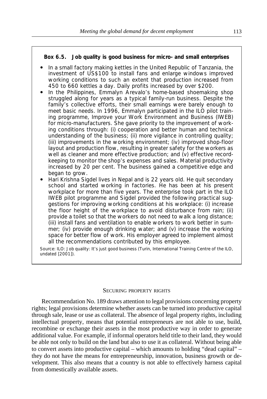## **Box 6.5. Job quality is good business for micro- and small enterprises**

- In a small factory making kettles in the United Republic of Tanzania, the investment of US\$100 to install fans and enlarge windows improved working conditions to such an extent that production increased from 450 to 660 kettles a day. Daily profits increased by over \$200.
- In the Philippines, Emmalyn Arevalo's home-based shoemaking shop struggled along for years as a typical family-run business. Despite the family's collective efforts, their small earnings were barely enough to meet basic needs. In 1996, Emmalyn participated in the ILO pilot training programme, Improve your Work Environment and Business (IWEB) for micro-manufacturers. She gave priority to the improvement of working conditions through: (i) cooperation and better human and technical understanding of the business; (ii) more vigilance in controlling quality; (iii) improvements in the working environment; (iv) improved shop-floor layout and production flow, resulting in greater safety for the workers as well as cleaner and more effective production; and (v) effective recordkeeping to monitor the shop's expenses and sales. Material productivity increased by 20 per cent. The business gained a competitive edge and began to grow.
- ! Hari Krishna Sigdel lives in Nepal and is 22 years old. He quit secondary school and started working in factories. He has been at his present workplace for more than five years. The enterprise took part in the ILO IWEB pilot programme and Sigdel provided the following practical suggestions for improving working conditions at his workplace: (i) increase the floor height of the workplace to avoid disturbance from rain; (ii) provide a toilet so that the workers do not need to walk a long distance; (iii) install fans and ventilation to enable workers to work better in summer; (iv) provide enough drinking water; and (v) increase the working space for better flow of work. His employer agreed to implement almost all the recommendations contributed by this employee.

Source: ILO: *Job quality: It's just good business* (Turin, International Training Centre of the ILO, undated [2001]).

#### SECURING PROPERTY RIGHTS

Recommendation No. 189 draws attention to legal provisions concerning property rights; legal provisions determine whether assets can be turned into productive capital through sale, lease or use as collateral. The absence of legal property rights, including intellectual property, means that potential entrepreneurs are not able to use, build, recombine or exchange their assets in the most productive way in order to generate additional value. For example, if informal operators held title to their land, they would be able not only to build on the land but also to use it as collateral. Without being able to convert assets into productive capital – which amounts to holding "dead capital" – they do not have the means for entrepreneurship, innovation, business growth or development. This also means that a country is not able to effectively harness capital from domestically available assets.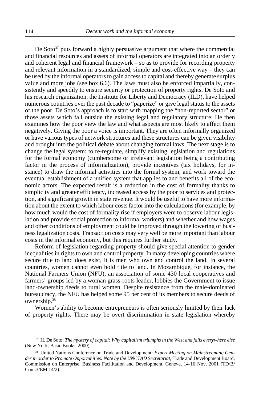De  $Soto<sup>37</sup>$  puts forward a highly persuasive argument that where the commercial and financial resources and assets of informal operators are integrated into an orderly and coherent legal and financial framework – so as to provide for recording property and relevant information in a standardized, simple and cost-effective way – they can be used by the informal operators to gain access to capital and thereby generate surplus value and more jobs (see box 6.6). The laws must also be enforced impartially, consistently and speedily to ensure security or protection of property rights. De Soto and his research organization, the Institute for Liberty and Democracy (ILD), have helped numerous countries over the past decade to "paperize" or give legal status to the assets of the poor. De Soto's approach is to start with mapping the "non-reported sector" or those assets which fall outside the existing legal and regulatory structure. He then examines how the poor view the law and what aspects are most likely to affect them negatively. Giving the poor a voice is important. They are often informally organized or have various types of network structures and these structures can be given visibility and brought into the political debate about changing formal laws. The next stage is to change the legal system: to re-regulate, simplify existing legislation and regulations for the formal economy (cumbersome or irrelevant legislation being a contributing factor in the process of informalization), provide incentives (tax holidays, for instance) to draw the informal activities into the formal system, and work toward the eventual establishment of a unified system that applies to and benefits all of the economic actors. The expected result is a reduction in the cost of formality thanks to simplicity and greater efficiency, increased access by the poor to services and protection, and significant growth in state revenue. It would be useful to have more information about the extent to which labour costs factor into the calculations (for example, by how much would the cost of formality rise if employers were to observe labour legislation and provide social protection to informal workers) and whether and how wages and other conditions of employment could be improved through the lowering of business legalization costs. Transaction costs may very well be more important than labour costs in the informal economy, but this requires further study.

Reform of legislation regarding property should give special attention to gender inequalities in rights to own and control property. In many developing countries where secure title to land does exist, it is men who own and control the land. In several countries, women cannot even hold title to land. In Mozambique, for instance, the National Farmers Union (NFU), an association of some 430 local cooperatives and farmers' groups led by a woman grass-roots leader, lobbies the Government to issue land-ownership deeds to rural women. Despite resistance from the male-dominated bureaucracy, the NFU has helped some 95 per cent of its members to secure deeds of ownership.38

Women's ability to become entrepreneurs is often seriously limited by their lack of property rights. There may be overt discrimination in state legislation whereby

<sup>37</sup> H. De Soto: *The mystery of capital: Why capitalism triumphs in the West and fails everywhere else* (New York, Basic Books, 2000).

<sup>38</sup> United Nations Conference on Trade and Development: *Expert Meeting on Mainstreaming Gender in order to Promote Opportunities: Note by the UNCTAD Secretariat*, Trade and Development Board, Commission on Enterprise, Business Facilitation and Development, Geneva, 14-16 Nov. 2001 (TD/B/ Com.3/EM.14/2).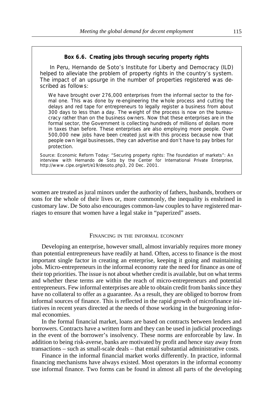### **Box 6.6. Creating jobs through securing property rights**

In Peru, Hernando de Soto's Institute for Liberty and Democracy (ILD) helped to alleviate the problem of property rights in the country's system. The impact of an upsurge in the number of properties registered was described as follows:

We have brought over 276,000 enterprises from the informal sector to the formal one. This was done by re-engineering the whole process and cutting the delays and red tape for entrepreneurs to legally register a business from about 300 days to less than a day. The weight of the process is now on the bureaucracy rather than on the business owners. Now that these enterprises are in the formal sector, the Government is collecting hundreds of millions of dollars more in taxes than before. These enterprises are also employing more people. Over 500,000 new jobs have been created just with this process because now that people own legal businesses, they can advertise and don't have to pay bribes for protection.

Source: *Economic Reform Today*: "Securing property rights: The foundation of markets": An interview with Hernando de Soto by the Center for International Private Enterprise, http://www.cipe.org/ert/e19/desoto.php3, 20 Dec. 2001.

women are treated as jural minors under the authority of fathers, husbands, brothers or sons for the whole of their lives or, more commonly, the inequality is enshrined in customary law. De Soto also encourages common-law couples to have registered marriages to ensure that women have a legal stake in "paperized" assets.

## FINANCING IN THE INFORMAL ECONOMY

Developing an enterprise, however small, almost invariably requires more money than potential entrepreneurs have readily at hand. Often, access to finance is the most important single factor in creating an enterprise, keeping it going and maintaining jobs. Micro-entrepreneurs in the informal economy rate the need for finance as one of their top priorities. The issue is not about whether credit is available, but on what terms and whether these terms are within the reach of micro-entrepreneurs and potential entrepreneurs. Few informal enterprises are able to obtain credit from banks since they have no collateral to offer as a guarantee. As a result, they are obliged to borrow from informal sources of finance. This is reflected in the rapid growth of microfinance initiatives in recent years directed at the needs of those working in the burgeoning informal economies.

In the formal financial market, loans are based on contracts between lenders and borrowers. Contracts have a written form and they can be used in judicial proceedings in the event of the borrower's insolvency. These norms are enforceable by law. In addition to being risk-averse, banks are motivated by profit and hence stay away from transactions – such as small-scale deals – that entail substantial administrative costs.

Finance in the informal financial market works differently. In practice, informal financing mechanisms have always existed. Most operators in the informal economy use informal finance. Two forms can be found in almost all parts of the developing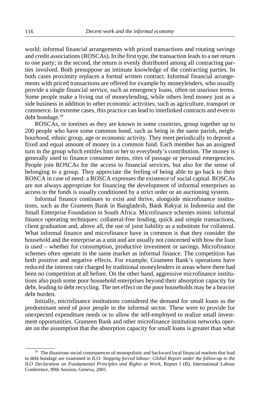world: informal financial arrangements with priced transactions and rotating savings and credit associations (ROSCAs). In the first type, the transaction leads to a net return to one party; in the second, the return is evenly distributed among all contracting parties involved. Both presuppose an intimate knowledge of the contracting parties. In both cases proximity replaces a formal written contract. Informal financial arrangements with priced transactions are offered for example by moneylenders, who usually provide a single financial service, such as emergency loans, often on usurious terms. Some people make a living out of moneylending, while others lend money just as a side business in addition to other economic activities, such as agriculture, transport or commerce. In extreme cases, this practice can lead to interlinked contracts and even to debt bondage.39

ROSCAs, or *tontines* as they are known in some countries, group together up to 200 people who have some common bond, such as being in the same parish, neighbourhood, ethnic group, age or economic activity. They meet periodically to deposit a fixed and equal amount of money in a common fund. Each member has an assigned turn in the group which entitles him or her to everybody's contribution. The money is generally used to finance consumer items, rites of passage or personal emergencies. People join ROSCAs for the access to financial services, but also for the sense of belonging to a group. They appreciate the feeling of being able to go back to their ROSCA in case of need: a ROSCA expresses the existence of social capital. ROSCAs are not always appropriate for financing the development of informal enterprises as access to the funds is usually conditioned by a strict order or an auctioning system.

Informal finance continues to exist and thrive, alongside microfinance institutions, such as the Grameen Bank in Bangladesh, Bank Rakyat in Indonesia and the Small Enterprise Foundation in South Africa. Microfinance schemes mimic informal finance operating techniques: collateral-free lending, quick and simple transactions, client graduation and, above all, the use of joint liability as a substitute for collateral. What informal finance and microfinance have in common is that they consider the household and the enterprise as a unit and are usually not concerned with how the loan is used – whether for consumption, productive investment or savings. Microfinance schemes often operate in the same market as informal finance. The competition has both positive and negative effects. For example, Grameen Bank's operations have reduced the interest rate charged by traditional moneylenders in areas where there had been no competition at all before. On the other hand, aggressive microfinance institutions also push some poor household enterprises beyond their absorption capacity for debt, leading to debt recycling. The net effect on the poor households may be a heavier debt burden.

Initially, microfinance institutions considered the demand for small loans as the predominant need of poor people in the informal sector. These were to provide for unexpected expenditure needs or to allow the self-employed to realize small investment opportunities. Grameen Bank and other microfinance institution networks operate on the assumption that the absorption capacity for small loans is greater than what

<sup>&</sup>lt;sup>39</sup> The disastrous social consequences of monopolistic and backward local financial markets that lead to debt bondage are examined in ILO: *Stopping forced labour: Global Report under the follow-up to the ILO Declaration on Fundamental Principles and Rights at Work*, Report I (B), International Labour Conference, 89th Session, Geneva, 2001.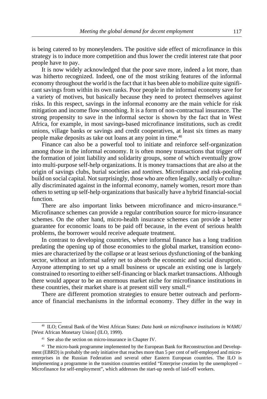is being catered to by moneylenders. The positive side effect of microfinance in this strategy is to induce more competition and thus lower the credit interest rate that poor people have to pay.

It is now widely acknowledged that the poor save more, indeed a lot more, than was hitherto recognized. Indeed, one of the most striking features of the informal economy throughout the world is the fact that it has been able to mobilize quite significant savings from within its own ranks. Poor people in the informal economy save for a variety of motives, but basically because they need to protect themselves against risks. In this respect, savings in the informal economy are the main vehicle for risk mitigation and income flow smoothing. It is a form of non-contractual insurance. The strong propensity to save in the informal sector is shown by the fact that in West Africa, for example, in most savings-based microfinance institutions, such as credit unions, village banks or savings and credit cooperatives, at least six times as many people make deposits as take out loans at any point in time.40

Finance can also be a powerful tool to initiate and reinforce self-organization among those in the informal economy. It is often money transactions that trigger off the formation of joint liability and solidarity groups, some of which eventually grow into multi-purpose self-help organizations. It is money transactions that are also at the origin of savings clubs, burial societies and *tontines*. Microfinance and risk-pooling build on social capital. Not surprisingly, those who are often legally, socially or culturally discriminated against in the informal economy, namely women, resort more than others to setting up self-help organizations that basically have a hybrid financial-social function.

There are also important links between microfinance and micro-insurance.<sup>41</sup> Microfinance schemes can provide a regular contribution source for micro-insurance schemes. On the other hand, micro-health insurance schemes can provide a better guarantee for economic loans to be paid off because, in the event of serious health problems, the borrower would receive adequate treatment.

In contrast to developing countries, where informal finance has a long tradition predating the opening up of those economies to the global market, transition economies are characterized by the collapse or at least serious dysfunctioning of the banking sector, without an informal safety net to absorb the economic and social disruption. Anyone attempting to set up a small business or upscale an existing one is largely constrained to resorting to either self-financing or black market transactions. Although there would appear to be an enormous market niche for microfinance institutions in these countries, their market share is at present still very small.<sup>42</sup>

There are different promotion strategies to ensure better outreach and performance of financial mechanisms in the informal economy. They differ in the way in

<sup>40</sup> ILO; Central Bank of the West African States: *Data bank on microfinance institutions in WAMU* [West African Monetary Union] (ILO, 1999).

<sup>&</sup>lt;sup>41</sup> See also the section on micro-insurance in Chapter IV.

<sup>&</sup>lt;sup>42</sup> The micro-bank programme implemented by the European Bank for Reconstruction and Development (EBRD) is probably the only initiative that reaches more than 5 per cent of self-employed and microenterprises in the Russian Federation and several other Eastern European countries. The ILO is implementing a programme in the transition countries entitled "Enterprise creation by the unemployed – Microfinance for self-employment", which addresses the start-up needs of laid-off workers.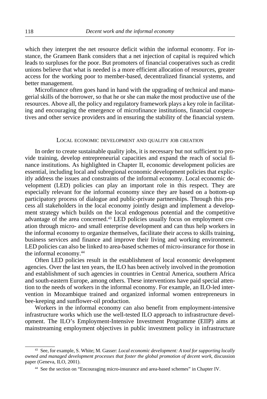which they interpret the net resource deficit within the informal economy. For instance, the Grameen Bank considers that a net injection of capital is required which leads to surpluses for the poor. But promoters of financial cooperatives such as credit unions believe that what is needed is a more efficient allocation of resources, greater access for the working poor to member-based, decentralized financial systems, and better management.

Microfinance often goes hand in hand with the upgrading of technical and managerial skills of the borrower, so that he or she can make the most productive use of the resources. Above all, the policy and regulatory framework plays a key role in facilitating and encouraging the emergence of microfinance institutions, financial cooperatives and other service providers and in ensuring the stability of the financial system.

#### LOCAL ECONOMIC DEVELOPMENT AND QUALITY JOB CREATION

In order to create sustainable quality jobs, it is necessary but not sufficient to provide training, develop entrepreneurial capacities and expand the reach of social finance institutions. As highlighted in Chapter II, economic development policies are essential, including local and subregional economic development policies that explicitly address the issues and constraints of the informal economy. Local economic development (LED) policies can play an important role in this respect. They are especially relevant for the informal economy since they are based on a bottom-up participatory process of dialogue and public-private partnerships. Through this process all stakeholders in the local economy jointly design and implement a development strategy which builds on the local endogenous potential and the competitive advantage of the area concerned.<sup>43</sup> LED policies usually focus on employment creation through micro- and small enterprise development and can thus help workers in the informal economy to organize themselves, facilitate their access to skills training, business services and finance and improve their living and working environment. LED policies can also be linked to area-based schemes of micro-insurance for those in the informal economy.44

Often LED policies result in the establishment of local economic development agencies. Over the last ten years, the ILO has been actively involved in the promotion and establishment of such agencies in countries in Central America, southern Africa and south-eastern Europe, among others. These interventions have paid special attention to the needs of workers in the informal economy. For example, an ILO-led intervention in Mozambique trained and organized informal women entrepreneurs in bee-keeping and sunflower-oil production.

Workers in the informal economy can also benefit from employment-intensive infrastructure works which use the well-tested ILO approach to infrastructure development. The ILO's Employment-Intensive Investment Programme (EIIP) aims at mainstreaming employment objectives in public investment policy in infrastructure

<sup>43</sup> See, for example, S. White; M. Gasser: *Local economic development: A tool for supporting locally owned and managed development processes that foster the global promotion of decent work*, discussion paper (Geneva, ILO, 2001).

<sup>44</sup> See the section on "Encouraging micro-insurance and area-based schemes" in Chapter IV.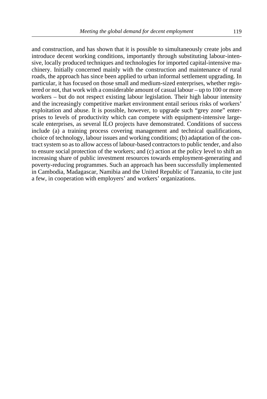and construction, and has shown that it is possible to simultaneously create jobs and introduce decent working conditions, importantly through substituting labour-intensive, locally produced techniques and technologies for imported capital-intensive machinery. Initially concerned mainly with the construction and maintenance of rural roads, the approach has since been applied to urban informal settlement upgrading. In particular, it has focused on those small and medium-sized enterprises, whether registered or not, that work with a considerable amount of casual labour – up to 100 or more workers – but do not respect existing labour legislation. Their high labour intensity and the increasingly competitive market environment entail serious risks of workers' exploitation and abuse. It is possible, however, to upgrade such "grey zone" enterprises to levels of productivity which can compete with equipment-intensive largescale enterprises, as several ILO projects have demonstrated. Conditions of success include (a) a training process covering management and technical qualifications, choice of technology, labour issues and working conditions; (b) adaptation of the contract system so as to allow access of labour-based contractors to public tender, and also to ensure social protection of the workers; and (c) action at the policy level to shift an increasing share of public investment resources towards employment-generating and poverty-reducing programmes. Such an approach has been successfully implemented in Cambodia, Madagascar, Namibia and the United Republic of Tanzania, to cite just a few, in cooperation with employers' and workers' organizations.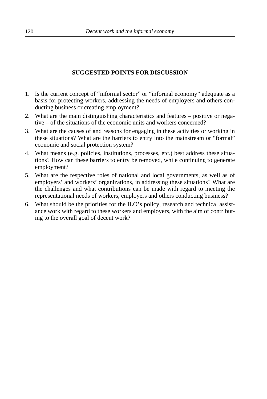# **SUGGESTED POINTS FOR DISCUSSION**

- 1. Is the current concept of "informal sector" or "informal economy" adequate as a basis for protecting workers, addressing the needs of employers and others conducting business or creating employment?
- 2. What are the main distinguishing characteristics and features positive or negative – of the situations of the economic units and workers concerned?
- 3. What are the causes of and reasons for engaging in these activities or working in these situations? What are the barriers to entry into the mainstream or "formal" economic and social protection system?
- 4. What means (e.g. policies, institutions, processes, etc.) best address these situations? How can these barriers to entry be removed, while continuing to generate employment?
- 5. What are the respective roles of national and local governments, as well as of employers' and workers' organizations, in addressing these situations? What are the challenges and what contributions can be made with regard to meeting the representational needs of workers, employers and others conducting business?
- 6. What should be the priorities for the ILO's policy, research and technical assistance work with regard to these workers and employers, with the aim of contributing to the overall goal of decent work?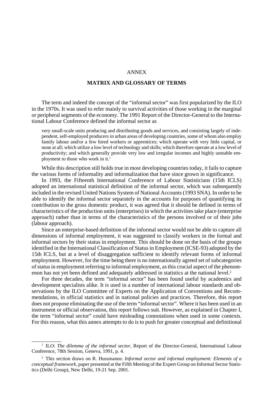## ANNEX

# **MATRIX AND GLOSSARY OF TERMS**

The term and indeed the concept of the "informal sector" was first popularized by the ILO in the 1970s. It was used to refer mainly to survival activities of those working in the marginal or peripheral segments of the economy. The 1991 Report of the Director-General to the International Labour Conference defined the informal sector as

very small-scale units producing and distributing goods and services, and consisting largely of independent, self-employed producers in urban areas of developing countries, some of whom also employ family labour and/or a few hired workers or apprentices; which operate with very little capital, or none at all; which utilize a low level of technology and skills; which therefore operate at a low level of productivity; and which generally provide very low and irregular incomes and highly unstable employment to those who work in it.<sup>1</sup>

While this description still holds true in most developing countries today, it fails to capture the various forms of informality and informalization that have since grown in significance.

In 1993, the Fifteenth International Conference of Labour Statisticians (15th ICLS) adopted an international statistical definition of the informal sector, which was subsequently included in the revised United Nations System of National Accounts (1993 SNA). In order to be able to identify the informal sector separately in the accounts for purposes of quantifying its contribution to the gross domestic product, it was agreed that it should be defined in terms of characteristics of the production units (enterprises) in which the activities take place (enterprise approach) rather than in terms of the characteristics of the persons involved or of their jobs (labour approach).

Since an enterprise-based definition of the informal sector would not be able to capture all dimensions of informal employment, it was suggested to classify workers in the formal and informal sectors by their status in employment. This should be done on the basis of the groups identified in the International Classification of Status in Employment (ICSE-93) adopted by the 15th ICLS, but at a level of disaggregation sufficient to identify relevant forms of informal employment. However, for the time being there is no internationally agreed set of subcategories of status in employment referring to informal employment, as this crucial aspect of the phenomenon has not yet been defined and adequately addressed in statistics at the national level.<sup>2</sup>

For three decades, the term "informal sector" has been found useful by academics and development specialists alike. It is used in a number of international labour standards and observations by the ILO Committee of Experts on the Application of Conventions and Recommendations, in official statistics and in national policies and practices. Therefore, this report does not propose eliminating the use of the term "informal sector". Where it has been used in an instrument or official observation, this report follows suit. However, as explained in Chapter I, the term "informal sector" could have misleading connotations when used in some contexts. For this reason, what this annex attempts to do is to push for greater conceptual and definitional

<sup>1</sup> ILO: *The dilemma of the informal sector*, Report of the Director-General, International Labour Conference, 78th Session, Geneva, 1991, p. 4.

<sup>2</sup> This section draws on R. Hussmanns: *Informal sector and informal employment: Elements of a conceptual framework*, paper presented at the Fifth Meeting of the Expert Group on Informal Sector Statistics (Delhi Group), New Delhi, 19-21 Sep. 2001.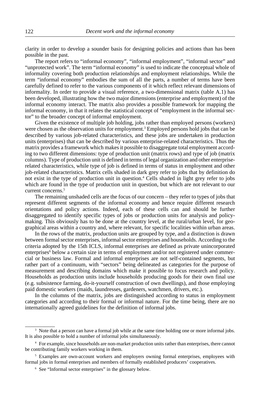clarity in order to develop a sounder basis for designing policies and actions than has been possible in the past.

The report refers to "informal economy", "informal employment", "informal sector" and "unprotected work". The term "informal economy" is used to indicate the conceptual whole of informality covering both production relationships and employment relationships. While the term "informal economy" embodies the sum of all the parts, a number of terms have been carefully defined to refer to the various components of it which reflect relevant dimensions of informality. In order to provide a visual reference, a two-dimensional matrix (table A.1) has been developed, illustrating how the two major dimensions (enterprise and employment) of the informal economy interact. The matrix also provides a possible framework for mapping the informal economy, in that it relates the statistical concept of "employment in the informal sector" to the broader concept of informal employment.

Given the existence of multiple job holding, jobs rather than employed persons (workers) were chosen as the observation units for employment.<sup>3</sup> Employed persons hold jobs that can be described by various job-related characteristics, and these jobs are undertaken in production units (enterprises) that can be described by various enterprise-related characteristics. Thus the matrix provides a framework which makes it possible to disaggregate total employment according to two different dimensions: type of production unit (matrix rows) and type of job (matrix columns). Type of production unit is defined in terms of legal organization and other enterpriserelated characteristics, while type of job is defined in terms of status in employment and other job-related characteristics. Matrix cells shaded in dark grey refer to jobs that by definition do not exist in the type of production unit in question.4 Cells shaded in light grey refer to jobs which are found in the type of production unit in question, but which are not relevant to our current concerns.<sup>5</sup>

The remaining unshaded cells are the focus of our concern – they refer to types of jobs that represent different segments of the informal economy and hence require different research orientations and policy actions. Indeed, each of these cells can and should be further disaggregated to identify specific types of jobs or production units for analysis and policymaking. This obviously has to be done at the country level, at the rural/urban level, for geographical areas within a country and, where relevant, for specific localities within urban areas.

In the rows of the matrix, production units are grouped by type, and a distinction is drawn between formal sector enterprises, informal sector enterprises and households. According to the criteria adopted by the 15th ICLS, informal enterprises are defined as private unincorporated enterprises<sup>6</sup> below a certain size in terms of employment and/or not registered under commercial or business law. Formal and informal enterprises are not self-contained segments, but rather part of a continuum, with "sectors" being delineated as categories for the purpose of measurement and describing domains which make it possible to focus research and policy. Households as production units include households producing goods for their own final use (e.g. subsistence farming, do-it-yourself construction of own dwellings), and those employing paid domestic workers (maids, laundresses, gardeners, watchmen, drivers, etc.).

In the columns of the matrix, jobs are distinguished according to status in employment categories and according to their formal or informal nature. For the time being, there are no internationally agreed guidelines for the definition of informal jobs.

<sup>&</sup>lt;sup>3</sup> Note that a person can have a formal job while at the same time holding one or more informal jobs. It is also possible to hold a number of informal jobs simultaneously.

<sup>4</sup> For example, since households are non-market production units rather than enterprises, there cannot be contributing family workers working in them.

<sup>5</sup> Examples are own-account workers and employers owning formal enterprises, employees with formal jobs in formal enterprises and members of formally established producers' cooperatives.

<sup>6</sup> See "Informal sector enterprises" in the glossary below.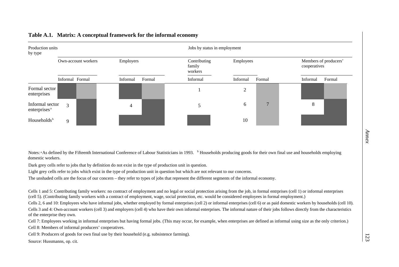| Production units<br>by type                 |                     |           |        |                                   | Jobs by status in employment |              |          |                                       |  |  |
|---------------------------------------------|---------------------|-----------|--------|-----------------------------------|------------------------------|--------------|----------|---------------------------------------|--|--|
|                                             | Own-account workers | Employers |        | Contributing<br>family<br>workers | Employees                    |              |          | Members of producers'<br>cooperatives |  |  |
|                                             | Informal Formal     | Informal  | Formal | Informal                          | Informal                     | Formal       | Informal | Formal                                |  |  |
| Formal sector<br>enterprises                |                     |           |        |                                   | $\overline{c}$               |              |          |                                       |  |  |
| Informal sector<br>enterprises <sup>a</sup> | 3                   | 4         |        |                                   | 6                            | $\mathbf{r}$ | 8        |                                       |  |  |
| Households $b$                              | 9                   |           |        |                                   | 10                           |              |          |                                       |  |  |

### **Table A.1. Matrix: A conceptual framework for the informal economy**

Notes: <sup>a</sup> As defined by the Fifteenth International Conference of Labour Statisticians in 1993. <sup>b</sup> Households producing goods for their own final use and households employing domestic workers.

Dark grey cells refer to jobs that by definition do not exist in the type of production unit in question.

Light grey cells refer to jobs which exist in the type of production unit in question but which are not relevant to our concerns.

The unshaded cells are the focus of our concern – they refer to types of jobs that represent the different segments of the informal economy.

Cells 1 and 5: Contributing family workers: no contract of employment and no legal or social protection arising from the job, in formal entrprises (cell 1) or informal enterprises (cell 5). (Contributing family workers with a contract of employment, wage, social protection, etc. would be considered employees in formal employment.)

Cells 2, 6 and 10: Employees who have informal jobs, whether employed by formal enterprises (cell 2) or informal enterprises (cell 6) or as paid domestic workers by households (cell 10).

Cells 3 and 4: Own-account workers (cell 3) and employers (cell 4) who have their own informal enterprises. The informal nature of their jobs follows directly from the characteristics of the enterprise they own.

Cell 7: Employees working in informal enterprises but having formal jobs. (This may occur, for example, when enterprises are defined as informal using size as the only criterion.)

Cell 8: Members of informal producers' cooperatives.

Cell 9: Producers of goods for own final use by their household (e.g. subsistence farming).

Source: Hussmanns, op. cit.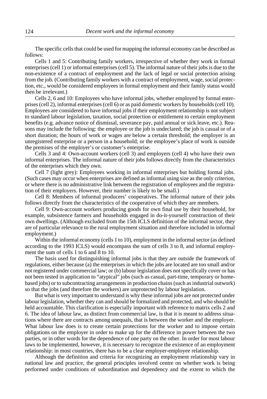The specific cells that could be used for mapping the informal economy can be described as follows:

Cells 1 and 5: Contributing family workers, irrespective of whether they work in formal enterprises (cell 1) or informal enterprises (cell 5). The informal nature of their jobs is due to the non-existence of a contract of employment and the lack of legal or social protection arising from the job. (Contributing family workers with a contract of employment, wage, social protection, etc., would be considered employees in formal employment and their family status would then be irrelevant.)

Cells 2, 6 and 10: Employees who have informal jobs, whether employed by formal enterprises (cell 2), informal enterprises (cell 6) or as paid domestic workers by households (cell 10). Employees are considered to have informal jobs if their employment relationship is not subject to standard labour legislation, taxation, social protection or entitlement to certain employment benefits (e.g. advance notice of dismissal, severance pay, paid annual or sick leave, etc.). Reasons may include the following: the employee or the job is undeclared; the job is casual or of a short duration; the hours of work or wages are below a certain threshold; the employer is an unregistered enterprise or a person in a household; or the employee's place of work is outside the premises of the employer's or customer's enterprise.

Cells 3 and 4: Own-account workers (cell 3) and employers (cell 4) who have their own informal enterprises. The informal nature of their jobs follows directly from the characteristics of the enterprises which they own.

Cell 7 (light grey): Employees working in informal enterprises but holding formal jobs. (Such cases may occur when enterprises are defined as informal using size as the only criterion, or where there is no administrative link between the registration of employees and the registration of their employers. However, their number is likely to be small.)

Cell 8: Members of informal producers' cooperatives. The informal nature of their jobs follows directly from the characteristics of the cooperative of which they are members.

Cell 9: Own-account workers producing goods for own final use by their household, for example, subsistence farmers and households engaged in do-it-yourself construction of their own dwellings. (Although excluded from the 15th ICLS definition of the informal sector, they are of particular relevance to the rural employment situation and therefore included in informal employment.)

Within the informal economy (cells 1 to 10), employment in the informal sector (as defined according to the 1993 ICLS) would encompass the sum of cells 3 to 8, and informal employment the sum of cells 1 to 6 and 8 to 10.

The basis used for distinguishing informal jobs is that they are outside the framework of regulations, either because (a) the enterprises in which the jobs are located are too small and/or not registered under commercial law; or (b) labour legislation does not specifically cover or has not been tested in application to "atypical" jobs (such as casual, part-time, temporary or homebased jobs) or to subcontracting arrangements in production chains (such as industrial outwork) so that the jobs (and therefore the workers) are unprotected by labour legislation.

But what is very important to understand is why these informal jobs are not protected under labour legislation, whether they can and should be formalized and protected, and who should be held accountable. This clarification is especially important with reference to matrix cells 2 and 6. The idea of labour law, as distinct from commercial law, is that it is meant to address situations where there are contracts among unequals, that is between the worker and the employer. What labour law does is to create certain protections for the worker and to impose certain obligations on the employer in order to make up for the difference in power between the two parties, or in other words for the dependence of one party on the other. In order for most labour laws to be implemented, however, it is necessary to recognize the existence of an employment relationship: in most countries, there has to be a clear employer-employee relationship.

Although the definition and criteria for recognizing an employment relationship vary in national law and practice, the general principles involved centre on whether work is being performed under conditions of subordination and dependency and the extent to which the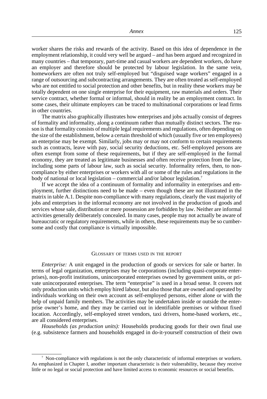worker shares the risks and rewards of the activity. Based on this idea of dependence in the employment relationship, it could very well be argued – and has been argued and recognized in many countries – that temporary, part-time and casual workers are dependent workers, do have an employer and therefore should be protected by labour legislation. In the same vein, homeworkers are often not truly self-employed but "disguised wage workers" engaged in a range of outsourcing and subcontracting arrangements. They are often treated as self-employed who are not entitled to social protection and other benefits, but in reality these workers may be totally dependent on one single enterprise for their equipment, raw materials and orders. Their service contract, whether formal or informal, should in reality be an employment contract. In some cases, their ultimate employers can be traced to multinational corporations or lead firms in other countries.

The matrix also graphically illustrates how enterprises and jobs actually consist of degrees of formality and informality, along a continuum rather than mutually distinct sectors. The reason is that formality consists of multiple legal requirements and regulations, often depending on the size of the establishment, below a certain threshold of which (usually five or ten employees) an enterprise may be exempt. Similarly, jobs may or may not conform to certain requirements such as contracts, leave with pay, social security deductions, etc. Self-employed persons are often exempt from some of these requirements, but if they are self-employed in the formal economy, they are treated as legitimate businesses and often receive protection from the law, including some parts of labour law, such as social security. Informality refers, then, to noncompliance by either enterprises or workers with all or some of the rules and regulations in the body of national or local legislation – commercial and/or labour legislation.7

If we accept the idea of a continuum of formality and informality in enterprises and employment, further distinctions need to be made – even though these are not illustrated in the matrix in table A.1. Despite non-compliance with many regulations, clearly the vast majority of jobs and enterprises in the informal economy are not involved in the production of goods and services whose sale, distribution or mere possession are forbidden by law. Neither are informal activities generally deliberately concealed. In many cases, people may not actually be aware of bureaucratic or regulatory requirements, while in others, these requirements may be so cumbersome and costly that compliance is virtually impossible.

#### GLOSSARY OF TERMS USED IN THE REPORT

*Enterprise:* A unit engaged in the production of goods or services for sale or barter. In terms of legal organization, enterprises may be corporations (including quasi-corporate enterprises), non-profit institutions, unincorporated enterprises owned by government units, or private unincorporated enterprises. The term "enterprise" is used in a broad sense. It covers not only production units which employ hired labour, but also those that are owned and operated by individuals working on their own account as self-employed persons, either alone or with the help of unpaid family members. The activities may be undertaken inside or outside the enterprise owner's home, and they may be carried out in identifiable premises or without fixed location. Accordingly, self-employed street vendors, taxi drivers, home-based workers, etc., are all considered enterprises.

*Households (as production units):* Households producing goods for their own final use (e.g. subsistence farmers and households engaged in do-it-yourself construction of their own

<sup>7</sup> Non-compliance with regulations is not the only characteristic of informal enterprises or workers. As emphasized in Chapter I, another important characteristic is their vulnerability, because they receive little or no legal or social protection and have limited access to economic resources or social benefits.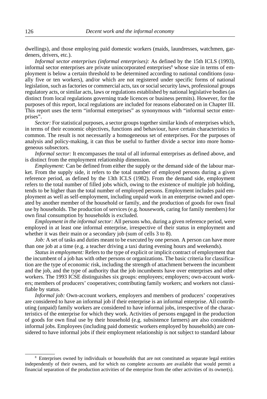dwellings), and those employing paid domestic workers (maids, laundresses, watchmen, gardeners, drivers, etc.).

*Informal sector enterprises (informal enterprises):* As defined by the 15th ICLS (1993), informal sector enterprises are private unincorporated enterprises<sup>8</sup> whose size in terms of employment is below a certain threshold to be determined according to national conditions (usually five or ten workers), and/or which are not registered under specific forms of national legislation, such as factories or commercial acts, tax or social security laws, professional groups regulatory acts, or similar acts, laws or regulations established by national legislative bodies (as distinct from local regulations governing trade licences or business permits). However, for the purposes of this report, local regulations are included for reasons elaborated on in Chapter III. This report uses the term "informal enterprises" as synonymous with "informal sector enterprises".

*Sector:* For statistical purposes, a sector groups together similar kinds of enterprises which, in terms of their economic objectives, functions and behaviour, have certain characteristics in common. The result is not necessarily a homogeneous set of enterprises. For the purposes of analysis and policy-making, it can thus be useful to further divide a sector into more homogeneous subsectors.

*Informal sector:* It encompasses the total of all informal enterprises as defined above, and is distinct from the employment relationship dimension.

*Employment:* Can be defined from either the supply or the demand side of the labour market. From the supply side, it refers to the total number of employed persons during a given reference period, as defined by the 13th ICLS (1982). From the demand side, employment refers to the total number of filled jobs which, owing to the existence of multiple job holding, tends to be higher than the total number of employed persons. Employment includes paid employment as well as self-employment, including unpaid work in an enterprise owned and operated by another member of the household or family, and the production of goods for own final use by households. The production of services (e.g. housework, caring for family members) for own final consumption by households is excluded.

*Employment in the informal sector:* All persons who, during a given reference period, were employed in at least one informal enterprise, irrespective of their status in employment and whether it was their main or a secondary job (sum of cells 3 to 8).

*Job:* A set of tasks and duties meant to be executed by one person. A person can have more than one job at a time (e.g. a teacher driving a taxi during evening hours and weekends).

*Status in employment:* Refers to the type of explicit or implicit contract of employment that the incumbent of a job has with other persons or organizations. The basic criteria for classification are the type of economic risk, including the strength of attachment between the incumbent and the job, and the type of authority that the job incumbents have over enterprises and other workers. The 1993 ICSE distinguishes six groups: employees; employers; own-account workers; members of producers' cooperatives; contributing family workers; and workers not classifiable by status.

*Informal job:* Own-account workers, employers and members of producers' cooperatives are considered to have an informal job if their enterprise is an informal enterprise. All contributing (unpaid) family workers are considered to have informal jobs, irrespective of the characteristics of the enterprise for which they work. Activities of persons engaged in the production of goods for own final use by their household (e.g. subsistence farmers) are also considered informal jobs. Employees (including paid domestic workers employed by households) are considered to have informal jobs if their employment relationship is not subject to standard labour

<sup>8</sup> Enterprises owned by individuals or households that are not constituted as separate legal entities independently of their owners, and for which no complete accounts are available that would permit a financial separation of the production activities of the enterprise from the other activities of its owner(s).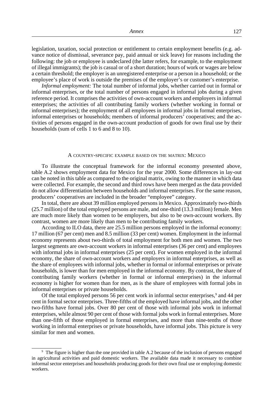legislation, taxation, social protection or entitlement to certain employment benefits (e.g. advance notice of dismissal, severance pay, paid annual or sick leave) for reasons including the following: the job or employee is undeclared (the latter refers, for example, to the employment of illegal immigrants); the job is casual or of a short duration; hours of work or wages are below a certain threshold; the employer is an unregistered enterprise or a person in a household; or the employee's place of work is outside the premises of the employer's or customer's enterprise.

*Informal employment:* The total number of informal jobs, whether carried out in formal or informal enterprises, or the total number of persons engaged in informal jobs during a given reference period. It comprises the activities of own-account workers and employers in informal enterprises; the activities of all contributing family workers (whether working in formal or informal enterprises); the employment of all employees in informal jobs in formal enterprises, informal enterprises or households; members of informal producers' cooperatives; and the activities of persons engaged in the own-account production of goods for own final use by their households (sum of cells 1 to 6 and 8 to 10).

#### A COUNTRY-SPECIFIC EXAMPLE BASED ON THE MATRIX: MEXICO

To illustrate the conceptual framework for the informal economy presented above, table A.2 shows employment data for Mexico for the year 2000. Some differences in lay-out can be noted in this table as compared to the original matrix, owing to the manner in which data were collected. For example, the second and third rows have been merged as the data provided do not allow differentiation between households and informal enterprises. For the same reason, producers' cooperatives are included in the broader "employee" category.

In total, there are about 39 million employed persons in Mexico. Approximately two-thirds (25.7 million) of the total employed persons are male, and one-third (13.3 million) female. Men are much more likely than women to be employers, but also to be own-account workers. By contrast, women are more likely than men to be contributing family workers.

According to ILO data, there are 25.5 million persons employed in the informal economy: 17 million (67 per cent) men and 8.5 million (33 per cent) women. Employment in the informal economy represents about two-thirds of total employment for both men and women. The two largest segments are own-account workers in informal enterprises (36 per cent) and employees with informal jobs in informal enterprises (25 per cent). For women employed in the informal economy, the share of own-account workers and employers in informal enterprises, as well as the share of employees with informal jobs, whether in formal or informal enterprises or private households, is lower than for men employed in the informal economy. By contrast, the share of contributing family workers (whether in formal or informal enterprises) in the informal economy is higher for women than for men, as is the share of employees with formal jobs in informal enterprises or private households.

Of the total employed persons 56 per cent work in informal sector enterprises,<sup>9</sup> and 44 per cent in formal sector enterprises. Three-fifths of the employed have informal jobs, and the other two-fifths have formal jobs. Over 80 per cent of those with informal jobs work in informal enterprises, while almost 90 per cent of those with formal jobs work in formal enterprises. More than one-fifth of those employed in formal enterprises, and more than nine-tenths of those working in informal enterprises or private households, have informal jobs. This picture is very similar for men and women.

<sup>9</sup> The figure is higher than the one provided in table A.2 because of the inclusion of persons engaged in agricultural activities and paid domestic workers. The available data made it necessary to combine informal sector enterprises and households producing goods for their own final use or employing domestic workers.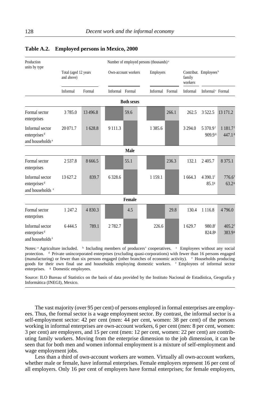| Production                                                                 | Number of employed persons (thousands) <sup>a</sup> |         |                 |                     |                 |           |            |                                            |                                             |  |  |  |  |
|----------------------------------------------------------------------------|-----------------------------------------------------|---------|-----------------|---------------------|-----------------|-----------|------------|--------------------------------------------|---------------------------------------------|--|--|--|--|
| units by type                                                              | Total (aged 12 years<br>and above)                  |         |                 | Own-account workers |                 | Employers |            | Contribut. Employees <sup>b</sup>          |                                             |  |  |  |  |
|                                                                            | Informal                                            | Formal  | Informal Formal |                     | Informal Formal |           | Informal   | Informal <sup>c</sup> Formal               |                                             |  |  |  |  |
| <b>Both sexes</b>                                                          |                                                     |         |                 |                     |                 |           |            |                                            |                                             |  |  |  |  |
| Formal sector<br>enterprises                                               | 3785.0                                              | 13496.8 |                 | 59.6                |                 | 266.1     | 262.5      | 3522.5                                     | 13 171.2                                    |  |  |  |  |
| Informal sector<br>enterprises <sup>d</sup><br>and households <sup>e</sup> | 20 071.7                                            | 1628.8  | 9 1 1 1 . 3     |                     | 1 3 8 5 . 6     |           | 3 2 9 4 .0 | 5 370.9 <sup>f</sup><br>909.9 <sup>g</sup> | $1181.7$ <sup>f</sup><br>447.1 <sup>s</sup> |  |  |  |  |
|                                                                            |                                                     |         |                 | Male                |                 |           |            |                                            |                                             |  |  |  |  |
| Formal sector<br>enterprises                                               | 2537.8                                              | 8666.5  |                 | 55.1                |                 | 236.3     | 132.1      | 2405.7                                     | 8 3 7 5 .1                                  |  |  |  |  |
| Informal sector<br>enterprises <sup>d</sup><br>and households <sup>e</sup> | 13 627.2                                            | 839.7   | 6328.6          |                     | 1 1 5 9 .1      |           | 1664.3     | 4 390.1 <sup>f</sup><br>85.1 <sup>g</sup>  | $776.6$ <sup>f</sup><br>$63.2$ <sup>g</sup> |  |  |  |  |
|                                                                            |                                                     |         |                 | Female              |                 |           |            |                                            |                                             |  |  |  |  |
| Formal sector<br>enterprises                                               | 1 247.2                                             | 4 830.3 |                 | 4.5                 |                 | 29.8      | 130.4      | 1 1 1 6.8                                  | 4796.0                                      |  |  |  |  |
| Informal sector<br>enterprises <sup>d</sup><br>and households <sup>e</sup> | 6444.5                                              | 789.1   | 2782.7          |                     | 226.6           |           | 1 629.7    | 980.8f<br>824.8 <sup>g</sup>               | $405.2$ <sup>f</sup><br>383.9 <sup>g</sup>  |  |  |  |  |

### **Table A.2. Employed persons in Mexico, 2000**

Notes: <sup>a</sup> Agriculture included. <sup>b</sup> Including members of producers' cooperatives. <sup>c</sup> Employees without any social protection. <sup>d</sup> Private unincorporated enterprises (excluding quasi-corporations) with fewer than 16 persons engaged (manufacturing) or fewer than six persons engaged (other branches of economic activity). <sup>e</sup> Households producing goods for their own final use and households employing domestic workers. <sup>f</sup> Employees of informal sector enterprises. <sup>*s*</sup> Domestic employees.

Source: ILO Bureau of Statistics on the basis of data provided by the Instituto Nacional de Estadística, Geografía y Informática (INEGI), Mexico.

The vast majority (over 95 per cent) of persons employed in formal enterprises are employees. Thus, the formal sector is a wage employment sector. By contrast, the informal sector is a self-employment sector: 42 per cent (men: 44 per cent, women: 38 per cent) of the persons working in informal enterprises are own-account workers, 6 per cent (men: 8 per cent, women: 3 per cent) are employers, and 15 per cent (men: 12 per cent, women: 22 per cent) are contributing family workers. Moving from the enterprise dimension to the job dimension, it can be seen that for both men and women informal employment is a mixture of self-employment and wage employment jobs.

Less than a third of own-account workers are women. Virtually all own-account workers, whether male or female, have informal enterprises. Female employers represent 16 per cent of all employers. Only 16 per cent of employers have formal enterprises; for female employers,